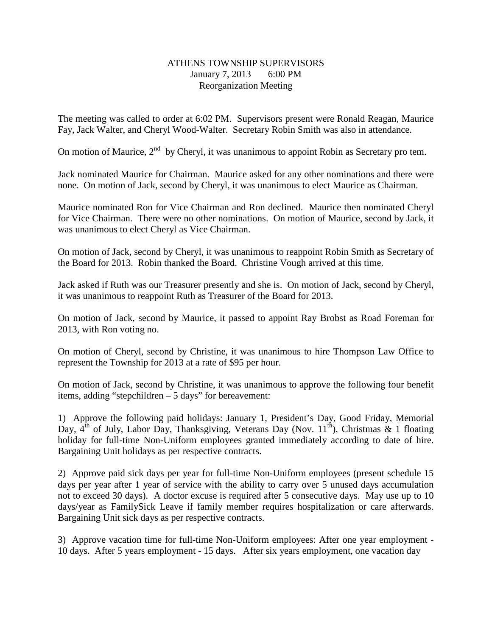## ATHENS TOWNSHIP SUPERVISORS January 7, 2013 6:00 PM Reorganization Meeting

The meeting was called to order at 6:02 PM. Supervisors present were Ronald Reagan, Maurice Fay, Jack Walter, and Cheryl Wood-Walter. Secretary Robin Smith was also in attendance.

On motion of Maurice,  $2<sup>nd</sup>$  by Cheryl, it was unanimous to appoint Robin as Secretary pro tem.

Jack nominated Maurice for Chairman. Maurice asked for any other nominations and there were none. On motion of Jack, second by Cheryl, it was unanimous to elect Maurice as Chairman.

Maurice nominated Ron for Vice Chairman and Ron declined. Maurice then nominated Cheryl for Vice Chairman. There were no other nominations. On motion of Maurice, second by Jack, it was unanimous to elect Cheryl as Vice Chairman.

On motion of Jack, second by Cheryl, it was unanimous to reappoint Robin Smith as Secretary of the Board for 2013. Robin thanked the Board. Christine Vough arrived at this time.

Jack asked if Ruth was our Treasurer presently and she is. On motion of Jack, second by Cheryl, it was unanimous to reappoint Ruth as Treasurer of the Board for 2013.

On motion of Jack, second by Maurice, it passed to appoint Ray Brobst as Road Foreman for 2013, with Ron voting no.

On motion of Cheryl, second by Christine, it was unanimous to hire Thompson Law Office to represent the Township for 2013 at a rate of \$95 per hour.

On motion of Jack, second by Christine, it was unanimous to approve the following four benefit items, adding "stepchildren – 5 days" for bereavement:

1) Approve the following paid holidays: January 1, President's Day, Good Friday, Memorial Day,  $4<sup>th</sup>$  of July, Labor Day, Thanksgiving, Veterans Day (Nov. 11<sup>th</sup>), Christmas & 1 floating holiday for full-time Non-Uniform employees granted immediately according to date of hire. Bargaining Unit holidays as per respective contracts.

2) Approve paid sick days per year for full-time Non-Uniform employees (present schedule 15 days per year after 1 year of service with the ability to carry over 5 unused days accumulation not to exceed 30 days). A doctor excuse is required after 5 consecutive days. May use up to 10 days/year as FamilySick Leave if family member requires hospitalization or care afterwards. Bargaining Unit sick days as per respective contracts.

3) Approve vacation time for full-time Non-Uniform employees: After one year employment - 10 days. After 5 years employment - 15 days. After six years employment, one vacation day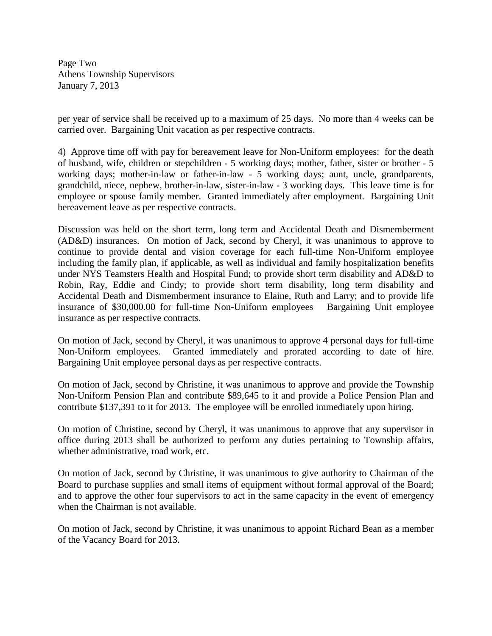Page Two Athens Township Supervisors January 7, 2013

per year of service shall be received up to a maximum of 25 days. No more than 4 weeks can be carried over. Bargaining Unit vacation as per respective contracts.

4) Approve time off with pay for bereavement leave for Non-Uniform employees: for the death of husband, wife, children or stepchildren - 5 working days; mother, father, sister or brother - 5 working days; mother-in-law or father-in-law - 5 working days; aunt, uncle, grandparents, grandchild, niece, nephew, brother-in-law, sister-in-law - 3 working days. This leave time is for employee or spouse family member. Granted immediately after employment. Bargaining Unit bereavement leave as per respective contracts.

Discussion was held on the short term, long term and Accidental Death and Dismemberment (AD&D) insurances. On motion of Jack, second by Cheryl, it was unanimous to approve to continue to provide dental and vision coverage for each full-time Non-Uniform employee including the family plan, if applicable, as well as individual and family hospitalization benefits under NYS Teamsters Health and Hospital Fund; to provide short term disability and AD&D to Robin, Ray, Eddie and Cindy; to provide short term disability, long term disability and Accidental Death and Dismemberment insurance to Elaine, Ruth and Larry; and to provide life insurance of \$30,000.00 for full-time Non-Uniform employees Bargaining Unit employee insurance as per respective contracts.

On motion of Jack, second by Cheryl, it was unanimous to approve 4 personal days for full-time Non-Uniform employees. Granted immediately and prorated according to date of hire. Bargaining Unit employee personal days as per respective contracts.

On motion of Jack, second by Christine, it was unanimous to approve and provide the Township Non-Uniform Pension Plan and contribute \$89,645 to it and provide a Police Pension Plan and contribute \$137,391 to it for 2013. The employee will be enrolled immediately upon hiring.

On motion of Christine, second by Cheryl, it was unanimous to approve that any supervisor in office during 2013 shall be authorized to perform any duties pertaining to Township affairs, whether administrative, road work, etc.

On motion of Jack, second by Christine, it was unanimous to give authority to Chairman of the Board to purchase supplies and small items of equipment without formal approval of the Board; and to approve the other four supervisors to act in the same capacity in the event of emergency when the Chairman is not available.

On motion of Jack, second by Christine, it was unanimous to appoint Richard Bean as a member of the Vacancy Board for 2013.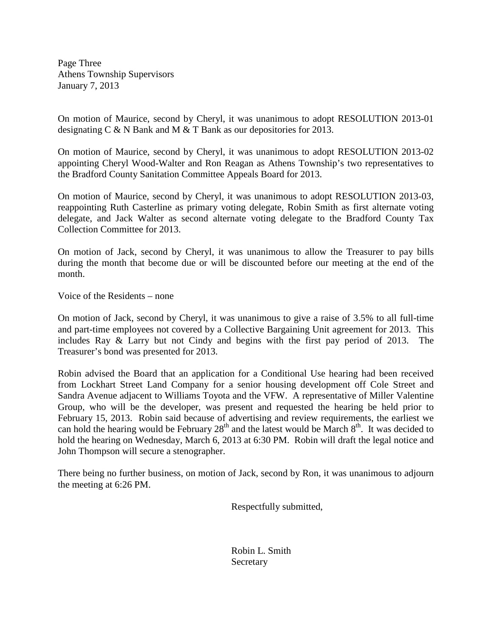Page Three Athens Township Supervisors January 7, 2013

On motion of Maurice, second by Cheryl, it was unanimous to adopt RESOLUTION 2013-01 designating C & N Bank and M & T Bank as our depositories for 2013.

On motion of Maurice, second by Cheryl, it was unanimous to adopt RESOLUTION 2013-02 appointing Cheryl Wood-Walter and Ron Reagan as Athens Township's two representatives to the Bradford County Sanitation Committee Appeals Board for 2013.

On motion of Maurice, second by Cheryl, it was unanimous to adopt RESOLUTION 2013-03, reappointing Ruth Casterline as primary voting delegate, Robin Smith as first alternate voting delegate, and Jack Walter as second alternate voting delegate to the Bradford County Tax Collection Committee for 2013.

On motion of Jack, second by Cheryl, it was unanimous to allow the Treasurer to pay bills during the month that become due or will be discounted before our meeting at the end of the month.

Voice of the Residents – none

On motion of Jack, second by Cheryl, it was unanimous to give a raise of 3.5% to all full-time and part-time employees not covered by a Collective Bargaining Unit agreement for 2013. This includes Ray & Larry but not Cindy and begins with the first pay period of 2013. The Treasurer's bond was presented for 2013.

Robin advised the Board that an application for a Conditional Use hearing had been received from Lockhart Street Land Company for a senior housing development off Cole Street and Sandra Avenue adjacent to Williams Toyota and the VFW. A representative of Miller Valentine Group, who will be the developer, was present and requested the hearing be held prior to February 15, 2013. Robin said because of advertising and review requirements, the earliest we can hold the hearing would be February  $28<sup>th</sup>$  and the latest would be March  $8<sup>th</sup>$ . It was decided to hold the hearing on Wednesday, March 6, 2013 at 6:30 PM. Robin will draft the legal notice and John Thompson will secure a stenographer.

There being no further business, on motion of Jack, second by Ron, it was unanimous to adjourn the meeting at 6:26 PM.

Respectfully submitted,

 Robin L. Smith **Secretary**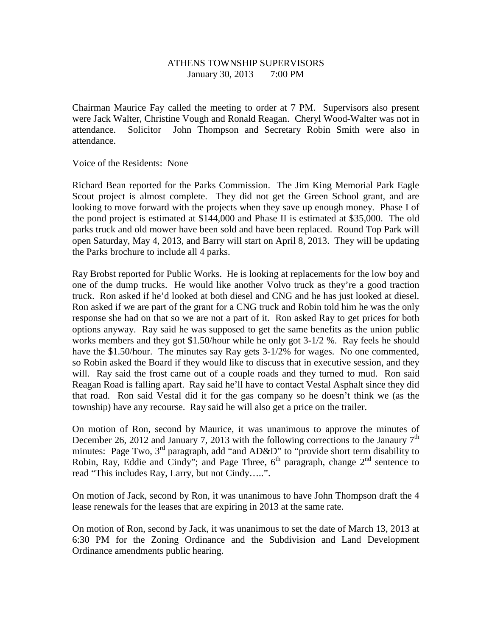## ATHENS TOWNSHIP SUPERVISORS January 30, 2013 7:00 PM

Chairman Maurice Fay called the meeting to order at 7 PM. Supervisors also present were Jack Walter, Christine Vough and Ronald Reagan. Cheryl Wood-Walter was not in attendance. Solicitor John Thompson and Secretary Robin Smith were also in attendance.

Voice of the Residents: None

Richard Bean reported for the Parks Commission. The Jim King Memorial Park Eagle Scout project is almost complete. They did not get the Green School grant, and are looking to move forward with the projects when they save up enough money. Phase I of the pond project is estimated at \$144,000 and Phase II is estimated at \$35,000. The old parks truck and old mower have been sold and have been replaced. Round Top Park will open Saturday, May 4, 2013, and Barry will start on April 8, 2013. They will be updating the Parks brochure to include all 4 parks.

Ray Brobst reported for Public Works. He is looking at replacements for the low boy and one of the dump trucks. He would like another Volvo truck as they're a good traction truck. Ron asked if he'd looked at both diesel and CNG and he has just looked at diesel. Ron asked if we are part of the grant for a CNG truck and Robin told him he was the only response she had on that so we are not a part of it. Ron asked Ray to get prices for both options anyway. Ray said he was supposed to get the same benefits as the union public works members and they got \$1.50/hour while he only got 3-1/2 %. Ray feels he should have the \$1.50/hour. The minutes say Ray gets 3-1/2% for wages. No one commented, so Robin asked the Board if they would like to discuss that in executive session, and they will. Ray said the frost came out of a couple roads and they turned to mud. Ron said Reagan Road is falling apart. Ray said he'll have to contact Vestal Asphalt since they did that road. Ron said Vestal did it for the gas company so he doesn't think we (as the township) have any recourse. Ray said he will also get a price on the trailer.

On motion of Ron, second by Maurice, it was unanimous to approve the minutes of December 26, 2012 and January 7, 2013 with the following corrections to the Janaury  $7<sup>th</sup>$ minutes: Page Two,  $3^{rd}$  paragraph, add "and AD&D" to "provide short term disability to Robin, Ray, Eddie and Cindy"; and Page Three,  $6<sup>th</sup>$  paragraph, change  $2<sup>nd</sup>$  sentence to read "This includes Ray, Larry, but not Cindy…..".

On motion of Jack, second by Ron, it was unanimous to have John Thompson draft the 4 lease renewals for the leases that are expiring in 2013 at the same rate.

On motion of Ron, second by Jack, it was unanimous to set the date of March 13, 2013 at 6:30 PM for the Zoning Ordinance and the Subdivision and Land Development Ordinance amendments public hearing.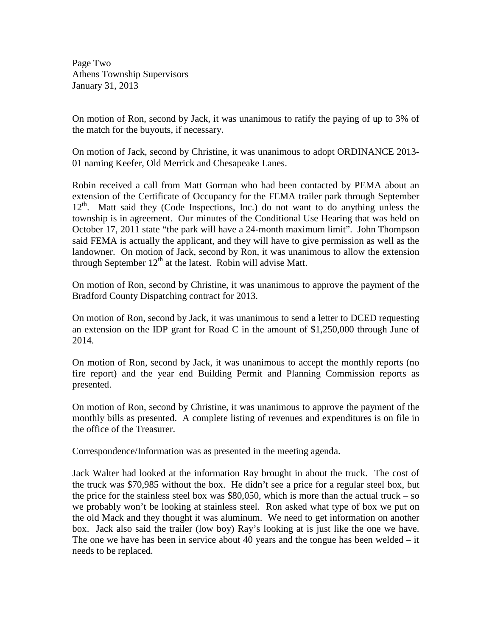Page Two Athens Township Supervisors January 31, 2013

On motion of Ron, second by Jack, it was unanimous to ratify the paying of up to 3% of the match for the buyouts, if necessary.

On motion of Jack, second by Christine, it was unanimous to adopt ORDINANCE 2013- 01 naming Keefer, Old Merrick and Chesapeake Lanes.

Robin received a call from Matt Gorman who had been contacted by PEMA about an extension of the Certificate of Occupancy for the FEMA trailer park through September  $12<sup>th</sup>$ . Matt said they (Code Inspections, Inc.) do not want to do anything unless the township is in agreement. Our minutes of the Conditional Use Hearing that was held on October 17, 2011 state "the park will have a 24-month maximum limit". John Thompson said FEMA is actually the applicant, and they will have to give permission as well as the landowner. On motion of Jack, second by Ron, it was unanimous to allow the extension through September  $12<sup>th</sup>$  at the latest. Robin will advise Matt.

On motion of Ron, second by Christine, it was unanimous to approve the payment of the Bradford County Dispatching contract for 2013.

On motion of Ron, second by Jack, it was unanimous to send a letter to DCED requesting an extension on the IDP grant for Road C in the amount of \$1,250,000 through June of 2014.

On motion of Ron, second by Jack, it was unanimous to accept the monthly reports (no fire report) and the year end Building Permit and Planning Commission reports as presented.

On motion of Ron, second by Christine, it was unanimous to approve the payment of the monthly bills as presented. A complete listing of revenues and expenditures is on file in the office of the Treasurer.

Correspondence/Information was as presented in the meeting agenda.

Jack Walter had looked at the information Ray brought in about the truck. The cost of the truck was \$70,985 without the box. He didn't see a price for a regular steel box, but the price for the stainless steel box was \$80,050, which is more than the actual truck – so we probably won't be looking at stainless steel. Ron asked what type of box we put on the old Mack and they thought it was aluminum. We need to get information on another box. Jack also said the trailer (low boy) Ray's looking at is just like the one we have. The one we have has been in service about 40 years and the tongue has been welded  $-$  it needs to be replaced.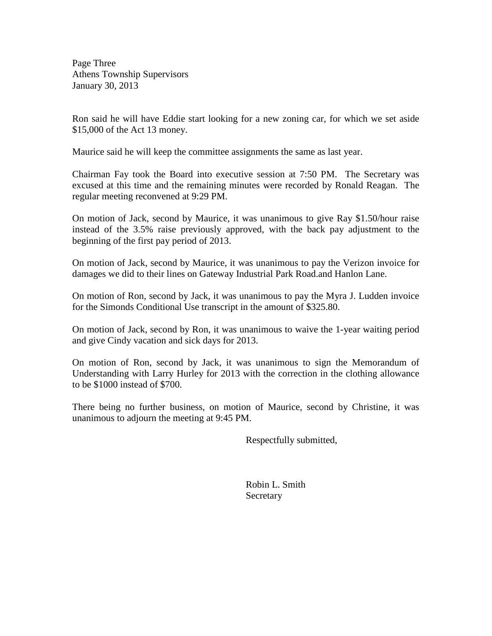Page Three Athens Township Supervisors January 30, 2013

Ron said he will have Eddie start looking for a new zoning car, for which we set aside \$15,000 of the Act 13 money.

Maurice said he will keep the committee assignments the same as last year.

Chairman Fay took the Board into executive session at 7:50 PM. The Secretary was excused at this time and the remaining minutes were recorded by Ronald Reagan. The regular meeting reconvened at 9:29 PM.

On motion of Jack, second by Maurice, it was unanimous to give Ray \$1.50/hour raise instead of the 3.5% raise previously approved, with the back pay adjustment to the beginning of the first pay period of 2013.

On motion of Jack, second by Maurice, it was unanimous to pay the Verizon invoice for damages we did to their lines on Gateway Industrial Park Road.and Hanlon Lane.

On motion of Ron, second by Jack, it was unanimous to pay the Myra J. Ludden invoice for the Simonds Conditional Use transcript in the amount of \$325.80.

On motion of Jack, second by Ron, it was unanimous to waive the 1-year waiting period and give Cindy vacation and sick days for 2013.

On motion of Ron, second by Jack, it was unanimous to sign the Memorandum of Understanding with Larry Hurley for 2013 with the correction in the clothing allowance to be \$1000 instead of \$700.

There being no further business, on motion of Maurice, second by Christine, it was unanimous to adjourn the meeting at 9:45 PM.

Respectfully submitted,

 Robin L. Smith Secretary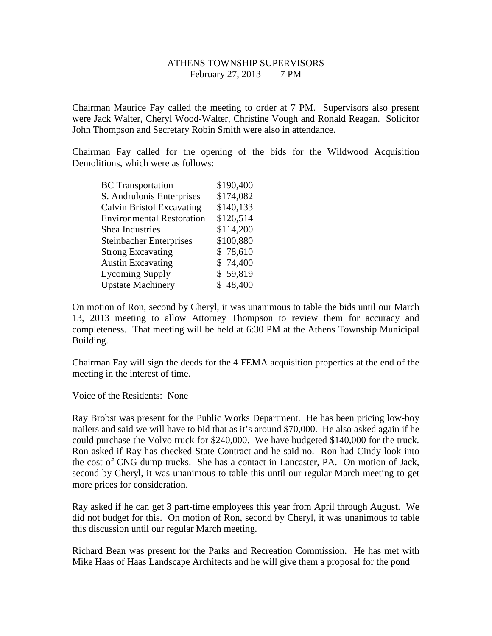# ATHENS TOWNSHIP SUPERVISORS February 27, 2013 7 PM

Chairman Maurice Fay called the meeting to order at 7 PM. Supervisors also present were Jack Walter, Cheryl Wood-Walter, Christine Vough and Ronald Reagan. Solicitor John Thompson and Secretary Robin Smith were also in attendance.

Chairman Fay called for the opening of the bids for the Wildwood Acquisition Demolitions, which were as follows:

| <b>BC</b> Transportation         | \$190,400 |
|----------------------------------|-----------|
| S. Andrulonis Enterprises        | \$174,082 |
| <b>Calvin Bristol Excavating</b> | \$140,133 |
| <b>Environmental Restoration</b> | \$126,514 |
| Shea Industries                  | \$114,200 |
| <b>Steinbacher Enterprises</b>   | \$100,880 |
| <b>Strong Excavating</b>         | \$78,610  |
| <b>Austin Excavating</b>         | \$74,400  |
| <b>Lycoming Supply</b>           | \$59,819  |
| <b>Upstate Machinery</b>         | \$48,400  |

On motion of Ron, second by Cheryl, it was unanimous to table the bids until our March 13, 2013 meeting to allow Attorney Thompson to review them for accuracy and completeness. That meeting will be held at 6:30 PM at the Athens Township Municipal Building.

Chairman Fay will sign the deeds for the 4 FEMA acquisition properties at the end of the meeting in the interest of time.

Voice of the Residents: None

Ray Brobst was present for the Public Works Department. He has been pricing low-boy trailers and said we will have to bid that as it's around \$70,000. He also asked again if he could purchase the Volvo truck for \$240,000. We have budgeted \$140,000 for the truck. Ron asked if Ray has checked State Contract and he said no. Ron had Cindy look into the cost of CNG dump trucks. She has a contact in Lancaster, PA. On motion of Jack, second by Cheryl, it was unanimous to table this until our regular March meeting to get more prices for consideration.

Ray asked if he can get 3 part-time employees this year from April through August. We did not budget for this. On motion of Ron, second by Cheryl, it was unanimous to table this discussion until our regular March meeting.

Richard Bean was present for the Parks and Recreation Commission. He has met with Mike Haas of Haas Landscape Architects and he will give them a proposal for the pond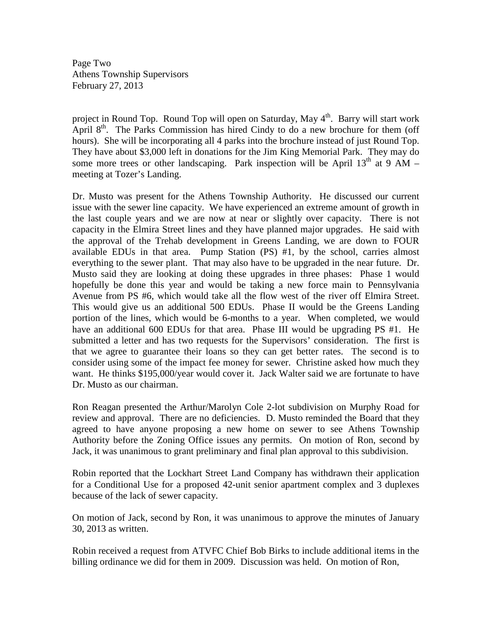Page Two Athens Township Supervisors February 27, 2013

project in Round Top. Round Top will open on Saturday, May 4<sup>th</sup>. Barry will start work April  $8<sup>th</sup>$ . The Parks Commission has hired Cindy to do a new brochure for them (off hours). She will be incorporating all 4 parks into the brochure instead of just Round Top. They have about \$3,000 left in donations for the Jim King Memorial Park. They may do some more trees or other landscaping. Park inspection will be April  $13<sup>th</sup>$  at 9 AM – meeting at Tozer's Landing.

Dr. Musto was present for the Athens Township Authority. He discussed our current issue with the sewer line capacity. We have experienced an extreme amount of growth in the last couple years and we are now at near or slightly over capacity. There is not capacity in the Elmira Street lines and they have planned major upgrades. He said with the approval of the Trehab development in Greens Landing, we are down to FOUR available EDUs in that area. Pump Station (PS) #1, by the school, carries almost everything to the sewer plant. That may also have to be upgraded in the near future. Dr. Musto said they are looking at doing these upgrades in three phases: Phase 1 would hopefully be done this year and would be taking a new force main to Pennsylvania Avenue from PS #6, which would take all the flow west of the river off Elmira Street. This would give us an additional 500 EDUs. Phase II would be the Greens Landing portion of the lines, which would be 6-months to a year. When completed, we would have an additional 600 EDUs for that area. Phase III would be upgrading PS #1. He submitted a letter and has two requests for the Supervisors' consideration. The first is that we agree to guarantee their loans so they can get better rates. The second is to consider using some of the impact fee money for sewer. Christine asked how much they want. He thinks \$195,000/year would cover it. Jack Walter said we are fortunate to have Dr. Musto as our chairman.

Ron Reagan presented the Arthur/Marolyn Cole 2-lot subdivision on Murphy Road for review and approval. There are no deficiencies. D. Musto reminded the Board that they agreed to have anyone proposing a new home on sewer to see Athens Township Authority before the Zoning Office issues any permits. On motion of Ron, second by Jack, it was unanimous to grant preliminary and final plan approval to this subdivision.

Robin reported that the Lockhart Street Land Company has withdrawn their application for a Conditional Use for a proposed 42-unit senior apartment complex and 3 duplexes because of the lack of sewer capacity.

On motion of Jack, second by Ron, it was unanimous to approve the minutes of January 30, 2013 as written.

Robin received a request from ATVFC Chief Bob Birks to include additional items in the billing ordinance we did for them in 2009. Discussion was held. On motion of Ron,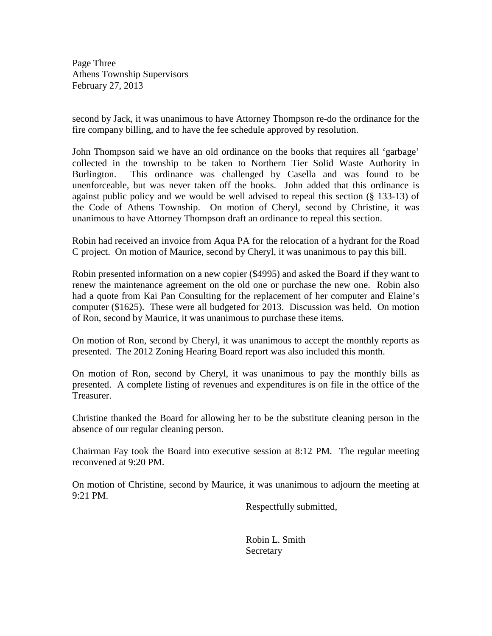Page Three Athens Township Supervisors February 27, 2013

second by Jack, it was unanimous to have Attorney Thompson re-do the ordinance for the fire company billing, and to have the fee schedule approved by resolution.

John Thompson said we have an old ordinance on the books that requires all 'garbage' collected in the township to be taken to Northern Tier Solid Waste Authority in Burlington. This ordinance was challenged by Casella and was found to be unenforceable, but was never taken off the books. John added that this ordinance is against public policy and we would be well advised to repeal this section (§ 133-13) of the Code of Athens Township. On motion of Cheryl, second by Christine, it was unanimous to have Attorney Thompson draft an ordinance to repeal this section.

Robin had received an invoice from Aqua PA for the relocation of a hydrant for the Road C project. On motion of Maurice, second by Cheryl, it was unanimous to pay this bill.

Robin presented information on a new copier (\$4995) and asked the Board if they want to renew the maintenance agreement on the old one or purchase the new one. Robin also had a quote from Kai Pan Consulting for the replacement of her computer and Elaine's computer (\$1625). These were all budgeted for 2013. Discussion was held. On motion of Ron, second by Maurice, it was unanimous to purchase these items.

On motion of Ron, second by Cheryl, it was unanimous to accept the monthly reports as presented. The 2012 Zoning Hearing Board report was also included this month.

On motion of Ron, second by Cheryl, it was unanimous to pay the monthly bills as presented. A complete listing of revenues and expenditures is on file in the office of the Treasurer.

Christine thanked the Board for allowing her to be the substitute cleaning person in the absence of our regular cleaning person.

Chairman Fay took the Board into executive session at 8:12 PM. The regular meeting reconvened at 9:20 PM.

On motion of Christine, second by Maurice, it was unanimous to adjourn the meeting at 9:21 PM.

Respectfully submitted,

 Robin L. Smith Secretary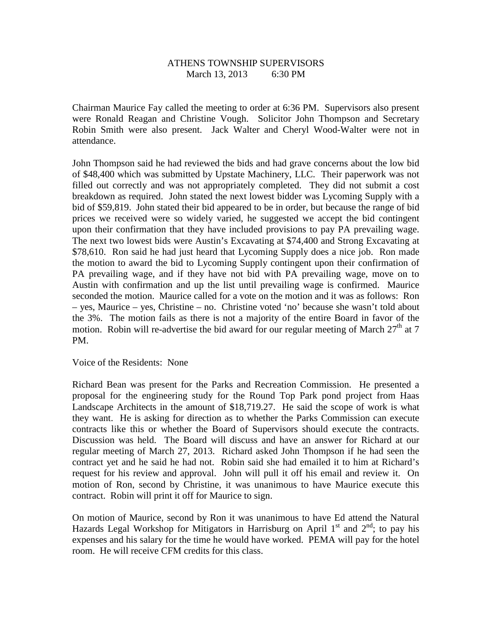# ATHENS TOWNSHIP SUPERVISORS March 13, 2013 6:30 PM

Chairman Maurice Fay called the meeting to order at 6:36 PM. Supervisors also present were Ronald Reagan and Christine Vough. Solicitor John Thompson and Secretary Robin Smith were also present. Jack Walter and Cheryl Wood-Walter were not in attendance.

John Thompson said he had reviewed the bids and had grave concerns about the low bid of \$48,400 which was submitted by Upstate Machinery, LLC. Their paperwork was not filled out correctly and was not appropriately completed. They did not submit a cost breakdown as required. John stated the next lowest bidder was Lycoming Supply with a bid of \$59,819. John stated their bid appeared to be in order, but because the range of bid prices we received were so widely varied, he suggested we accept the bid contingent upon their confirmation that they have included provisions to pay PA prevailing wage. The next two lowest bids were Austin's Excavating at \$74,400 and Strong Excavating at \$78,610. Ron said he had just heard that Lycoming Supply does a nice job. Ron made the motion to award the bid to Lycoming Supply contingent upon their confirmation of PA prevailing wage, and if they have not bid with PA prevailing wage, move on to Austin with confirmation and up the list until prevailing wage is confirmed. Maurice seconded the motion. Maurice called for a vote on the motion and it was as follows: Ron – yes, Maurice – yes, Christine – no. Christine voted 'no' because she wasn't told about the 3%. The motion fails as there is not a majority of the entire Board in favor of the motion. Robin will re-advertise the bid award for our regular meeting of March  $27<sup>th</sup>$  at 7 PM.

### Voice of the Residents: None

Richard Bean was present for the Parks and Recreation Commission. He presented a proposal for the engineering study for the Round Top Park pond project from Haas Landscape Architects in the amount of \$18,719.27. He said the scope of work is what they want. He is asking for direction as to whether the Parks Commission can execute contracts like this or whether the Board of Supervisors should execute the contracts. Discussion was held. The Board will discuss and have an answer for Richard at our regular meeting of March 27, 2013. Richard asked John Thompson if he had seen the contract yet and he said he had not. Robin said she had emailed it to him at Richard's request for his review and approval. John will pull it off his email and review it. On motion of Ron, second by Christine, it was unanimous to have Maurice execute this contract. Robin will print it off for Maurice to sign.

On motion of Maurice, second by Ron it was unanimous to have Ed attend the Natural Hazards Legal Workshop for Mitigators in Harrisburg on April  $1<sup>st</sup>$  and  $2<sup>nd</sup>$ ; to pay his expenses and his salary for the time he would have worked. PEMA will pay for the hotel room. He will receive CFM credits for this class.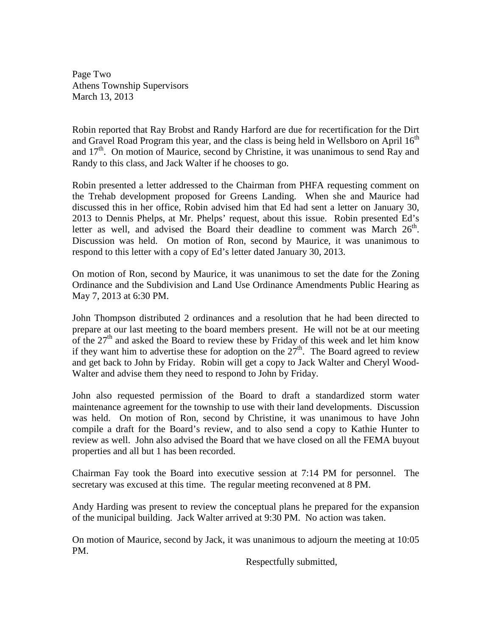Page Two Athens Township Supervisors March 13, 2013

Robin reported that Ray Brobst and Randy Harford are due for recertification for the Dirt and Gravel Road Program this year, and the class is being held in Wellsboro on April  $16<sup>th</sup>$ and  $17<sup>th</sup>$ . On motion of Maurice, second by Christine, it was unanimous to send Ray and Randy to this class, and Jack Walter if he chooses to go.

Robin presented a letter addressed to the Chairman from PHFA requesting comment on the Trehab development proposed for Greens Landing. When she and Maurice had discussed this in her office, Robin advised him that Ed had sent a letter on January 30, 2013 to Dennis Phelps, at Mr. Phelps' request, about this issue. Robin presented Ed's letter as well, and advised the Board their deadline to comment was March  $26<sup>th</sup>$ . Discussion was held. On motion of Ron, second by Maurice, it was unanimous to respond to this letter with a copy of Ed's letter dated January 30, 2013.

On motion of Ron, second by Maurice, it was unanimous to set the date for the Zoning Ordinance and the Subdivision and Land Use Ordinance Amendments Public Hearing as May 7, 2013 at 6:30 PM.

John Thompson distributed 2 ordinances and a resolution that he had been directed to prepare at our last meeting to the board members present. He will not be at our meeting of the  $27<sup>th</sup>$  and asked the Board to review these by Friday of this week and let him know if they want him to advertise these for adoption on the  $27<sup>th</sup>$ . The Board agreed to review and get back to John by Friday. Robin will get a copy to Jack Walter and Cheryl Wood-Walter and advise them they need to respond to John by Friday.

John also requested permission of the Board to draft a standardized storm water maintenance agreement for the township to use with their land developments. Discussion was held. On motion of Ron, second by Christine, it was unanimous to have John compile a draft for the Board's review, and to also send a copy to Kathie Hunter to review as well. John also advised the Board that we have closed on all the FEMA buyout properties and all but 1 has been recorded.

Chairman Fay took the Board into executive session at 7:14 PM for personnel. The secretary was excused at this time. The regular meeting reconvened at 8 PM.

Andy Harding was present to review the conceptual plans he prepared for the expansion of the municipal building. Jack Walter arrived at 9:30 PM. No action was taken.

On motion of Maurice, second by Jack, it was unanimous to adjourn the meeting at 10:05 PM.

Respectfully submitted,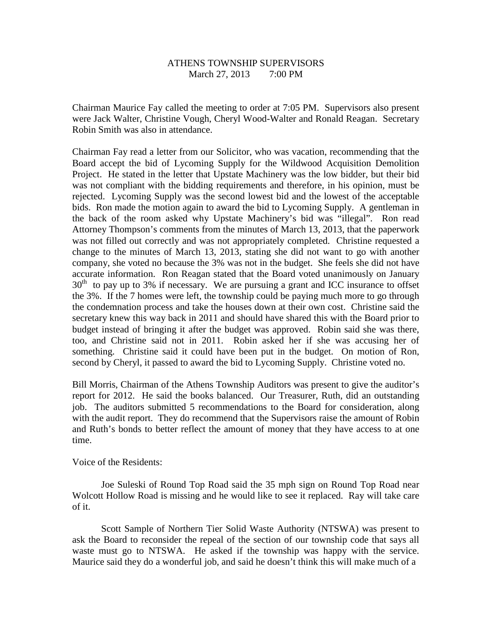## ATHENS TOWNSHIP SUPERVISORS March 27, 2013 7:00 PM

Chairman Maurice Fay called the meeting to order at 7:05 PM. Supervisors also present were Jack Walter, Christine Vough, Cheryl Wood-Walter and Ronald Reagan. Secretary Robin Smith was also in attendance.

Chairman Fay read a letter from our Solicitor, who was vacation, recommending that the Board accept the bid of Lycoming Supply for the Wildwood Acquisition Demolition Project. He stated in the letter that Upstate Machinery was the low bidder, but their bid was not compliant with the bidding requirements and therefore, in his opinion, must be rejected. Lycoming Supply was the second lowest bid and the lowest of the acceptable bids. Ron made the motion again to award the bid to Lycoming Supply. A gentleman in the back of the room asked why Upstate Machinery's bid was "illegal". Ron read Attorney Thompson's comments from the minutes of March 13, 2013, that the paperwork was not filled out correctly and was not appropriately completed. Christine requested a change to the minutes of March 13, 2013, stating she did not want to go with another company, she voted no because the 3% was not in the budget. She feels she did not have accurate information. Ron Reagan stated that the Board voted unanimously on January  $30<sup>th</sup>$  to pay up to 3% if necessary. We are pursuing a grant and ICC insurance to offset the 3%. If the 7 homes were left, the township could be paying much more to go through the condemnation process and take the houses down at their own cost. Christine said the secretary knew this way back in 2011 and should have shared this with the Board prior to budget instead of bringing it after the budget was approved. Robin said she was there, too, and Christine said not in 2011. Robin asked her if she was accusing her of something. Christine said it could have been put in the budget. On motion of Ron, second by Cheryl, it passed to award the bid to Lycoming Supply. Christine voted no.

Bill Morris, Chairman of the Athens Township Auditors was present to give the auditor's report for 2012. He said the books balanced. Our Treasurer, Ruth, did an outstanding job. The auditors submitted 5 recommendations to the Board for consideration, along with the audit report. They do recommend that the Supervisors raise the amount of Robin and Ruth's bonds to better reflect the amount of money that they have access to at one time.

#### Voice of the Residents:

 Joe Suleski of Round Top Road said the 35 mph sign on Round Top Road near Wolcott Hollow Road is missing and he would like to see it replaced. Ray will take care of it.

 Scott Sample of Northern Tier Solid Waste Authority (NTSWA) was present to ask the Board to reconsider the repeal of the section of our township code that says all waste must go to NTSWA. He asked if the township was happy with the service. Maurice said they do a wonderful job, and said he doesn't think this will make much of a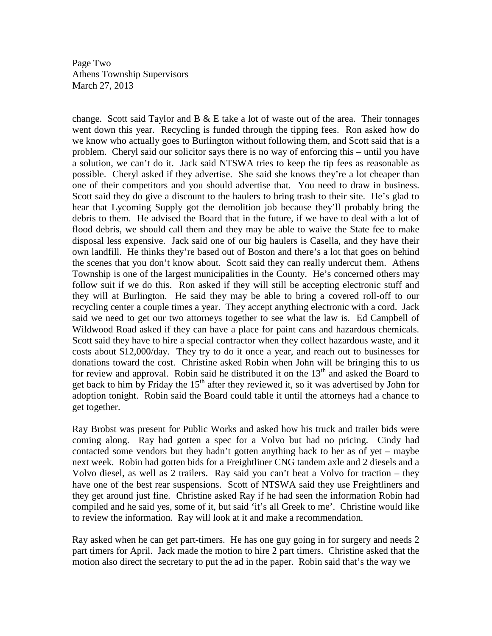Page Two Athens Township Supervisors March 27, 2013

change. Scott said Taylor and B  $&$  E take a lot of waste out of the area. Their tonnages went down this year. Recycling is funded through the tipping fees. Ron asked how do we know who actually goes to Burlington without following them, and Scott said that is a problem. Cheryl said our solicitor says there is no way of enforcing this – until you have a solution, we can't do it. Jack said NTSWA tries to keep the tip fees as reasonable as possible. Cheryl asked if they advertise. She said she knows they're a lot cheaper than one of their competitors and you should advertise that. You need to draw in business. Scott said they do give a discount to the haulers to bring trash to their site. He's glad to hear that Lycoming Supply got the demolition job because they'll probably bring the debris to them. He advised the Board that in the future, if we have to deal with a lot of flood debris, we should call them and they may be able to waive the State fee to make disposal less expensive. Jack said one of our big haulers is Casella, and they have their own landfill. He thinks they're based out of Boston and there's a lot that goes on behind the scenes that you don't know about. Scott said they can really undercut them. Athens Township is one of the largest municipalities in the County. He's concerned others may follow suit if we do this. Ron asked if they will still be accepting electronic stuff and they will at Burlington. He said they may be able to bring a covered roll-off to our recycling center a couple times a year. They accept anything electronic with a cord. Jack said we need to get our two attorneys together to see what the law is. Ed Campbell of Wildwood Road asked if they can have a place for paint cans and hazardous chemicals. Scott said they have to hire a special contractor when they collect hazardous waste, and it costs about \$12,000/day. They try to do it once a year, and reach out to businesses for donations toward the cost. Christine asked Robin when John will be bringing this to us for review and approval. Robin said he distributed it on the  $13<sup>th</sup>$  and asked the Board to get back to him by Friday the  $15<sup>th</sup>$  after they reviewed it, so it was advertised by John for adoption tonight. Robin said the Board could table it until the attorneys had a chance to get together.

Ray Brobst was present for Public Works and asked how his truck and trailer bids were coming along. Ray had gotten a spec for a Volvo but had no pricing. Cindy had contacted some vendors but they hadn't gotten anything back to her as of yet – maybe next week. Robin had gotten bids for a Freightliner CNG tandem axle and 2 diesels and a Volvo diesel, as well as 2 trailers. Ray said you can't beat a Volvo for traction – they have one of the best rear suspensions. Scott of NTSWA said they use Freightliners and they get around just fine. Christine asked Ray if he had seen the information Robin had compiled and he said yes, some of it, but said 'it's all Greek to me'. Christine would like to review the information. Ray will look at it and make a recommendation.

Ray asked when he can get part-timers. He has one guy going in for surgery and needs 2 part timers for April. Jack made the motion to hire 2 part timers. Christine asked that the motion also direct the secretary to put the ad in the paper. Robin said that's the way we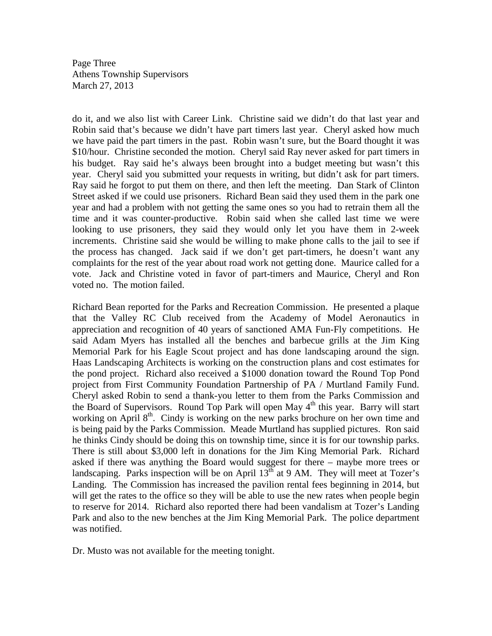Page Three Athens Township Supervisors March 27, 2013

do it, and we also list with Career Link. Christine said we didn't do that last year and Robin said that's because we didn't have part timers last year. Cheryl asked how much we have paid the part timers in the past. Robin wasn't sure, but the Board thought it was \$10/hour. Christine seconded the motion. Cheryl said Ray never asked for part timers in his budget. Ray said he's always been brought into a budget meeting but wasn't this year. Cheryl said you submitted your requests in writing, but didn't ask for part timers. Ray said he forgot to put them on there, and then left the meeting. Dan Stark of Clinton Street asked if we could use prisoners. Richard Bean said they used them in the park one year and had a problem with not getting the same ones so you had to retrain them all the time and it was counter-productive. Robin said when she called last time we were looking to use prisoners, they said they would only let you have them in 2-week increments. Christine said she would be willing to make phone calls to the jail to see if the process has changed. Jack said if we don't get part-timers, he doesn't want any complaints for the rest of the year about road work not getting done. Maurice called for a vote. Jack and Christine voted in favor of part-timers and Maurice, Cheryl and Ron voted no. The motion failed.

Richard Bean reported for the Parks and Recreation Commission. He presented a plaque that the Valley RC Club received from the Academy of Model Aeronautics in appreciation and recognition of 40 years of sanctioned AMA Fun-Fly competitions. He said Adam Myers has installed all the benches and barbecue grills at the Jim King Memorial Park for his Eagle Scout project and has done landscaping around the sign. Haas Landscaping Architects is working on the construction plans and cost estimates for the pond project. Richard also received a \$1000 donation toward the Round Top Pond project from First Community Foundation Partnership of PA / Murtland Family Fund. Cheryl asked Robin to send a thank-you letter to them from the Parks Commission and the Board of Supervisors. Round Top Park will open May  $4<sup>th</sup>$  this year. Barry will start working on April 8<sup>th</sup>. Cindy is working on the new parks brochure on her own time and is being paid by the Parks Commission. Meade Murtland has supplied pictures. Ron said he thinks Cindy should be doing this on township time, since it is for our township parks. There is still about \$3,000 left in donations for the Jim King Memorial Park. Richard asked if there was anything the Board would suggest for there – maybe more trees or landscaping. Parks inspection will be on April  $13^{th}$  at 9 AM. They will meet at Tozer's Landing. The Commission has increased the pavilion rental fees beginning in 2014, but will get the rates to the office so they will be able to use the new rates when people begin to reserve for 2014. Richard also reported there had been vandalism at Tozer's Landing Park and also to the new benches at the Jim King Memorial Park. The police department was notified.

Dr. Musto was not available for the meeting tonight.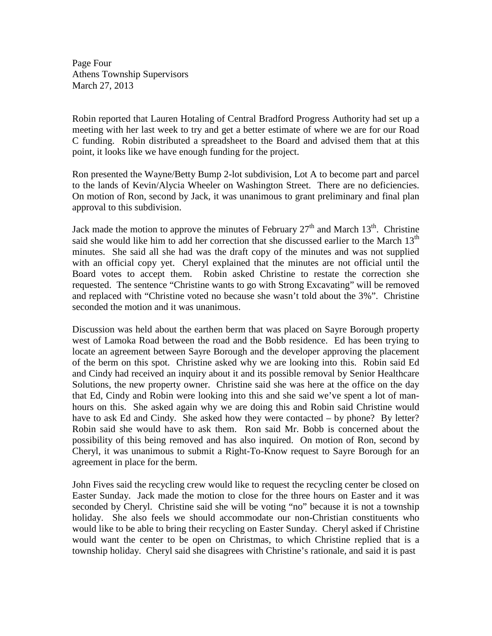Page Four Athens Township Supervisors March 27, 2013

Robin reported that Lauren Hotaling of Central Bradford Progress Authority had set up a meeting with her last week to try and get a better estimate of where we are for our Road C funding. Robin distributed a spreadsheet to the Board and advised them that at this point, it looks like we have enough funding for the project.

Ron presented the Wayne/Betty Bump 2-lot subdivision, Lot A to become part and parcel to the lands of Kevin/Alycia Wheeler on Washington Street. There are no deficiencies. On motion of Ron, second by Jack, it was unanimous to grant preliminary and final plan approval to this subdivision.

Jack made the motion to approve the minutes of February  $27<sup>th</sup>$  and March  $13<sup>th</sup>$ . Christine said she would like him to add her correction that she discussed earlier to the March  $13<sup>th</sup>$ minutes. She said all she had was the draft copy of the minutes and was not supplied with an official copy yet. Cheryl explained that the minutes are not official until the Board votes to accept them. Robin asked Christine to restate the correction she requested. The sentence "Christine wants to go with Strong Excavating" will be removed and replaced with "Christine voted no because she wasn't told about the 3%". Christine seconded the motion and it was unanimous.

Discussion was held about the earthen berm that was placed on Sayre Borough property west of Lamoka Road between the road and the Bobb residence. Ed has been trying to locate an agreement between Sayre Borough and the developer approving the placement of the berm on this spot. Christine asked why we are looking into this. Robin said Ed and Cindy had received an inquiry about it and its possible removal by Senior Healthcare Solutions, the new property owner. Christine said she was here at the office on the day that Ed, Cindy and Robin were looking into this and she said we've spent a lot of manhours on this. She asked again why we are doing this and Robin said Christine would have to ask Ed and Cindy. She asked how they were contacted – by phone? By letter? Robin said she would have to ask them. Ron said Mr. Bobb is concerned about the possibility of this being removed and has also inquired. On motion of Ron, second by Cheryl, it was unanimous to submit a Right-To-Know request to Sayre Borough for an agreement in place for the berm.

John Fives said the recycling crew would like to request the recycling center be closed on Easter Sunday. Jack made the motion to close for the three hours on Easter and it was seconded by Cheryl. Christine said she will be voting "no" because it is not a township holiday. She also feels we should accommodate our non-Christian constituents who would like to be able to bring their recycling on Easter Sunday. Cheryl asked if Christine would want the center to be open on Christmas, to which Christine replied that is a township holiday. Cheryl said she disagrees with Christine's rationale, and said it is past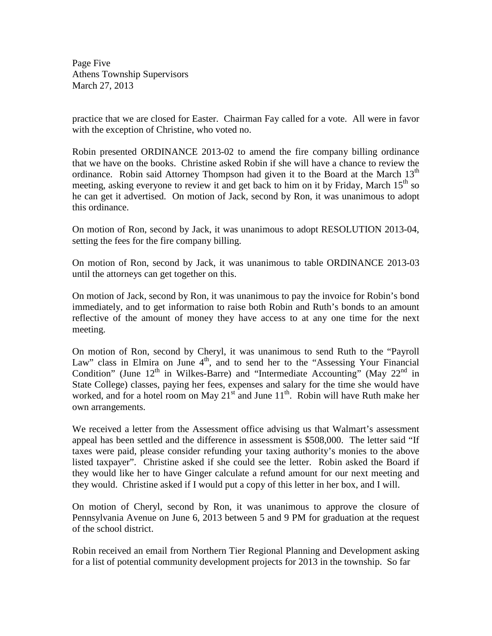Page Five Athens Township Supervisors March 27, 2013

practice that we are closed for Easter. Chairman Fay called for a vote. All were in favor with the exception of Christine, who voted no.

Robin presented ORDINANCE 2013-02 to amend the fire company billing ordinance that we have on the books. Christine asked Robin if she will have a chance to review the ordinance. Robin said Attorney Thompson had given it to the Board at the March 13<sup>th</sup> meeting, asking everyone to review it and get back to him on it by Friday, March  $15<sup>th</sup>$  so he can get it advertised. On motion of Jack, second by Ron, it was unanimous to adopt this ordinance.

On motion of Ron, second by Jack, it was unanimous to adopt RESOLUTION 2013-04, setting the fees for the fire company billing.

On motion of Ron, second by Jack, it was unanimous to table ORDINANCE 2013-03 until the attorneys can get together on this.

On motion of Jack, second by Ron, it was unanimous to pay the invoice for Robin's bond immediately, and to get information to raise both Robin and Ruth's bonds to an amount reflective of the amount of money they have access to at any one time for the next meeting.

On motion of Ron, second by Cheryl, it was unanimous to send Ruth to the "Payroll Law" class in Elmira on June  $4<sup>th</sup>$ , and to send her to the "Assessing Your Financial Condition" (June  $12<sup>th</sup>$  in Wilkes-Barre) and "Intermediate Accounting" (May  $22<sup>nd</sup>$  in State College) classes, paying her fees, expenses and salary for the time she would have worked, and for a hotel room on May  $21<sup>st</sup>$  and June  $11<sup>th</sup>$ . Robin will have Ruth make her own arrangements.

We received a letter from the Assessment office advising us that Walmart's assessment appeal has been settled and the difference in assessment is \$508,000. The letter said "If taxes were paid, please consider refunding your taxing authority's monies to the above listed taxpayer". Christine asked if she could see the letter. Robin asked the Board if they would like her to have Ginger calculate a refund amount for our next meeting and they would. Christine asked if I would put a copy of this letter in her box, and I will.

On motion of Cheryl, second by Ron, it was unanimous to approve the closure of Pennsylvania Avenue on June 6, 2013 between 5 and 9 PM for graduation at the request of the school district.

Robin received an email from Northern Tier Regional Planning and Development asking for a list of potential community development projects for 2013 in the township. So far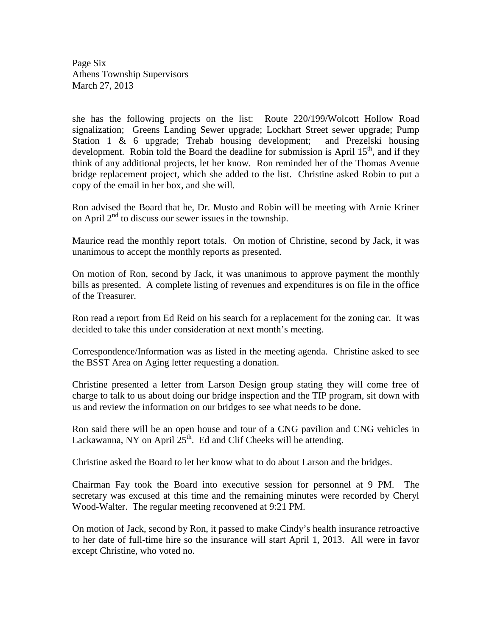Page Six Athens Township Supervisors March 27, 2013

she has the following projects on the list: Route 220/199/Wolcott Hollow Road signalization; Greens Landing Sewer upgrade; Lockhart Street sewer upgrade; Pump Station 1 & 6 upgrade; Trehab housing development; and Prezelski housing development. Robin told the Board the deadline for submission is April  $15<sup>th</sup>$ , and if they think of any additional projects, let her know. Ron reminded her of the Thomas Avenue bridge replacement project, which she added to the list. Christine asked Robin to put a copy of the email in her box, and she will.

Ron advised the Board that he, Dr. Musto and Robin will be meeting with Arnie Kriner on April  $2<sup>nd</sup>$  to discuss our sewer issues in the township.

Maurice read the monthly report totals. On motion of Christine, second by Jack, it was unanimous to accept the monthly reports as presented.

On motion of Ron, second by Jack, it was unanimous to approve payment the monthly bills as presented. A complete listing of revenues and expenditures is on file in the office of the Treasurer.

Ron read a report from Ed Reid on his search for a replacement for the zoning car. It was decided to take this under consideration at next month's meeting.

Correspondence/Information was as listed in the meeting agenda. Christine asked to see the BSST Area on Aging letter requesting a donation.

Christine presented a letter from Larson Design group stating they will come free of charge to talk to us about doing our bridge inspection and the TIP program, sit down with us and review the information on our bridges to see what needs to be done.

Ron said there will be an open house and tour of a CNG pavilion and CNG vehicles in Lackawanna, NY on April  $25<sup>th</sup>$ . Ed and Clif Cheeks will be attending.

Christine asked the Board to let her know what to do about Larson and the bridges.

Chairman Fay took the Board into executive session for personnel at 9 PM. The secretary was excused at this time and the remaining minutes were recorded by Cheryl Wood-Walter. The regular meeting reconvened at 9:21 PM.

On motion of Jack, second by Ron, it passed to make Cindy's health insurance retroactive to her date of full-time hire so the insurance will start April 1, 2013. All were in favor except Christine, who voted no.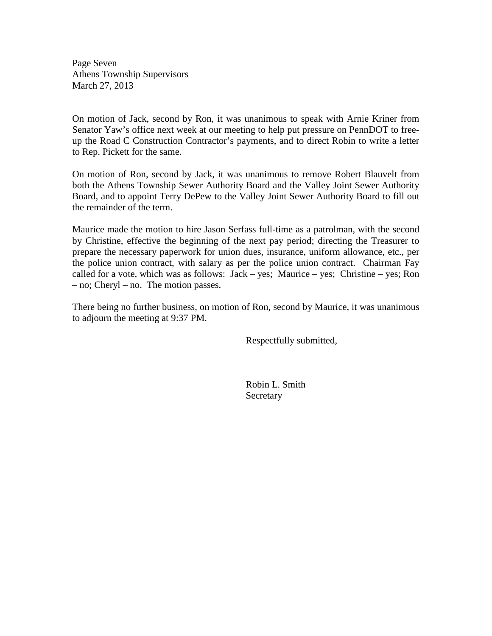Page Seven Athens Township Supervisors March 27, 2013

On motion of Jack, second by Ron, it was unanimous to speak with Arnie Kriner from Senator Yaw's office next week at our meeting to help put pressure on PennDOT to freeup the Road C Construction Contractor's payments, and to direct Robin to write a letter to Rep. Pickett for the same.

On motion of Ron, second by Jack, it was unanimous to remove Robert Blauvelt from both the Athens Township Sewer Authority Board and the Valley Joint Sewer Authority Board, and to appoint Terry DePew to the Valley Joint Sewer Authority Board to fill out the remainder of the term.

Maurice made the motion to hire Jason Serfass full-time as a patrolman, with the second by Christine, effective the beginning of the next pay period; directing the Treasurer to prepare the necessary paperwork for union dues, insurance, uniform allowance, etc., per the police union contract, with salary as per the police union contract. Chairman Fay called for a vote, which was as follows: Jack – yes; Maurice – yes; Christine – yes; Ron – no; Cheryl – no. The motion passes.

There being no further business, on motion of Ron, second by Maurice, it was unanimous to adjourn the meeting at 9:37 PM.

Respectfully submitted,

 Robin L. Smith Secretary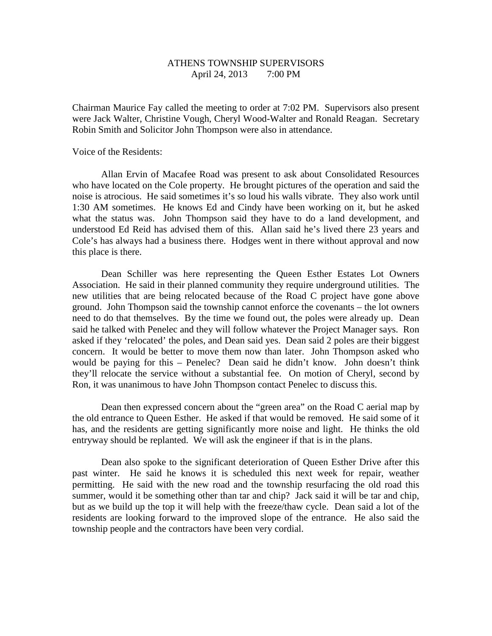# ATHENS TOWNSHIP SUPERVISORS April 24, 2013 7:00 PM

Chairman Maurice Fay called the meeting to order at 7:02 PM. Supervisors also present were Jack Walter, Christine Vough, Cheryl Wood-Walter and Ronald Reagan. Secretary Robin Smith and Solicitor John Thompson were also in attendance.

Voice of the Residents:

 Allan Ervin of Macafee Road was present to ask about Consolidated Resources who have located on the Cole property. He brought pictures of the operation and said the noise is atrocious. He said sometimes it's so loud his walls vibrate. They also work until 1:30 AM sometimes. He knows Ed and Cindy have been working on it, but he asked what the status was. John Thompson said they have to do a land development, and understood Ed Reid has advised them of this. Allan said he's lived there 23 years and Cole's has always had a business there. Hodges went in there without approval and now this place is there.

 Dean Schiller was here representing the Queen Esther Estates Lot Owners Association. He said in their planned community they require underground utilities. The new utilities that are being relocated because of the Road C project have gone above ground. John Thompson said the township cannot enforce the covenants – the lot owners need to do that themselves. By the time we found out, the poles were already up. Dean said he talked with Penelec and they will follow whatever the Project Manager says. Ron asked if they 'relocated' the poles, and Dean said yes. Dean said 2 poles are their biggest concern. It would be better to move them now than later. John Thompson asked who would be paying for this – Penelec? Dean said he didn't know. John doesn't think they'll relocate the service without a substantial fee. On motion of Cheryl, second by Ron, it was unanimous to have John Thompson contact Penelec to discuss this.

 Dean then expressed concern about the "green area" on the Road C aerial map by the old entrance to Queen Esther. He asked if that would be removed. He said some of it has, and the residents are getting significantly more noise and light. He thinks the old entryway should be replanted. We will ask the engineer if that is in the plans.

 Dean also spoke to the significant deterioration of Queen Esther Drive after this past winter. He said he knows it is scheduled this next week for repair, weather permitting. He said with the new road and the township resurfacing the old road this summer, would it be something other than tar and chip? Jack said it will be tar and chip, but as we build up the top it will help with the freeze/thaw cycle. Dean said a lot of the residents are looking forward to the improved slope of the entrance. He also said the township people and the contractors have been very cordial.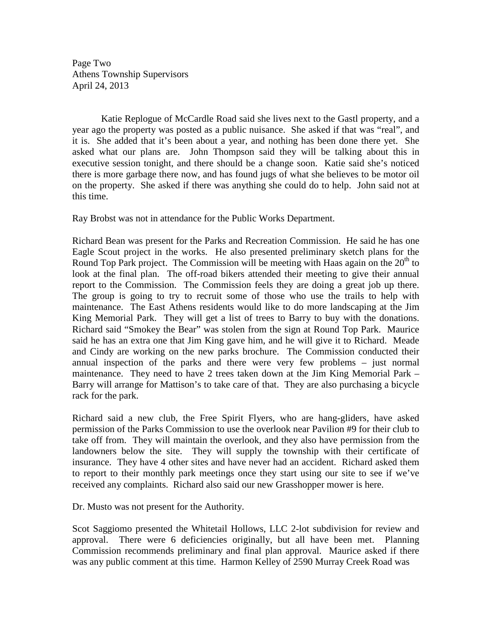Page Two Athens Township Supervisors April 24, 2013

Katie Replogue of McCardle Road said she lives next to the Gastl property, and a year ago the property was posted as a public nuisance. She asked if that was "real", and it is. She added that it's been about a year, and nothing has been done there yet. She asked what our plans are. John Thompson said they will be talking about this in executive session tonight, and there should be a change soon. Katie said she's noticed there is more garbage there now, and has found jugs of what she believes to be motor oil on the property. She asked if there was anything she could do to help. John said not at this time.

Ray Brobst was not in attendance for the Public Works Department.

Richard Bean was present for the Parks and Recreation Commission. He said he has one Eagle Scout project in the works. He also presented preliminary sketch plans for the Round Top Park project. The Commission will be meeting with Haas again on the  $20<sup>th</sup>$  to look at the final plan. The off-road bikers attended their meeting to give their annual report to the Commission. The Commission feels they are doing a great job up there. The group is going to try to recruit some of those who use the trails to help with maintenance. The East Athens residents would like to do more landscaping at the Jim King Memorial Park. They will get a list of trees to Barry to buy with the donations. Richard said "Smokey the Bear" was stolen from the sign at Round Top Park. Maurice said he has an extra one that Jim King gave him, and he will give it to Richard. Meade and Cindy are working on the new parks brochure. The Commission conducted their annual inspection of the parks and there were very few problems – just normal maintenance. They need to have 2 trees taken down at the Jim King Memorial Park – Barry will arrange for Mattison's to take care of that. They are also purchasing a bicycle rack for the park.

Richard said a new club, the Free Spirit Flyers, who are hang-gliders, have asked permission of the Parks Commission to use the overlook near Pavilion #9 for their club to take off from. They will maintain the overlook, and they also have permission from the landowners below the site. They will supply the township with their certificate of insurance. They have 4 other sites and have never had an accident. Richard asked them to report to their monthly park meetings once they start using our site to see if we've received any complaints. Richard also said our new Grasshopper mower is here.

Dr. Musto was not present for the Authority.

Scot Saggiomo presented the Whitetail Hollows, LLC 2-lot subdivision for review and approval. There were 6 deficiencies originally, but all have been met. Planning Commission recommends preliminary and final plan approval. Maurice asked if there was any public comment at this time. Harmon Kelley of 2590 Murray Creek Road was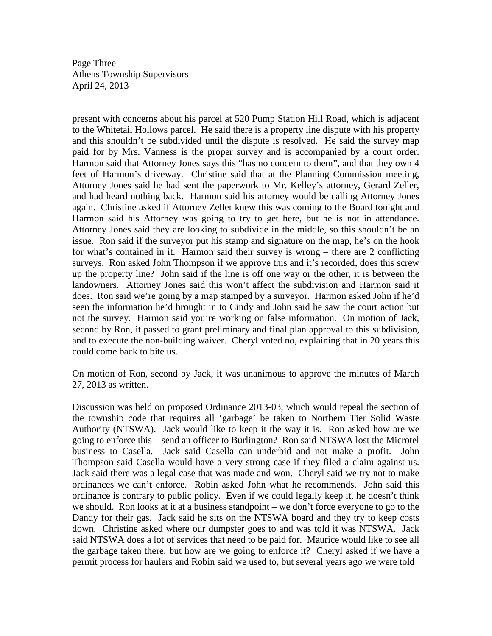Page Three Athens Township Supervisors April 24, 2013

present with concerns about his parcel at 520 Pump Station Hill Road, which is adjacent to the Whitetail Hollows parcel. He said there is a property line dispute with his property and this shouldn't be subdivided until the dispute is resolved. He said the survey map paid for by Mrs. Vanness is the proper survey and is accompanied by a court order. Harmon said that Attorney Jones says this "has no concern to them", and that they own 4 feet of Harmon's driveway. Christine said that at the Planning Commission meeting, Attorney Jones said he had sent the paperwork to Mr. Kelley's attorney, Gerard Zeller, and had heard nothing back. Harmon said his attorney would be calling Attorney Jones again. Christine asked if Attorney Zeller knew this was coming to the Board tonight and Harmon said his Attorney was going to try to get here, but he is not in attendance. Attorney Jones said they are looking to subdivide in the middle, so this shouldn't be an issue. Ron said if the surveyor put his stamp and signature on the map, he's on the hook for what's contained in it. Harmon said their survey is wrong – there are 2 conflicting surveys. Ron asked John Thompson if we approve this and it's recorded, does this screw up the property line? John said if the line is off one way or the other, it is between the landowners. Attorney Jones said this won't affect the subdivision and Harmon said it does. Ron said we're going by a map stamped by a surveyor. Harmon asked John if he'd seen the information he'd brought in to Cindy and John said he saw the court action but not the survey. Harmon said you're working on false information. On motion of Jack, second by Ron, it passed to grant preliminary and final plan approval to this subdivision, and to execute the non-building waiver. Cheryl voted no, explaining that in 20 years this could come back to bite us.

On motion of Ron, second by Jack, it was unanimous to approve the minutes of March 27, 2013 as written.

Discussion was held on proposed Ordinance 2013-03, which would repeal the section of the township code that requires all 'garbage' be taken to Northern Tier Solid Waste Authority (NTSWA). Jack would like to keep it the way it is. Ron asked how are we going to enforce this – send an officer to Burlington? Ron said NTSWA lost the Microtel business to Casella. Jack said Casella can underbid and not make a profit. John Thompson said Casella would have a very strong case if they filed a claim against us. Jack said there was a legal case that was made and won. Cheryl said we try not to make ordinances we can't enforce. Robin asked John what he recommends. John said this ordinance is contrary to public policy. Even if we could legally keep it, he doesn't think we should. Ron looks at it at a business standpoint – we don't force everyone to go to the Dandy for their gas. Jack said he sits on the NTSWA board and they try to keep costs down. Christine asked where our dumpster goes to and was told it was NTSWA. Jack said NTSWA does a lot of services that need to be paid for. Maurice would like to see all the garbage taken there, but how are we going to enforce it? Cheryl asked if we have a permit process for haulers and Robin said we used to, but several years ago we were told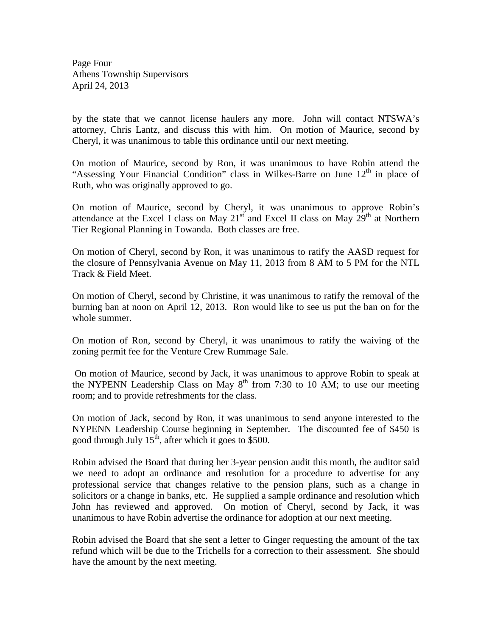Page Four Athens Township Supervisors April 24, 2013

by the state that we cannot license haulers any more. John will contact NTSWA's attorney, Chris Lantz, and discuss this with him. On motion of Maurice, second by Cheryl, it was unanimous to table this ordinance until our next meeting.

On motion of Maurice, second by Ron, it was unanimous to have Robin attend the "Assessing Your Financial Condition" class in Wilkes-Barre on June  $12<sup>th</sup>$  in place of Ruth, who was originally approved to go.

On motion of Maurice, second by Cheryl, it was unanimous to approve Robin's attendance at the Excel I class on May 21 $^{\rm st}$  and Excel II class on May 29 $^{\rm th}$  at Northern Tier Regional Planning in Towanda. Both classes are free.

On motion of Cheryl, second by Ron, it was unanimous to ratify the AASD request for the closure of Pennsylvania Avenue on May 11, 2013 from 8 AM to 5 PM for the NTL Track & Field Meet.

On motion of Cheryl, second by Christine, it was unanimous to ratify the removal of the burning ban at noon on April 12, 2013. Ron would like to see us put the ban on for the whole summer.

On motion of Ron, second by Cheryl, it was unanimous to ratify the waiving of the zoning permit fee for the Venture Crew Rummage Sale.

 On motion of Maurice, second by Jack, it was unanimous to approve Robin to speak at the NYPENN Leadership Class on May  $8^{th}$  from 7:30 to 10 AM; to use our meeting room; and to provide refreshments for the class.

On motion of Jack, second by Ron, it was unanimous to send anyone interested to the NYPENN Leadership Course beginning in September. The discounted fee of \$450 is good through July  $15<sup>th</sup>$ , after which it goes to \$500.

Robin advised the Board that during her 3-year pension audit this month, the auditor said we need to adopt an ordinance and resolution for a procedure to advertise for any professional service that changes relative to the pension plans, such as a change in solicitors or a change in banks, etc. He supplied a sample ordinance and resolution which John has reviewed and approved. On motion of Cheryl, second by Jack, it was unanimous to have Robin advertise the ordinance for adoption at our next meeting.

Robin advised the Board that she sent a letter to Ginger requesting the amount of the tax refund which will be due to the Trichells for a correction to their assessment. She should have the amount by the next meeting.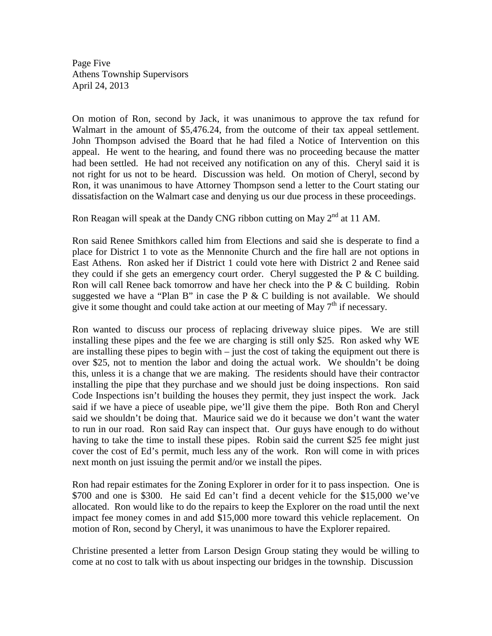Page Five Athens Township Supervisors April 24, 2013

On motion of Ron, second by Jack, it was unanimous to approve the tax refund for Walmart in the amount of \$5,476.24, from the outcome of their tax appeal settlement. John Thompson advised the Board that he had filed a Notice of Intervention on this appeal. He went to the hearing, and found there was no proceeding because the matter had been settled. He had not received any notification on any of this. Cheryl said it is not right for us not to be heard. Discussion was held. On motion of Cheryl, second by Ron, it was unanimous to have Attorney Thompson send a letter to the Court stating our dissatisfaction on the Walmart case and denying us our due process in these proceedings.

Ron Reagan will speak at the Dandy CNG ribbon cutting on May  $2^{nd}$  at 11 AM.

Ron said Renee Smithkors called him from Elections and said she is desperate to find a place for District 1 to vote as the Mennonite Church and the fire hall are not options in East Athens. Ron asked her if District 1 could vote here with District 2 and Renee said they could if she gets an emergency court order. Cheryl suggested the  $P \& C$  building. Ron will call Renee back tomorrow and have her check into the  $P \& C$  building. Robin suggested we have a "Plan B" in case the P  $&$  C building is not available. We should give it some thought and could take action at our meeting of May  $7<sup>th</sup>$  if necessary.

Ron wanted to discuss our process of replacing driveway sluice pipes. We are still installing these pipes and the fee we are charging is still only \$25. Ron asked why WE are installing these pipes to begin with – just the cost of taking the equipment out there is over \$25, not to mention the labor and doing the actual work. We shouldn't be doing this, unless it is a change that we are making. The residents should have their contractor installing the pipe that they purchase and we should just be doing inspections. Ron said Code Inspections isn't building the houses they permit, they just inspect the work. Jack said if we have a piece of useable pipe, we'll give them the pipe. Both Ron and Cheryl said we shouldn't be doing that. Maurice said we do it because we don't want the water to run in our road. Ron said Ray can inspect that. Our guys have enough to do without having to take the time to install these pipes. Robin said the current \$25 fee might just cover the cost of Ed's permit, much less any of the work. Ron will come in with prices next month on just issuing the permit and/or we install the pipes.

Ron had repair estimates for the Zoning Explorer in order for it to pass inspection. One is \$700 and one is \$300. He said Ed can't find a decent vehicle for the \$15,000 we've allocated. Ron would like to do the repairs to keep the Explorer on the road until the next impact fee money comes in and add \$15,000 more toward this vehicle replacement. On motion of Ron, second by Cheryl, it was unanimous to have the Explorer repaired.

Christine presented a letter from Larson Design Group stating they would be willing to come at no cost to talk with us about inspecting our bridges in the township. Discussion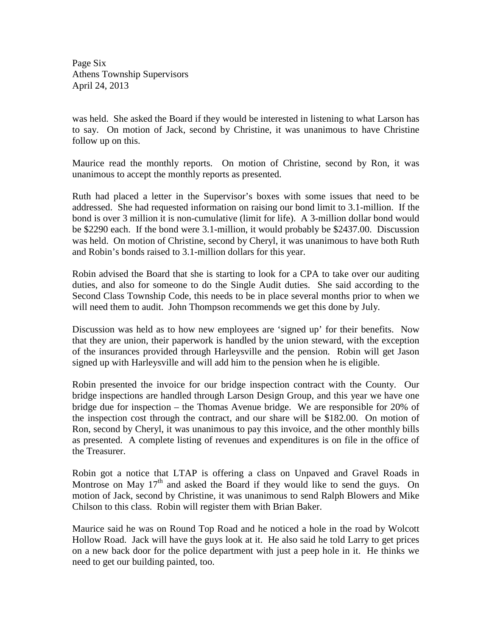Page Six Athens Township Supervisors April 24, 2013

was held. She asked the Board if they would be interested in listening to what Larson has to say. On motion of Jack, second by Christine, it was unanimous to have Christine follow up on this.

Maurice read the monthly reports. On motion of Christine, second by Ron, it was unanimous to accept the monthly reports as presented.

Ruth had placed a letter in the Supervisor's boxes with some issues that need to be addressed. She had requested information on raising our bond limit to 3.1-million. If the bond is over 3 million it is non-cumulative (limit for life). A 3-million dollar bond would be \$2290 each. If the bond were 3.1-million, it would probably be \$2437.00. Discussion was held. On motion of Christine, second by Cheryl, it was unanimous to have both Ruth and Robin's bonds raised to 3.1-million dollars for this year.

Robin advised the Board that she is starting to look for a CPA to take over our auditing duties, and also for someone to do the Single Audit duties. She said according to the Second Class Township Code, this needs to be in place several months prior to when we will need them to audit. John Thompson recommends we get this done by July.

Discussion was held as to how new employees are 'signed up' for their benefits. Now that they are union, their paperwork is handled by the union steward, with the exception of the insurances provided through Harleysville and the pension. Robin will get Jason signed up with Harleysville and will add him to the pension when he is eligible.

Robin presented the invoice for our bridge inspection contract with the County. Our bridge inspections are handled through Larson Design Group, and this year we have one bridge due for inspection – the Thomas Avenue bridge. We are responsible for 20% of the inspection cost through the contract, and our share will be \$182.00. On motion of Ron, second by Cheryl, it was unanimous to pay this invoice, and the other monthly bills as presented. A complete listing of revenues and expenditures is on file in the office of the Treasurer.

Robin got a notice that LTAP is offering a class on Unpaved and Gravel Roads in Montrose on May  $17<sup>th</sup>$  and asked the Board if they would like to send the guys. On motion of Jack, second by Christine, it was unanimous to send Ralph Blowers and Mike Chilson to this class. Robin will register them with Brian Baker.

Maurice said he was on Round Top Road and he noticed a hole in the road by Wolcott Hollow Road. Jack will have the guys look at it. He also said he told Larry to get prices on a new back door for the police department with just a peep hole in it. He thinks we need to get our building painted, too.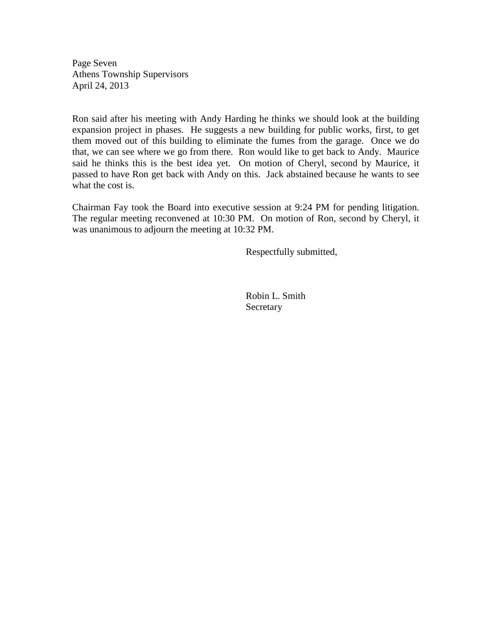Page Seven Athens Township Supervisors April 24, 2013

Ron said after his meeting with Andy Harding he thinks we should look at the building expansion project in phases. He suggests a new building for public works, first, to get them moved out of this building to eliminate the fumes from the garage. Once we do that, we can see where we go from there. Ron would like to get back to Andy. Maurice said he thinks this is the best idea yet. On motion of Cheryl, second by Maurice, it passed to have Ron get back with Andy on this. Jack abstained because he wants to see what the cost is.

Chairman Fay took the Board into executive session at 9:24 PM for pending litigation. The regular meeting reconvened at 10:30 PM. On motion of Ron, second by Cheryl, it was unanimous to adjourn the meeting at 10:32 PM.

Respectfully submitted,

 Robin L. Smith Secretary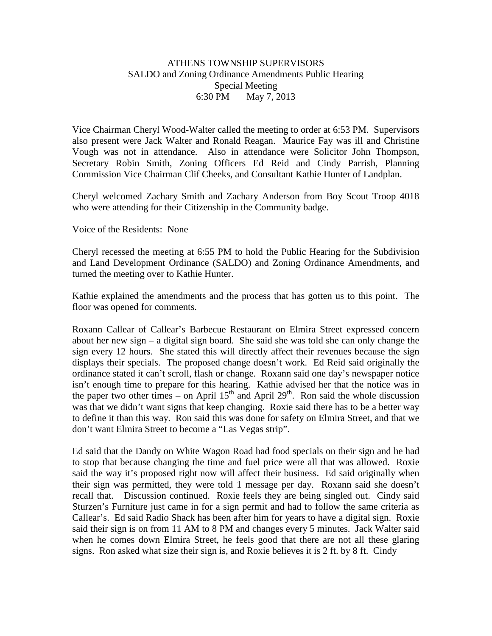# ATHENS TOWNSHIP SUPERVISORS SALDO and Zoning Ordinance Amendments Public Hearing Special Meeting 6:30 PM May 7, 2013

Vice Chairman Cheryl Wood-Walter called the meeting to order at 6:53 PM. Supervisors also present were Jack Walter and Ronald Reagan. Maurice Fay was ill and Christine Vough was not in attendance. Also in attendance were Solicitor John Thompson, Secretary Robin Smith, Zoning Officers Ed Reid and Cindy Parrish, Planning Commission Vice Chairman Clif Cheeks, and Consultant Kathie Hunter of Landplan.

Cheryl welcomed Zachary Smith and Zachary Anderson from Boy Scout Troop 4018 who were attending for their Citizenship in the Community badge.

Voice of the Residents: None

Cheryl recessed the meeting at 6:55 PM to hold the Public Hearing for the Subdivision and Land Development Ordinance (SALDO) and Zoning Ordinance Amendments, and turned the meeting over to Kathie Hunter.

Kathie explained the amendments and the process that has gotten us to this point. The floor was opened for comments.

Roxann Callear of Callear's Barbecue Restaurant on Elmira Street expressed concern about her new sign – a digital sign board. She said she was told she can only change the sign every 12 hours. She stated this will directly affect their revenues because the sign displays their specials. The proposed change doesn't work. Ed Reid said originally the ordinance stated it can't scroll, flash or change. Roxann said one day's newspaper notice isn't enough time to prepare for this hearing. Kathie advised her that the notice was in the paper two other times – on April  $15<sup>th</sup>$  and April  $29<sup>th</sup>$ . Ron said the whole discussion was that we didn't want signs that keep changing. Roxie said there has to be a better way to define it than this way. Ron said this was done for safety on Elmira Street, and that we don't want Elmira Street to become a "Las Vegas strip".

Ed said that the Dandy on White Wagon Road had food specials on their sign and he had to stop that because changing the time and fuel price were all that was allowed. Roxie said the way it's proposed right now will affect their business. Ed said originally when their sign was permitted, they were told 1 message per day. Roxann said she doesn't recall that. Discussion continued. Roxie feels they are being singled out. Cindy said Sturzen's Furniture just came in for a sign permit and had to follow the same criteria as Callear's. Ed said Radio Shack has been after him for years to have a digital sign. Roxie said their sign is on from 11 AM to 8 PM and changes every 5 minutes. Jack Walter said when he comes down Elmira Street, he feels good that there are not all these glaring signs. Ron asked what size their sign is, and Roxie believes it is 2 ft. by 8 ft. Cindy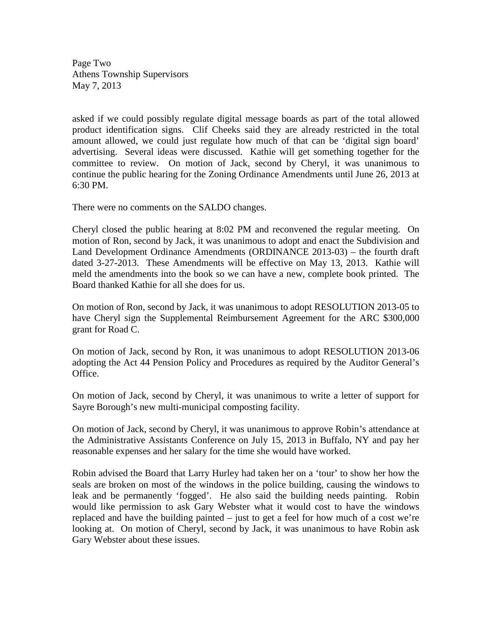Page Two Athens Township Supervisors May 7, 2013

asked if we could possibly regulate digital message boards as part of the total allowed product identification signs. Clif Cheeks said they are already restricted in the total amount allowed, we could just regulate how much of that can be 'digital sign board' advertising. Several ideas were discussed. Kathie will get something together for the committee to review. On motion of Jack, second by Cheryl, it was unanimous to continue the public hearing for the Zoning Ordinance Amendments until June 26, 2013 at 6:30 PM.

There were no comments on the SALDO changes.

Cheryl closed the public hearing at 8:02 PM and reconvened the regular meeting. On motion of Ron, second by Jack, it was unanimous to adopt and enact the Subdivision and Land Development Ordinance Amendments (ORDINANCE 2013-03) – the fourth draft dated 3-27-2013. These Amendments will be effective on May 13, 2013. Kathie will meld the amendments into the book so we can have a new, complete book printed. The Board thanked Kathie for all she does for us.

On motion of Ron, second by Jack, it was unanimous to adopt RESOLUTION 2013-05 to have Cheryl sign the Supplemental Reimbursement Agreement for the ARC \$300,000 grant for Road C.

On motion of Jack, second by Ron, it was unanimous to adopt RESOLUTION 2013-06 adopting the Act 44 Pension Policy and Procedures as required by the Auditor General's Office.

On motion of Jack, second by Cheryl, it was unanimous to write a letter of support for Sayre Borough's new multi-municipal composting facility.

On motion of Jack, second by Cheryl, it was unanimous to approve Robin's attendance at the Administrative Assistants Conference on July 15, 2013 in Buffalo, NY and pay her reasonable expenses and her salary for the time she would have worked.

Robin advised the Board that Larry Hurley had taken her on a 'tour' to show her how the seals are broken on most of the windows in the police building, causing the windows to leak and be permanently 'fogged'. He also said the building needs painting. Robin would like permission to ask Gary Webster what it would cost to have the windows replaced and have the building painted – just to get a feel for how much of a cost we're looking at. On motion of Cheryl, second by Jack, it was unanimous to have Robin ask Gary Webster about these issues.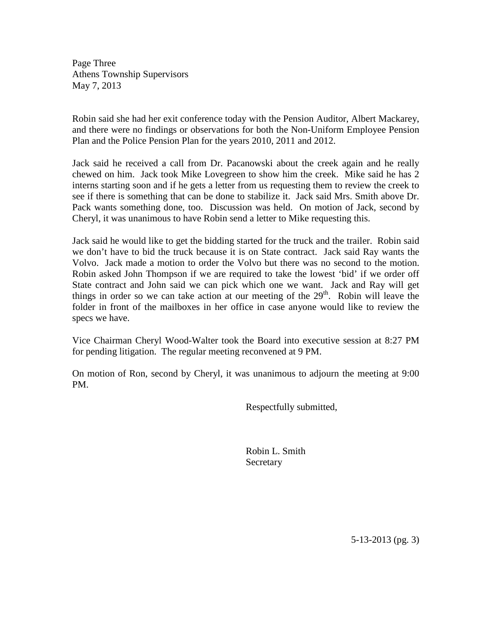Page Three Athens Township Supervisors May 7, 2013

Robin said she had her exit conference today with the Pension Auditor, Albert Mackarey, and there were no findings or observations for both the Non-Uniform Employee Pension Plan and the Police Pension Plan for the years 2010, 2011 and 2012.

Jack said he received a call from Dr. Pacanowski about the creek again and he really chewed on him. Jack took Mike Lovegreen to show him the creek. Mike said he has 2 interns starting soon and if he gets a letter from us requesting them to review the creek to see if there is something that can be done to stabilize it. Jack said Mrs. Smith above Dr. Pack wants something done, too. Discussion was held. On motion of Jack, second by Cheryl, it was unanimous to have Robin send a letter to Mike requesting this.

Jack said he would like to get the bidding started for the truck and the trailer. Robin said we don't have to bid the truck because it is on State contract. Jack said Ray wants the Volvo. Jack made a motion to order the Volvo but there was no second to the motion. Robin asked John Thompson if we are required to take the lowest 'bid' if we order off State contract and John said we can pick which one we want. Jack and Ray will get things in order so we can take action at our meeting of the  $29<sup>th</sup>$ . Robin will leave the folder in front of the mailboxes in her office in case anyone would like to review the specs we have.

Vice Chairman Cheryl Wood-Walter took the Board into executive session at 8:27 PM for pending litigation. The regular meeting reconvened at 9 PM.

On motion of Ron, second by Cheryl, it was unanimous to adjourn the meeting at 9:00 PM.

Respectfully submitted,

 Robin L. Smith Secretary

5-13-2013 (pg. 3)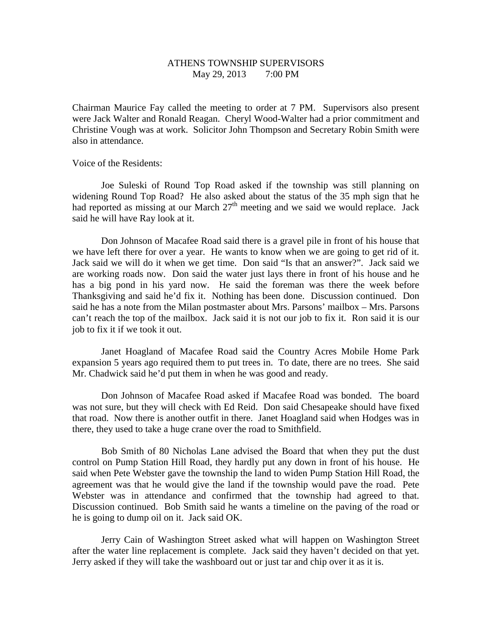### ATHENS TOWNSHIP SUPERVISORS May 29, 2013 7:00 PM

Chairman Maurice Fay called the meeting to order at 7 PM. Supervisors also present were Jack Walter and Ronald Reagan. Cheryl Wood-Walter had a prior commitment and Christine Vough was at work. Solicitor John Thompson and Secretary Robin Smith were also in attendance.

Voice of the Residents:

 Joe Suleski of Round Top Road asked if the township was still planning on widening Round Top Road? He also asked about the status of the 35 mph sign that he had reported as missing at our March  $27<sup>th</sup>$  meeting and we said we would replace. Jack said he will have Ray look at it.

 Don Johnson of Macafee Road said there is a gravel pile in front of his house that we have left there for over a year. He wants to know when we are going to get rid of it. Jack said we will do it when we get time. Don said "Is that an answer?". Jack said we are working roads now. Don said the water just lays there in front of his house and he has a big pond in his yard now. He said the foreman was there the week before Thanksgiving and said he'd fix it. Nothing has been done. Discussion continued. Don said he has a note from the Milan postmaster about Mrs. Parsons' mailbox – Mrs. Parsons can't reach the top of the mailbox. Jack said it is not our job to fix it. Ron said it is our job to fix it if we took it out.

 Janet Hoagland of Macafee Road said the Country Acres Mobile Home Park expansion 5 years ago required them to put trees in. To date, there are no trees. She said Mr. Chadwick said he'd put them in when he was good and ready.

 Don Johnson of Macafee Road asked if Macafee Road was bonded. The board was not sure, but they will check with Ed Reid. Don said Chesapeake should have fixed that road. Now there is another outfit in there. Janet Hoagland said when Hodges was in there, they used to take a huge crane over the road to Smithfield.

 Bob Smith of 80 Nicholas Lane advised the Board that when they put the dust control on Pump Station Hill Road, they hardly put any down in front of his house. He said when Pete Webster gave the township the land to widen Pump Station Hill Road, the agreement was that he would give the land if the township would pave the road. Pete Webster was in attendance and confirmed that the township had agreed to that. Discussion continued. Bob Smith said he wants a timeline on the paving of the road or he is going to dump oil on it. Jack said OK.

 Jerry Cain of Washington Street asked what will happen on Washington Street after the water line replacement is complete. Jack said they haven't decided on that yet. Jerry asked if they will take the washboard out or just tar and chip over it as it is.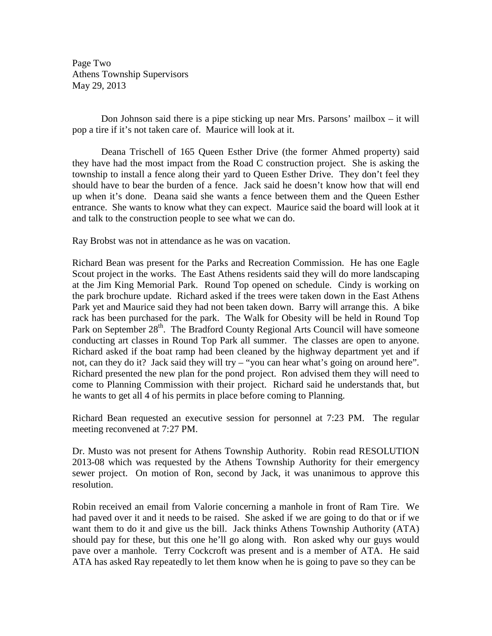Page Two Athens Township Supervisors May 29, 2013

 Don Johnson said there is a pipe sticking up near Mrs. Parsons' mailbox – it will pop a tire if it's not taken care of. Maurice will look at it.

 Deana Trischell of 165 Queen Esther Drive (the former Ahmed property) said they have had the most impact from the Road C construction project. She is asking the township to install a fence along their yard to Queen Esther Drive. They don't feel they should have to bear the burden of a fence. Jack said he doesn't know how that will end up when it's done. Deana said she wants a fence between them and the Queen Esther entrance. She wants to know what they can expect. Maurice said the board will look at it and talk to the construction people to see what we can do.

Ray Brobst was not in attendance as he was on vacation.

Richard Bean was present for the Parks and Recreation Commission. He has one Eagle Scout project in the works. The East Athens residents said they will do more landscaping at the Jim King Memorial Park. Round Top opened on schedule. Cindy is working on the park brochure update. Richard asked if the trees were taken down in the East Athens Park yet and Maurice said they had not been taken down. Barry will arrange this. A bike rack has been purchased for the park. The Walk for Obesity will be held in Round Top Park on September 28<sup>th</sup>. The Bradford County Regional Arts Council will have someone conducting art classes in Round Top Park all summer. The classes are open to anyone. Richard asked if the boat ramp had been cleaned by the highway department yet and if not, can they do it? Jack said they will try – "you can hear what's going on around here". Richard presented the new plan for the pond project. Ron advised them they will need to come to Planning Commission with their project. Richard said he understands that, but he wants to get all 4 of his permits in place before coming to Planning.

Richard Bean requested an executive session for personnel at 7:23 PM. The regular meeting reconvened at 7:27 PM.

Dr. Musto was not present for Athens Township Authority. Robin read RESOLUTION 2013-08 which was requested by the Athens Township Authority for their emergency sewer project. On motion of Ron, second by Jack, it was unanimous to approve this resolution.

Robin received an email from Valorie concerning a manhole in front of Ram Tire. We had paved over it and it needs to be raised. She asked if we are going to do that or if we want them to do it and give us the bill. Jack thinks Athens Township Authority (ATA) should pay for these, but this one he'll go along with. Ron asked why our guys would pave over a manhole. Terry Cockcroft was present and is a member of ATA. He said ATA has asked Ray repeatedly to let them know when he is going to pave so they can be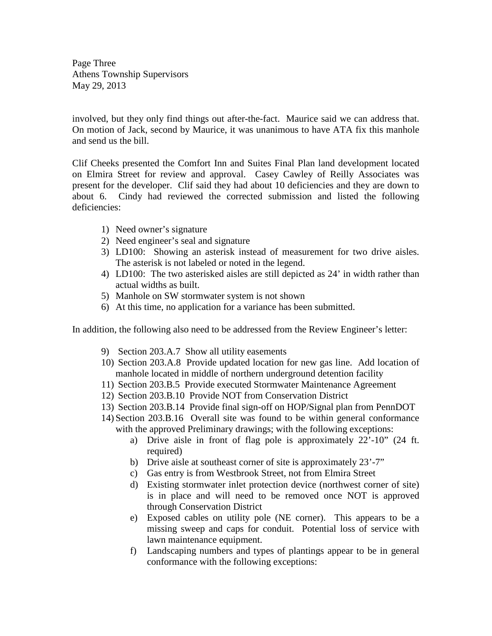Page Three Athens Township Supervisors May 29, 2013

involved, but they only find things out after-the-fact. Maurice said we can address that. On motion of Jack, second by Maurice, it was unanimous to have ATA fix this manhole and send us the bill.

Clif Cheeks presented the Comfort Inn and Suites Final Plan land development located on Elmira Street for review and approval. Casey Cawley of Reilly Associates was present for the developer. Clif said they had about 10 deficiencies and they are down to about 6. Cindy had reviewed the corrected submission and listed the following deficiencies:

- 1) Need owner's signature
- 2) Need engineer's seal and signature
- 3) LD100: Showing an asterisk instead of measurement for two drive aisles. The asterisk is not labeled or noted in the legend.
- 4) LD100: The two asterisked aisles are still depicted as 24' in width rather than actual widths as built.
- 5) Manhole on SW stormwater system is not shown
- 6) At this time, no application for a variance has been submitted.

In addition, the following also need to be addressed from the Review Engineer's letter:

- 9) Section 203.A.7 Show all utility easements
- 10) Section 203.A.8 Provide updated location for new gas line. Add location of manhole located in middle of northern underground detention facility
- 11) Section 203.B.5 Provide executed Stormwater Maintenance Agreement
- 12) Section 203.B.10 Provide NOT from Conservation District
- 13) Section 203.B.14 Provide final sign-off on HOP/Signal plan from PennDOT
- 14) Section 203.B.16 Overall site was found to be within general conformance with the approved Preliminary drawings; with the following exceptions:
	- a) Drive aisle in front of flag pole is approximately 22'-10" (24 ft. required)
	- b) Drive aisle at southeast corner of site is approximately 23'-7"
	- c) Gas entry is from Westbrook Street, not from Elmira Street
	- d) Existing stormwater inlet protection device (northwest corner of site) is in place and will need to be removed once NOT is approved through Conservation District
	- e) Exposed cables on utility pole (NE corner). This appears to be a missing sweep and caps for conduit. Potential loss of service with lawn maintenance equipment.
	- f) Landscaping numbers and types of plantings appear to be in general conformance with the following exceptions: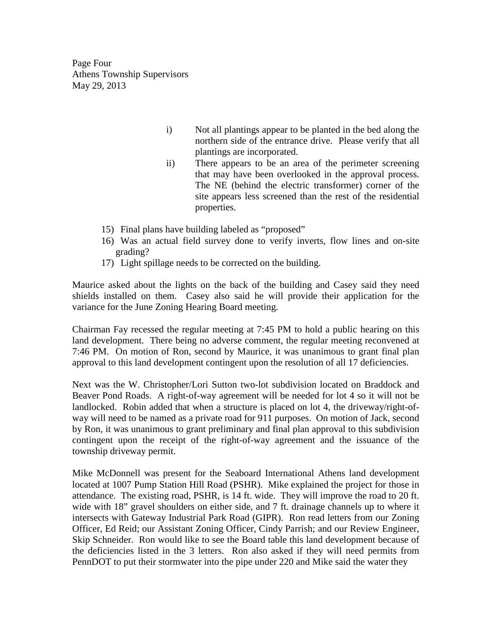Page Four Athens Township Supervisors May 29, 2013

- i) Not all plantings appear to be planted in the bed along the northern side of the entrance drive. Please verify that all plantings are incorporated.
- ii) There appears to be an area of the perimeter screening that may have been overlooked in the approval process. The NE (behind the electric transformer) corner of the site appears less screened than the rest of the residential properties.
- 15) Final plans have building labeled as "proposed"
- 16) Was an actual field survey done to verify inverts, flow lines and on-site grading?
- 17) Light spillage needs to be corrected on the building.

Maurice asked about the lights on the back of the building and Casey said they need shields installed on them. Casey also said he will provide their application for the variance for the June Zoning Hearing Board meeting.

Chairman Fay recessed the regular meeting at 7:45 PM to hold a public hearing on this land development. There being no adverse comment, the regular meeting reconvened at 7:46 PM. On motion of Ron, second by Maurice, it was unanimous to grant final plan approval to this land development contingent upon the resolution of all 17 deficiencies.

Next was the W. Christopher/Lori Sutton two-lot subdivision located on Braddock and Beaver Pond Roads. A right-of-way agreement will be needed for lot 4 so it will not be landlocked. Robin added that when a structure is placed on lot 4, the driveway/right-ofway will need to be named as a private road for 911 purposes. On motion of Jack, second by Ron, it was unanimous to grant preliminary and final plan approval to this subdivision contingent upon the receipt of the right-of-way agreement and the issuance of the township driveway permit.

Mike McDonnell was present for the Seaboard International Athens land development located at 1007 Pump Station Hill Road (PSHR). Mike explained the project for those in attendance. The existing road, PSHR, is 14 ft. wide. They will improve the road to 20 ft. wide with 18" gravel shoulders on either side, and 7 ft. drainage channels up to where it intersects with Gateway Industrial Park Road (GIPR). Ron read letters from our Zoning Officer, Ed Reid; our Assistant Zoning Officer, Cindy Parrish; and our Review Engineer, Skip Schneider. Ron would like to see the Board table this land development because of the deficiencies listed in the 3 letters. Ron also asked if they will need permits from PennDOT to put their stormwater into the pipe under 220 and Mike said the water they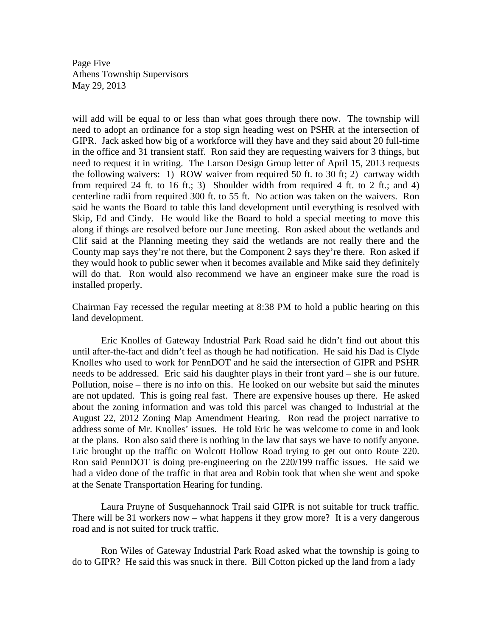Page Five Athens Township Supervisors May 29, 2013

will add will be equal to or less than what goes through there now. The township will need to adopt an ordinance for a stop sign heading west on PSHR at the intersection of GIPR. Jack asked how big of a workforce will they have and they said about 20 full-time in the office and 31 transient staff. Ron said they are requesting waivers for 3 things, but need to request it in writing. The Larson Design Group letter of April 15, 2013 requests the following waivers: 1) ROW waiver from required 50 ft. to 30 ft; 2) cartway width from required 24 ft. to 16 ft.; 3) Shoulder width from required 4 ft. to 2 ft.; and 4) centerline radii from required 300 ft. to 55 ft. No action was taken on the waivers. Ron said he wants the Board to table this land development until everything is resolved with Skip, Ed and Cindy. He would like the Board to hold a special meeting to move this along if things are resolved before our June meeting. Ron asked about the wetlands and Clif said at the Planning meeting they said the wetlands are not really there and the County map says they're not there, but the Component 2 says they're there. Ron asked if they would hook to public sewer when it becomes available and Mike said they definitely will do that. Ron would also recommend we have an engineer make sure the road is installed properly.

Chairman Fay recessed the regular meeting at 8:38 PM to hold a public hearing on this land development.

 Eric Knolles of Gateway Industrial Park Road said he didn't find out about this until after-the-fact and didn't feel as though he had notification. He said his Dad is Clyde Knolles who used to work for PennDOT and he said the intersection of GIPR and PSHR needs to be addressed. Eric said his daughter plays in their front yard – she is our future. Pollution, noise – there is no info on this. He looked on our website but said the minutes are not updated. This is going real fast. There are expensive houses up there. He asked about the zoning information and was told this parcel was changed to Industrial at the August 22, 2012 Zoning Map Amendment Hearing. Ron read the project narrative to address some of Mr. Knolles' issues. He told Eric he was welcome to come in and look at the plans. Ron also said there is nothing in the law that says we have to notify anyone. Eric brought up the traffic on Wolcott Hollow Road trying to get out onto Route 220. Ron said PennDOT is doing pre-engineering on the 220/199 traffic issues. He said we had a video done of the traffic in that area and Robin took that when she went and spoke at the Senate Transportation Hearing for funding.

 Laura Pruyne of Susquehannock Trail said GIPR is not suitable for truck traffic. There will be 31 workers now – what happens if they grow more? It is a very dangerous road and is not suited for truck traffic.

 Ron Wiles of Gateway Industrial Park Road asked what the township is going to do to GIPR? He said this was snuck in there. Bill Cotton picked up the land from a lady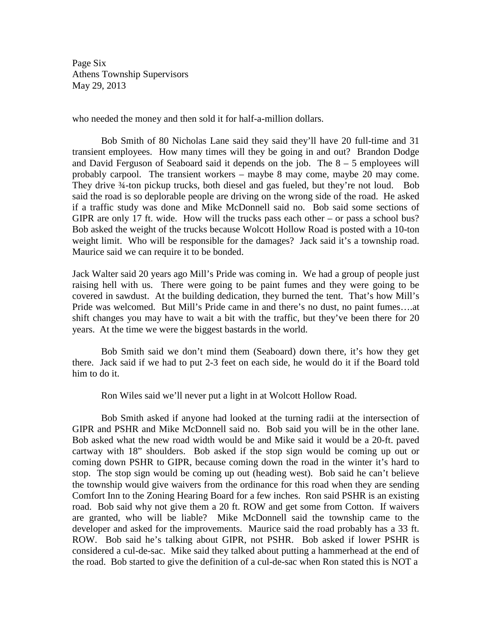Page Six Athens Township Supervisors May 29, 2013

who needed the money and then sold it for half-a-million dollars.

 Bob Smith of 80 Nicholas Lane said they said they'll have 20 full-time and 31 transient employees. How many times will they be going in and out? Brandon Dodge and David Ferguson of Seaboard said it depends on the job. The 8 – 5 employees will probably carpool. The transient workers – maybe 8 may come, maybe 20 may come. They drive 3/4-ton pickup trucks, both diesel and gas fueled, but they're not loud. Bob said the road is so deplorable people are driving on the wrong side of the road. He asked if a traffic study was done and Mike McDonnell said no. Bob said some sections of GIPR are only 17 ft. wide. How will the trucks pass each other – or pass a school bus? Bob asked the weight of the trucks because Wolcott Hollow Road is posted with a 10-ton weight limit. Who will be responsible for the damages? Jack said it's a township road. Maurice said we can require it to be bonded.

Jack Walter said 20 years ago Mill's Pride was coming in. We had a group of people just raising hell with us. There were going to be paint fumes and they were going to be covered in sawdust. At the building dedication, they burned the tent. That's how Mill's Pride was welcomed. But Mill's Pride came in and there's no dust, no paint fumes….at shift changes you may have to wait a bit with the traffic, but they've been there for 20 years. At the time we were the biggest bastards in the world.

 Bob Smith said we don't mind them (Seaboard) down there, it's how they get there. Jack said if we had to put 2-3 feet on each side, he would do it if the Board told him to do it.

Ron Wiles said we'll never put a light in at Wolcott Hollow Road.

 Bob Smith asked if anyone had looked at the turning radii at the intersection of GIPR and PSHR and Mike McDonnell said no. Bob said you will be in the other lane. Bob asked what the new road width would be and Mike said it would be a 20-ft. paved cartway with 18" shoulders. Bob asked if the stop sign would be coming up out or coming down PSHR to GIPR, because coming down the road in the winter it's hard to stop. The stop sign would be coming up out (heading west). Bob said he can't believe the township would give waivers from the ordinance for this road when they are sending Comfort Inn to the Zoning Hearing Board for a few inches. Ron said PSHR is an existing road. Bob said why not give them a 20 ft. ROW and get some from Cotton. If waivers are granted, who will be liable? Mike McDonnell said the township came to the developer and asked for the improvements. Maurice said the road probably has a 33 ft. ROW. Bob said he's talking about GIPR, not PSHR. Bob asked if lower PSHR is considered a cul-de-sac. Mike said they talked about putting a hammerhead at the end of the road. Bob started to give the definition of a cul-de-sac when Ron stated this is NOT a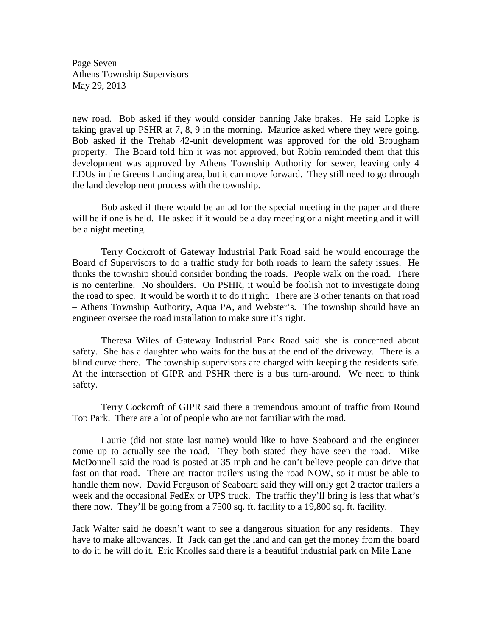Page Seven Athens Township Supervisors May 29, 2013

new road. Bob asked if they would consider banning Jake brakes. He said Lopke is taking gravel up PSHR at 7, 8, 9 in the morning. Maurice asked where they were going. Bob asked if the Trehab 42-unit development was approved for the old Brougham property. The Board told him it was not approved, but Robin reminded them that this development was approved by Athens Township Authority for sewer, leaving only 4 EDUs in the Greens Landing area, but it can move forward. They still need to go through the land development process with the township.

 Bob asked if there would be an ad for the special meeting in the paper and there will be if one is held. He asked if it would be a day meeting or a night meeting and it will be a night meeting.

 Terry Cockcroft of Gateway Industrial Park Road said he would encourage the Board of Supervisors to do a traffic study for both roads to learn the safety issues. He thinks the township should consider bonding the roads. People walk on the road. There is no centerline. No shoulders. On PSHR, it would be foolish not to investigate doing the road to spec. It would be worth it to do it right. There are 3 other tenants on that road – Athens Township Authority, Aqua PA, and Webster's. The township should have an engineer oversee the road installation to make sure it's right.

 Theresa Wiles of Gateway Industrial Park Road said she is concerned about safety. She has a daughter who waits for the bus at the end of the driveway. There is a blind curve there. The township supervisors are charged with keeping the residents safe. At the intersection of GIPR and PSHR there is a bus turn-around. We need to think safety.

 Terry Cockcroft of GIPR said there a tremendous amount of traffic from Round Top Park. There are a lot of people who are not familiar with the road.

 Laurie (did not state last name) would like to have Seaboard and the engineer come up to actually see the road. They both stated they have seen the road. Mike McDonnell said the road is posted at 35 mph and he can't believe people can drive that fast on that road. There are tractor trailers using the road NOW, so it must be able to handle them now. David Ferguson of Seaboard said they will only get 2 tractor trailers a week and the occasional FedEx or UPS truck. The traffic they'll bring is less that what's there now. They'll be going from a 7500 sq. ft. facility to a 19,800 sq. ft. facility.

Jack Walter said he doesn't want to see a dangerous situation for any residents. They have to make allowances. If Jack can get the land and can get the money from the board to do it, he will do it. Eric Knolles said there is a beautiful industrial park on Mile Lane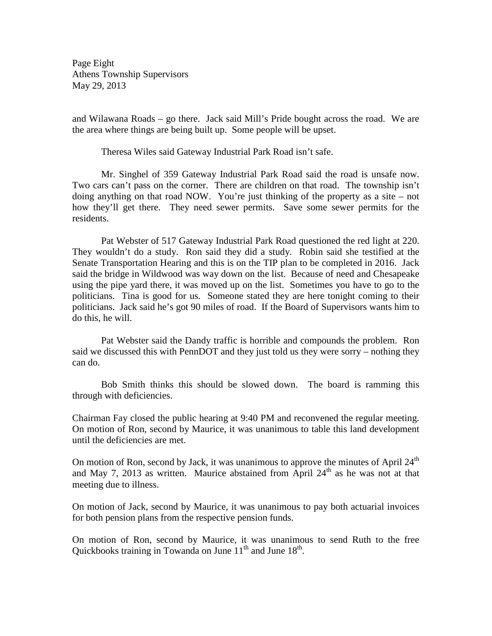Page Eight Athens Township Supervisors May 29, 2013

and Wilawana Roads – go there. Jack said Mill's Pride bought across the road. We are the area where things are being built up. Some people will be upset.

Theresa Wiles said Gateway Industrial Park Road isn't safe.

 Mr. Singhel of 359 Gateway Industrial Park Road said the road is unsafe now. Two cars can't pass on the corner. There are children on that road. The township isn't doing anything on that road NOW. You're just thinking of the property as a site – not how they'll get there. They need sewer permits. Save some sewer permits for the residents.

 Pat Webster of 517 Gateway Industrial Park Road questioned the red light at 220. They wouldn't do a study. Ron said they did a study. Robin said she testified at the Senate Transportation Hearing and this is on the TIP plan to be completed in 2016. Jack said the bridge in Wildwood was way down on the list. Because of need and Chesapeake using the pipe yard there, it was moved up on the list. Sometimes you have to go to the politicians. Tina is good for us. Someone stated they are here tonight coming to their politicians. Jack said he's got 90 miles of road. If the Board of Supervisors wants him to do this, he will.

 Pat Webster said the Dandy traffic is horrible and compounds the problem. Ron said we discussed this with PennDOT and they just told us they were sorry – nothing they can do.

 Bob Smith thinks this should be slowed down. The board is ramming this through with deficiencies.

Chairman Fay closed the public hearing at 9:40 PM and reconvened the regular meeting. On motion of Ron, second by Maurice, it was unanimous to table this land development until the deficiencies are met.

On motion of Ron, second by Jack, it was unanimous to approve the minutes of April  $24<sup>th</sup>$ and May 7, 2013 as written. Maurice abstained from April  $24<sup>th</sup>$  as he was not at that meeting due to illness.

On motion of Jack, second by Maurice, it was unanimous to pay both actuarial invoices for both pension plans from the respective pension funds.

On motion of Ron, second by Maurice, it was unanimous to send Ruth to the free Quickbooks training in Towanda on June  $11<sup>th</sup>$  and June  $18<sup>th</sup>$ .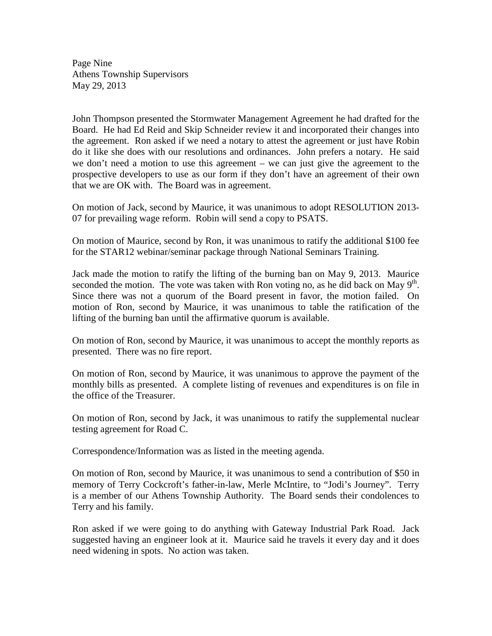Page Nine Athens Township Supervisors May 29, 2013

John Thompson presented the Stormwater Management Agreement he had drafted for the Board. He had Ed Reid and Skip Schneider review it and incorporated their changes into the agreement. Ron asked if we need a notary to attest the agreement or just have Robin do it like she does with our resolutions and ordinances. John prefers a notary. He said we don't need a motion to use this agreement – we can just give the agreement to the prospective developers to use as our form if they don't have an agreement of their own that we are OK with. The Board was in agreement.

On motion of Jack, second by Maurice, it was unanimous to adopt RESOLUTION 2013- 07 for prevailing wage reform. Robin will send a copy to PSATS.

On motion of Maurice, second by Ron, it was unanimous to ratify the additional \$100 fee for the STAR12 webinar/seminar package through National Seminars Training.

Jack made the motion to ratify the lifting of the burning ban on May 9, 2013. Maurice seconded the motion. The vote was taken with Ron voting no, as he did back on May  $9<sup>th</sup>$ . Since there was not a quorum of the Board present in favor, the motion failed. On motion of Ron, second by Maurice, it was unanimous to table the ratification of the lifting of the burning ban until the affirmative quorum is available.

On motion of Ron, second by Maurice, it was unanimous to accept the monthly reports as presented. There was no fire report.

On motion of Ron, second by Maurice, it was unanimous to approve the payment of the monthly bills as presented. A complete listing of revenues and expenditures is on file in the office of the Treasurer.

On motion of Ron, second by Jack, it was unanimous to ratify the supplemental nuclear testing agreement for Road C.

Correspondence/Information was as listed in the meeting agenda.

On motion of Ron, second by Maurice, it was unanimous to send a contribution of \$50 in memory of Terry Cockcroft's father-in-law, Merle McIntire, to "Jodi's Journey". Terry is a member of our Athens Township Authority. The Board sends their condolences to Terry and his family.

Ron asked if we were going to do anything with Gateway Industrial Park Road. Jack suggested having an engineer look at it. Maurice said he travels it every day and it does need widening in spots. No action was taken.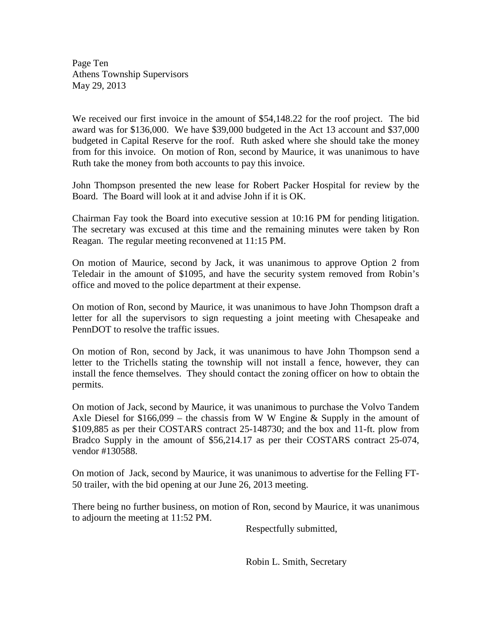Page Ten Athens Township Supervisors May 29, 2013

We received our first invoice in the amount of \$54,148.22 for the roof project. The bid award was for \$136,000. We have \$39,000 budgeted in the Act 13 account and \$37,000 budgeted in Capital Reserve for the roof. Ruth asked where she should take the money from for this invoice. On motion of Ron, second by Maurice, it was unanimous to have Ruth take the money from both accounts to pay this invoice.

John Thompson presented the new lease for Robert Packer Hospital for review by the Board. The Board will look at it and advise John if it is OK.

Chairman Fay took the Board into executive session at 10:16 PM for pending litigation. The secretary was excused at this time and the remaining minutes were taken by Ron Reagan. The regular meeting reconvened at 11:15 PM.

On motion of Maurice, second by Jack, it was unanimous to approve Option 2 from Teledair in the amount of \$1095, and have the security system removed from Robin's office and moved to the police department at their expense.

On motion of Ron, second by Maurice, it was unanimous to have John Thompson draft a letter for all the supervisors to sign requesting a joint meeting with Chesapeake and PennDOT to resolve the traffic issues.

On motion of Ron, second by Jack, it was unanimous to have John Thompson send a letter to the Trichells stating the township will not install a fence, however, they can install the fence themselves. They should contact the zoning officer on how to obtain the permits.

On motion of Jack, second by Maurice, it was unanimous to purchase the Volvo Tandem Axle Diesel for  $$166,099$  – the chassis from W W Engine & Supply in the amount of \$109,885 as per their COSTARS contract 25-148730; and the box and 11-ft. plow from Bradco Supply in the amount of \$56,214.17 as per their COSTARS contract 25-074, vendor #130588.

On motion of Jack, second by Maurice, it was unanimous to advertise for the Felling FT-50 trailer, with the bid opening at our June 26, 2013 meeting.

There being no further business, on motion of Ron, second by Maurice, it was unanimous to adjourn the meeting at 11:52 PM.

Respectfully submitted,

Robin L. Smith, Secretary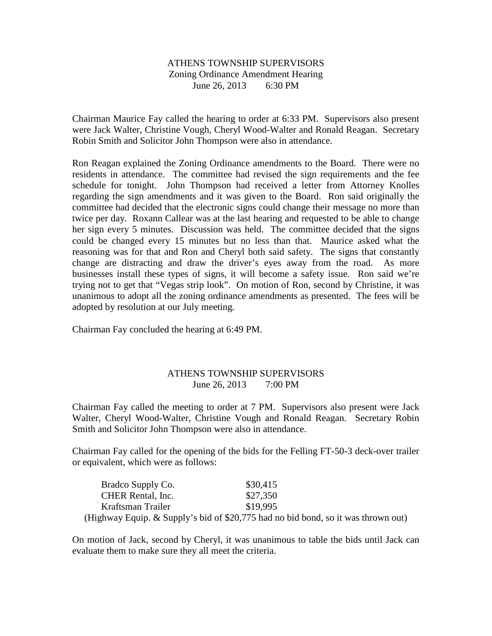# ATHENS TOWNSHIP SUPERVISORS Zoning Ordinance Amendment Hearing June 26, 2013 6:30 PM

Chairman Maurice Fay called the hearing to order at 6:33 PM. Supervisors also present were Jack Walter, Christine Vough, Cheryl Wood-Walter and Ronald Reagan. Secretary Robin Smith and Solicitor John Thompson were also in attendance.

Ron Reagan explained the Zoning Ordinance amendments to the Board. There were no residents in attendance. The committee had revised the sign requirements and the fee schedule for tonight. John Thompson had received a letter from Attorney Knolles regarding the sign amendments and it was given to the Board. Ron said originally the committee had decided that the electronic signs could change their message no more than twice per day. Roxann Callear was at the last hearing and requested to be able to change her sign every 5 minutes. Discussion was held. The committee decided that the signs could be changed every 15 minutes but no less than that. Maurice asked what the reasoning was for that and Ron and Cheryl both said safety. The signs that constantly change are distracting and draw the driver's eyes away from the road. As more businesses install these types of signs, it will become a safety issue. Ron said we're trying not to get that "Vegas strip look". On motion of Ron, second by Christine, it was unanimous to adopt all the zoning ordinance amendments as presented. The fees will be adopted by resolution at our July meeting.

Chairman Fay concluded the hearing at 6:49 PM.

#### ATHENS TOWNSHIP SUPERVISORS June 26, 2013 7:00 PM

Chairman Fay called the meeting to order at 7 PM. Supervisors also present were Jack Walter, Cheryl Wood-Walter, Christine Vough and Ronald Reagan. Secretary Robin Smith and Solicitor John Thompson were also in attendance.

Chairman Fay called for the opening of the bids for the Felling FT-50-3 deck-over trailer or equivalent, which were as follows:

| Bradco Supply Co. | \$30,415                                                                          |
|-------------------|-----------------------------------------------------------------------------------|
| CHER Rental, Inc. | \$27,350                                                                          |
| Kraftsman Trailer | \$19,995                                                                          |
|                   | (Highway Equip. & Supply's bid of \$20,775 had no bid bond, so it was thrown out) |

On motion of Jack, second by Cheryl, it was unanimous to table the bids until Jack can evaluate them to make sure they all meet the criteria.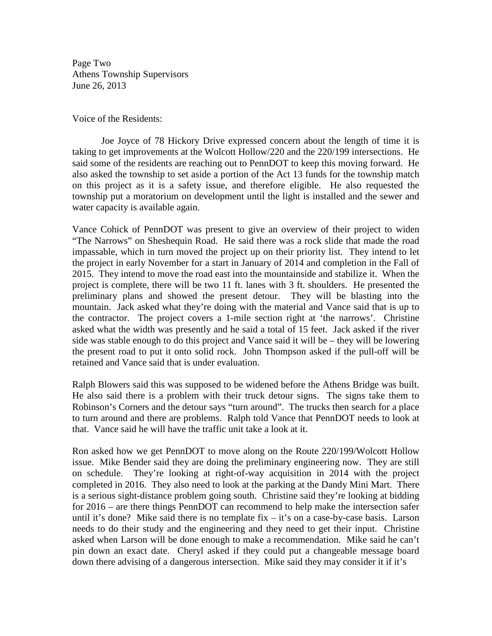Page Two Athens Township Supervisors June 26, 2013

Voice of the Residents:

 Joe Joyce of 78 Hickory Drive expressed concern about the length of time it is taking to get improvements at the Wolcott Hollow/220 and the 220/199 intersections. He said some of the residents are reaching out to PennDOT to keep this moving forward. He also asked the township to set aside a portion of the Act 13 funds for the township match on this project as it is a safety issue, and therefore eligible. He also requested the township put a moratorium on development until the light is installed and the sewer and water capacity is available again.

Vance Cohick of PennDOT was present to give an overview of their project to widen "The Narrows" on Sheshequin Road. He said there was a rock slide that made the road impassable, which in turn moved the project up on their priority list. They intend to let the project in early November for a start in January of 2014 and completion in the Fall of 2015. They intend to move the road east into the mountainside and stabilize it. When the project is complete, there will be two 11 ft. lanes with 3 ft. shoulders. He presented the preliminary plans and showed the present detour. They will be blasting into the mountain. Jack asked what they're doing with the material and Vance said that is up to the contractor. The project covers a 1-mile section right at 'the narrows'. Christine asked what the width was presently and he said a total of 15 feet. Jack asked if the river side was stable enough to do this project and Vance said it will be – they will be lowering the present road to put it onto solid rock. John Thompson asked if the pull-off will be retained and Vance said that is under evaluation.

Ralph Blowers said this was supposed to be widened before the Athens Bridge was built. He also said there is a problem with their truck detour signs. The signs take them to Robinson's Corners and the detour says "turn around". The trucks then search for a place to turn around and there are problems. Ralph told Vance that PennDOT needs to look at that. Vance said he will have the traffic unit take a look at it.

Ron asked how we get PennDOT to move along on the Route 220/199/Wolcott Hollow issue. Mike Bender said they are doing the preliminary engineering now. They are still on schedule. They're looking at right-of-way acquisition in 2014 with the project completed in 2016. They also need to look at the parking at the Dandy Mini Mart. There is a serious sight-distance problem going south. Christine said they're looking at bidding for 2016 – are there things PennDOT can recommend to help make the intersection safer until it's done? Mike said there is no template fix  $-$  it's on a case-by-case basis. Larson needs to do their study and the engineering and they need to get their input. Christine asked when Larson will be done enough to make a recommendation. Mike said he can't pin down an exact date. Cheryl asked if they could put a changeable message board down there advising of a dangerous intersection. Mike said they may consider it if it's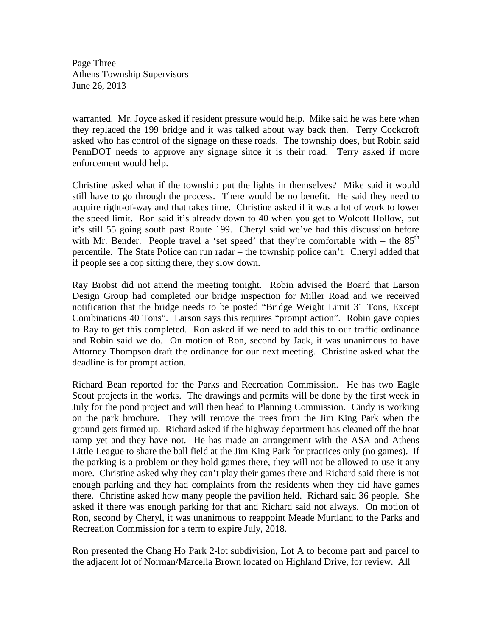Page Three Athens Township Supervisors June 26, 2013

warranted. Mr. Joyce asked if resident pressure would help. Mike said he was here when they replaced the 199 bridge and it was talked about way back then. Terry Cockcroft asked who has control of the signage on these roads. The township does, but Robin said PennDOT needs to approve any signage since it is their road. Terry asked if more enforcement would help.

Christine asked what if the township put the lights in themselves? Mike said it would still have to go through the process. There would be no benefit. He said they need to acquire right-of-way and that takes time. Christine asked if it was a lot of work to lower the speed limit. Ron said it's already down to 40 when you get to Wolcott Hollow, but it's still 55 going south past Route 199. Cheryl said we've had this discussion before with Mr. Bender. People travel a 'set speed' that they're comfortable with – the  $85<sup>th</sup>$ percentile. The State Police can run radar – the township police can't. Cheryl added that if people see a cop sitting there, they slow down.

Ray Brobst did not attend the meeting tonight. Robin advised the Board that Larson Design Group had completed our bridge inspection for Miller Road and we received notification that the bridge needs to be posted "Bridge Weight Limit 31 Tons, Except Combinations 40 Tons". Larson says this requires "prompt action". Robin gave copies to Ray to get this completed. Ron asked if we need to add this to our traffic ordinance and Robin said we do. On motion of Ron, second by Jack, it was unanimous to have Attorney Thompson draft the ordinance for our next meeting. Christine asked what the deadline is for prompt action.

Richard Bean reported for the Parks and Recreation Commission. He has two Eagle Scout projects in the works. The drawings and permits will be done by the first week in July for the pond project and will then head to Planning Commission. Cindy is working on the park brochure. They will remove the trees from the Jim King Park when the ground gets firmed up. Richard asked if the highway department has cleaned off the boat ramp yet and they have not. He has made an arrangement with the ASA and Athens Little League to share the ball field at the Jim King Park for practices only (no games). If the parking is a problem or they hold games there, they will not be allowed to use it any more. Christine asked why they can't play their games there and Richard said there is not enough parking and they had complaints from the residents when they did have games there. Christine asked how many people the pavilion held. Richard said 36 people. She asked if there was enough parking for that and Richard said not always. On motion of Ron, second by Cheryl, it was unanimous to reappoint Meade Murtland to the Parks and Recreation Commission for a term to expire July, 2018.

Ron presented the Chang Ho Park 2-lot subdivision, Lot A to become part and parcel to the adjacent lot of Norman/Marcella Brown located on Highland Drive, for review. All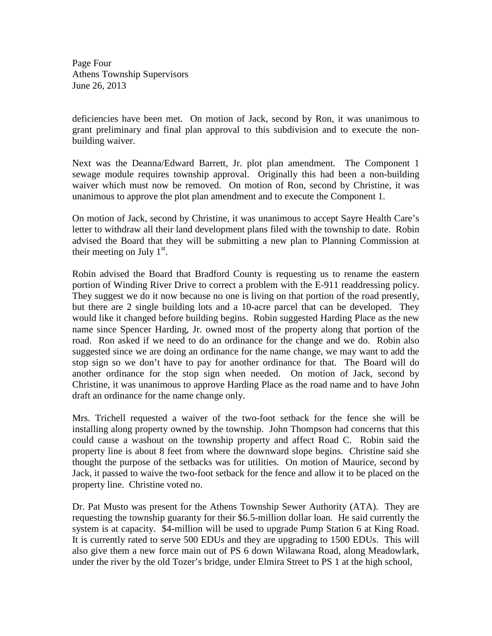Page Four Athens Township Supervisors June 26, 2013

deficiencies have been met. On motion of Jack, second by Ron, it was unanimous to grant preliminary and final plan approval to this subdivision and to execute the nonbuilding waiver.

Next was the Deanna/Edward Barrett, Jr. plot plan amendment. The Component 1 sewage module requires township approval. Originally this had been a non-building waiver which must now be removed. On motion of Ron, second by Christine, it was unanimous to approve the plot plan amendment and to execute the Component 1.

On motion of Jack, second by Christine, it was unanimous to accept Sayre Health Care's letter to withdraw all their land development plans filed with the township to date. Robin advised the Board that they will be submitting a new plan to Planning Commission at their meeting on July  $1<sup>st</sup>$ .

Robin advised the Board that Bradford County is requesting us to rename the eastern portion of Winding River Drive to correct a problem with the E-911 readdressing policy. They suggest we do it now because no one is living on that portion of the road presently, but there are 2 single building lots and a 10-acre parcel that can be developed. They would like it changed before building begins. Robin suggested Harding Place as the new name since Spencer Harding, Jr. owned most of the property along that portion of the road. Ron asked if we need to do an ordinance for the change and we do. Robin also suggested since we are doing an ordinance for the name change, we may want to add the stop sign so we don't have to pay for another ordinance for that. The Board will do another ordinance for the stop sign when needed. On motion of Jack, second by Christine, it was unanimous to approve Harding Place as the road name and to have John draft an ordinance for the name change only.

Mrs. Trichell requested a waiver of the two-foot setback for the fence she will be installing along property owned by the township. John Thompson had concerns that this could cause a washout on the township property and affect Road C. Robin said the property line is about 8 feet from where the downward slope begins. Christine said she thought the purpose of the setbacks was for utilities. On motion of Maurice, second by Jack, it passed to waive the two-foot setback for the fence and allow it to be placed on the property line. Christine voted no.

Dr. Pat Musto was present for the Athens Township Sewer Authority (ATA). They are requesting the township guaranty for their \$6.5-million dollar loan. He said currently the system is at capacity. \$4-million will be used to upgrade Pump Station 6 at King Road. It is currently rated to serve 500 EDUs and they are upgrading to 1500 EDUs. This will also give them a new force main out of PS 6 down Wilawana Road, along Meadowlark, under the river by the old Tozer's bridge, under Elmira Street to PS 1 at the high school,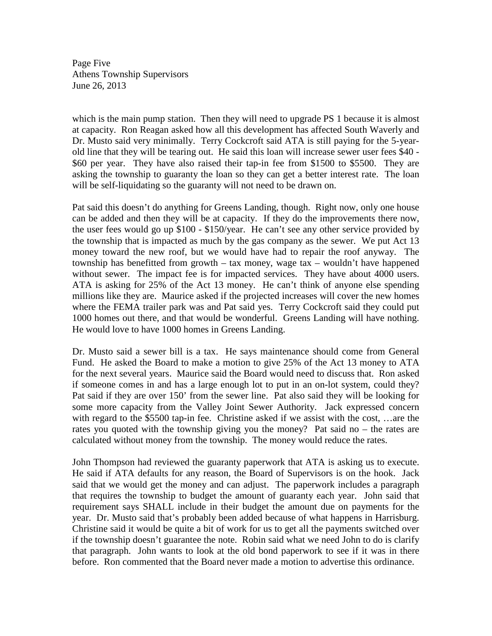Page Five Athens Township Supervisors June 26, 2013

which is the main pump station. Then they will need to upgrade PS 1 because it is almost at capacity. Ron Reagan asked how all this development has affected South Waverly and Dr. Musto said very minimally. Terry Cockcroft said ATA is still paying for the 5-yearold line that they will be tearing out. He said this loan will increase sewer user fees \$40 - \$60 per year. They have also raised their tap-in fee from \$1500 to \$5500. They are asking the township to guaranty the loan so they can get a better interest rate. The loan will be self-liquidating so the guaranty will not need to be drawn on.

Pat said this doesn't do anything for Greens Landing, though. Right now, only one house can be added and then they will be at capacity. If they do the improvements there now, the user fees would go up \$100 - \$150/year. He can't see any other service provided by the township that is impacted as much by the gas company as the sewer. We put Act 13 money toward the new roof, but we would have had to repair the roof anyway. The township has benefitted from growth – tax money, wage tax – wouldn't have happened without sewer. The impact fee is for impacted services. They have about 4000 users. ATA is asking for 25% of the Act 13 money. He can't think of anyone else spending millions like they are. Maurice asked if the projected increases will cover the new homes where the FEMA trailer park was and Pat said yes. Terry Cockcroft said they could put 1000 homes out there, and that would be wonderful. Greens Landing will have nothing. He would love to have 1000 homes in Greens Landing.

Dr. Musto said a sewer bill is a tax. He says maintenance should come from General Fund. He asked the Board to make a motion to give 25% of the Act 13 money to ATA for the next several years. Maurice said the Board would need to discuss that. Ron asked if someone comes in and has a large enough lot to put in an on-lot system, could they? Pat said if they are over 150' from the sewer line. Pat also said they will be looking for some more capacity from the Valley Joint Sewer Authority. Jack expressed concern with regard to the \$5500 tap-in fee. Christine asked if we assist with the cost, …are the rates you quoted with the township giving you the money? Pat said no – the rates are calculated without money from the township. The money would reduce the rates.

John Thompson had reviewed the guaranty paperwork that ATA is asking us to execute. He said if ATA defaults for any reason, the Board of Supervisors is on the hook. Jack said that we would get the money and can adjust. The paperwork includes a paragraph that requires the township to budget the amount of guaranty each year. John said that requirement says SHALL include in their budget the amount due on payments for the year. Dr. Musto said that's probably been added because of what happens in Harrisburg. Christine said it would be quite a bit of work for us to get all the payments switched over if the township doesn't guarantee the note. Robin said what we need John to do is clarify that paragraph. John wants to look at the old bond paperwork to see if it was in there before. Ron commented that the Board never made a motion to advertise this ordinance.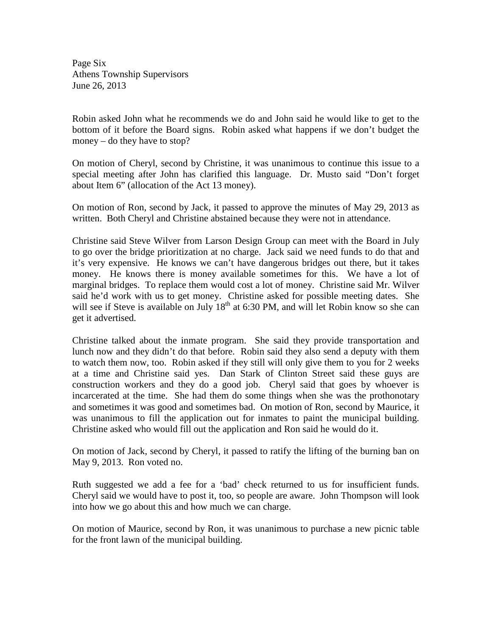Page Six Athens Township Supervisors June 26, 2013

Robin asked John what he recommends we do and John said he would like to get to the bottom of it before the Board signs. Robin asked what happens if we don't budget the money – do they have to stop?

On motion of Cheryl, second by Christine, it was unanimous to continue this issue to a special meeting after John has clarified this language. Dr. Musto said "Don't forget about Item 6" (allocation of the Act 13 money).

On motion of Ron, second by Jack, it passed to approve the minutes of May 29, 2013 as written. Both Cheryl and Christine abstained because they were not in attendance.

Christine said Steve Wilver from Larson Design Group can meet with the Board in July to go over the bridge prioritization at no charge. Jack said we need funds to do that and it's very expensive. He knows we can't have dangerous bridges out there, but it takes money. He knows there is money available sometimes for this. We have a lot of marginal bridges. To replace them would cost a lot of money. Christine said Mr. Wilver said he'd work with us to get money. Christine asked for possible meeting dates. She will see if Steve is available on July  $18<sup>th</sup>$  at 6:30 PM, and will let Robin know so she can get it advertised.

Christine talked about the inmate program. She said they provide transportation and lunch now and they didn't do that before. Robin said they also send a deputy with them to watch them now, too. Robin asked if they still will only give them to you for 2 weeks at a time and Christine said yes. Dan Stark of Clinton Street said these guys are construction workers and they do a good job. Cheryl said that goes by whoever is incarcerated at the time. She had them do some things when she was the prothonotary and sometimes it was good and sometimes bad. On motion of Ron, second by Maurice, it was unanimous to fill the application out for inmates to paint the municipal building. Christine asked who would fill out the application and Ron said he would do it.

On motion of Jack, second by Cheryl, it passed to ratify the lifting of the burning ban on May 9, 2013. Ron voted no.

Ruth suggested we add a fee for a 'bad' check returned to us for insufficient funds. Cheryl said we would have to post it, too, so people are aware. John Thompson will look into how we go about this and how much we can charge.

On motion of Maurice, second by Ron, it was unanimous to purchase a new picnic table for the front lawn of the municipal building.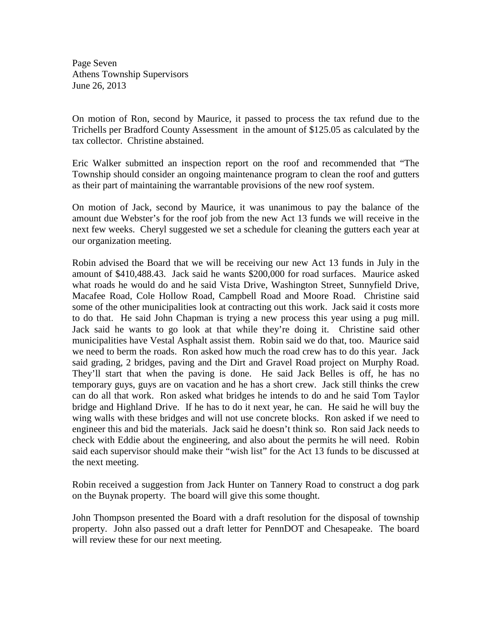Page Seven Athens Township Supervisors June 26, 2013

On motion of Ron, second by Maurice, it passed to process the tax refund due to the Trichells per Bradford County Assessment in the amount of \$125.05 as calculated by the tax collector. Christine abstained.

Eric Walker submitted an inspection report on the roof and recommended that "The Township should consider an ongoing maintenance program to clean the roof and gutters as their part of maintaining the warrantable provisions of the new roof system.

On motion of Jack, second by Maurice, it was unanimous to pay the balance of the amount due Webster's for the roof job from the new Act 13 funds we will receive in the next few weeks. Cheryl suggested we set a schedule for cleaning the gutters each year at our organization meeting.

Robin advised the Board that we will be receiving our new Act 13 funds in July in the amount of \$410,488.43. Jack said he wants \$200,000 for road surfaces. Maurice asked what roads he would do and he said Vista Drive, Washington Street, Sunnyfield Drive, Macafee Road, Cole Hollow Road, Campbell Road and Moore Road. Christine said some of the other municipalities look at contracting out this work. Jack said it costs more to do that. He said John Chapman is trying a new process this year using a pug mill. Jack said he wants to go look at that while they're doing it. Christine said other municipalities have Vestal Asphalt assist them. Robin said we do that, too. Maurice said we need to berm the roads. Ron asked how much the road crew has to do this year. Jack said grading, 2 bridges, paving and the Dirt and Gravel Road project on Murphy Road. They'll start that when the paving is done. He said Jack Belles is off, he has no temporary guys, guys are on vacation and he has a short crew. Jack still thinks the crew can do all that work. Ron asked what bridges he intends to do and he said Tom Taylor bridge and Highland Drive. If he has to do it next year, he can. He said he will buy the wing walls with these bridges and will not use concrete blocks. Ron asked if we need to engineer this and bid the materials. Jack said he doesn't think so. Ron said Jack needs to check with Eddie about the engineering, and also about the permits he will need. Robin said each supervisor should make their "wish list" for the Act 13 funds to be discussed at the next meeting.

Robin received a suggestion from Jack Hunter on Tannery Road to construct a dog park on the Buynak property. The board will give this some thought.

John Thompson presented the Board with a draft resolution for the disposal of township property. John also passed out a draft letter for PennDOT and Chesapeake. The board will review these for our next meeting.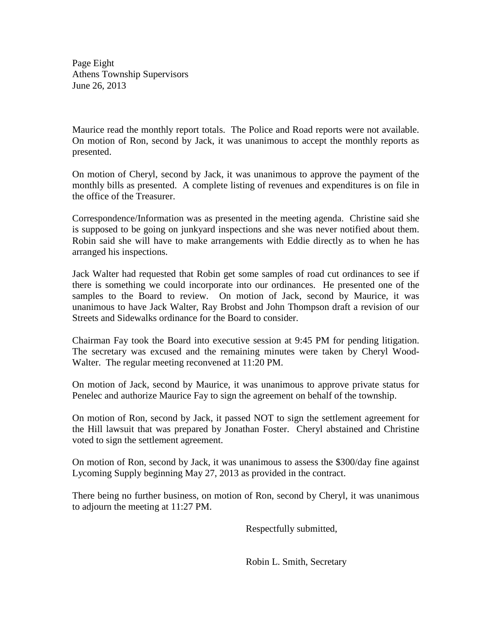Page Eight Athens Township Supervisors June 26, 2013

Maurice read the monthly report totals. The Police and Road reports were not available. On motion of Ron, second by Jack, it was unanimous to accept the monthly reports as presented.

On motion of Cheryl, second by Jack, it was unanimous to approve the payment of the monthly bills as presented. A complete listing of revenues and expenditures is on file in the office of the Treasurer.

Correspondence/Information was as presented in the meeting agenda. Christine said she is supposed to be going on junkyard inspections and she was never notified about them. Robin said she will have to make arrangements with Eddie directly as to when he has arranged his inspections.

Jack Walter had requested that Robin get some samples of road cut ordinances to see if there is something we could incorporate into our ordinances. He presented one of the samples to the Board to review. On motion of Jack, second by Maurice, it was unanimous to have Jack Walter, Ray Brobst and John Thompson draft a revision of our Streets and Sidewalks ordinance for the Board to consider.

Chairman Fay took the Board into executive session at 9:45 PM for pending litigation. The secretary was excused and the remaining minutes were taken by Cheryl Wood-Walter. The regular meeting reconvened at 11:20 PM.

On motion of Jack, second by Maurice, it was unanimous to approve private status for Penelec and authorize Maurice Fay to sign the agreement on behalf of the township.

On motion of Ron, second by Jack, it passed NOT to sign the settlement agreement for the Hill lawsuit that was prepared by Jonathan Foster. Cheryl abstained and Christine voted to sign the settlement agreement.

On motion of Ron, second by Jack, it was unanimous to assess the \$300/day fine against Lycoming Supply beginning May 27, 2013 as provided in the contract.

There being no further business, on motion of Ron, second by Cheryl, it was unanimous to adjourn the meeting at 11:27 PM.

Respectfully submitted,

Robin L. Smith, Secretary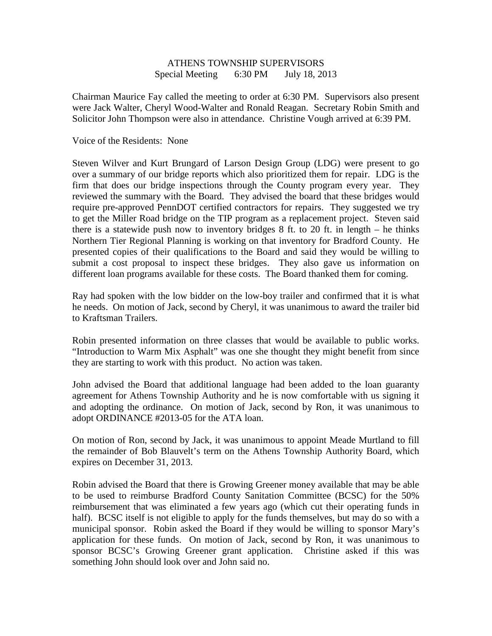# ATHENS TOWNSHIP SUPERVISORS Special Meeting 6:30 PM July 18, 2013

Chairman Maurice Fay called the meeting to order at 6:30 PM. Supervisors also present were Jack Walter, Cheryl Wood-Walter and Ronald Reagan. Secretary Robin Smith and Solicitor John Thompson were also in attendance. Christine Vough arrived at 6:39 PM.

#### Voice of the Residents: None

Steven Wilver and Kurt Brungard of Larson Design Group (LDG) were present to go over a summary of our bridge reports which also prioritized them for repair. LDG is the firm that does our bridge inspections through the County program every year. They reviewed the summary with the Board. They advised the board that these bridges would require pre-approved PennDOT certified contractors for repairs. They suggested we try to get the Miller Road bridge on the TIP program as a replacement project. Steven said there is a statewide push now to inventory bridges 8 ft. to 20 ft. in length – he thinks Northern Tier Regional Planning is working on that inventory for Bradford County. He presented copies of their qualifications to the Board and said they would be willing to submit a cost proposal to inspect these bridges. They also gave us information on different loan programs available for these costs. The Board thanked them for coming.

Ray had spoken with the low bidder on the low-boy trailer and confirmed that it is what he needs. On motion of Jack, second by Cheryl, it was unanimous to award the trailer bid to Kraftsman Trailers.

Robin presented information on three classes that would be available to public works. "Introduction to Warm Mix Asphalt" was one she thought they might benefit from since they are starting to work with this product. No action was taken.

John advised the Board that additional language had been added to the loan guaranty agreement for Athens Township Authority and he is now comfortable with us signing it and adopting the ordinance. On motion of Jack, second by Ron, it was unanimous to adopt ORDINANCE #2013-05 for the ATA loan.

On motion of Ron, second by Jack, it was unanimous to appoint Meade Murtland to fill the remainder of Bob Blauvelt's term on the Athens Township Authority Board, which expires on December 31, 2013.

Robin advised the Board that there is Growing Greener money available that may be able to be used to reimburse Bradford County Sanitation Committee (BCSC) for the 50% reimbursement that was eliminated a few years ago (which cut their operating funds in half). BCSC itself is not eligible to apply for the funds themselves, but may do so with a municipal sponsor. Robin asked the Board if they would be willing to sponsor Mary's application for these funds. On motion of Jack, second by Ron, it was unanimous to sponsor BCSC's Growing Greener grant application. Christine asked if this was something John should look over and John said no.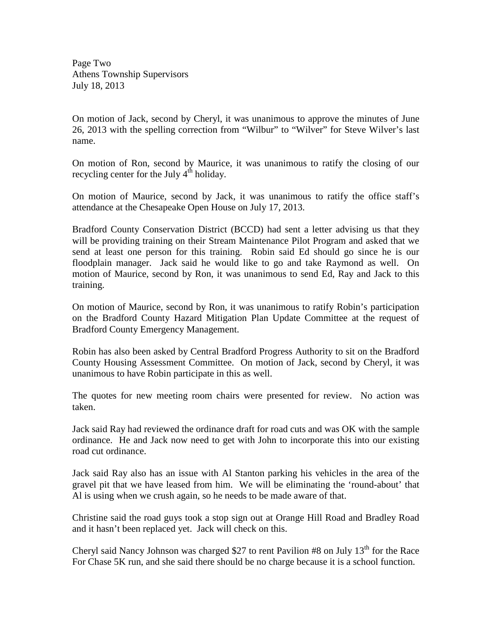Page Two Athens Township Supervisors July 18, 2013

On motion of Jack, second by Cheryl, it was unanimous to approve the minutes of June 26, 2013 with the spelling correction from "Wilbur" to "Wilver" for Steve Wilver's last name.

On motion of Ron, second by Maurice, it was unanimous to ratify the closing of our recycling center for the July  $4<sup>th</sup>$  holiday.

On motion of Maurice, second by Jack, it was unanimous to ratify the office staff's attendance at the Chesapeake Open House on July 17, 2013.

Bradford County Conservation District (BCCD) had sent a letter advising us that they will be providing training on their Stream Maintenance Pilot Program and asked that we send at least one person for this training. Robin said Ed should go since he is our floodplain manager. Jack said he would like to go and take Raymond as well. On motion of Maurice, second by Ron, it was unanimous to send Ed, Ray and Jack to this training.

On motion of Maurice, second by Ron, it was unanimous to ratify Robin's participation on the Bradford County Hazard Mitigation Plan Update Committee at the request of Bradford County Emergency Management.

Robin has also been asked by Central Bradford Progress Authority to sit on the Bradford County Housing Assessment Committee. On motion of Jack, second by Cheryl, it was unanimous to have Robin participate in this as well.

The quotes for new meeting room chairs were presented for review. No action was taken.

Jack said Ray had reviewed the ordinance draft for road cuts and was OK with the sample ordinance. He and Jack now need to get with John to incorporate this into our existing road cut ordinance.

Jack said Ray also has an issue with Al Stanton parking his vehicles in the area of the gravel pit that we have leased from him. We will be eliminating the 'round-about' that Al is using when we crush again, so he needs to be made aware of that.

Christine said the road guys took a stop sign out at Orange Hill Road and Bradley Road and it hasn't been replaced yet. Jack will check on this.

Cheryl said Nancy Johnson was charged \$27 to rent Pavilion  $#8$  on July 13<sup>th</sup> for the Race For Chase 5K run, and she said there should be no charge because it is a school function.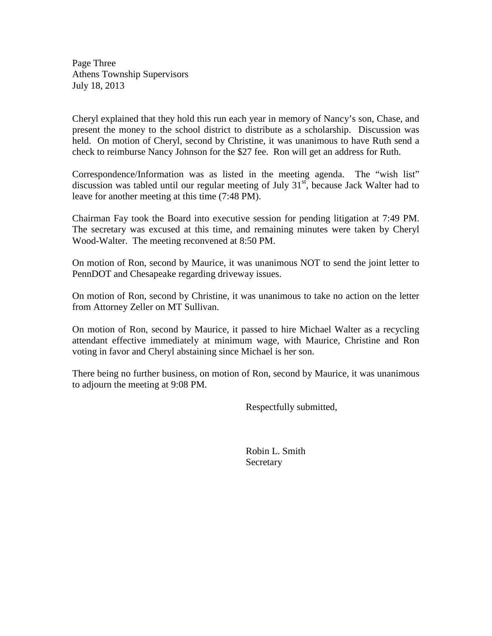Page Three Athens Township Supervisors July 18, 2013

Cheryl explained that they hold this run each year in memory of Nancy's son, Chase, and present the money to the school district to distribute as a scholarship. Discussion was held. On motion of Cheryl, second by Christine, it was unanimous to have Ruth send a check to reimburse Nancy Johnson for the \$27 fee. Ron will get an address for Ruth.

Correspondence/Information was as listed in the meeting agenda. The "wish list" discussion was tabled until our regular meeting of July  $31<sup>st</sup>$ , because Jack Walter had to leave for another meeting at this time (7:48 PM).

Chairman Fay took the Board into executive session for pending litigation at 7:49 PM. The secretary was excused at this time, and remaining minutes were taken by Cheryl Wood-Walter. The meeting reconvened at 8:50 PM.

On motion of Ron, second by Maurice, it was unanimous NOT to send the joint letter to PennDOT and Chesapeake regarding driveway issues.

On motion of Ron, second by Christine, it was unanimous to take no action on the letter from Attorney Zeller on MT Sullivan.

On motion of Ron, second by Maurice, it passed to hire Michael Walter as a recycling attendant effective immediately at minimum wage, with Maurice, Christine and Ron voting in favor and Cheryl abstaining since Michael is her son.

There being no further business, on motion of Ron, second by Maurice, it was unanimous to adjourn the meeting at 9:08 PM.

Respectfully submitted,

 Robin L. Smith Secretary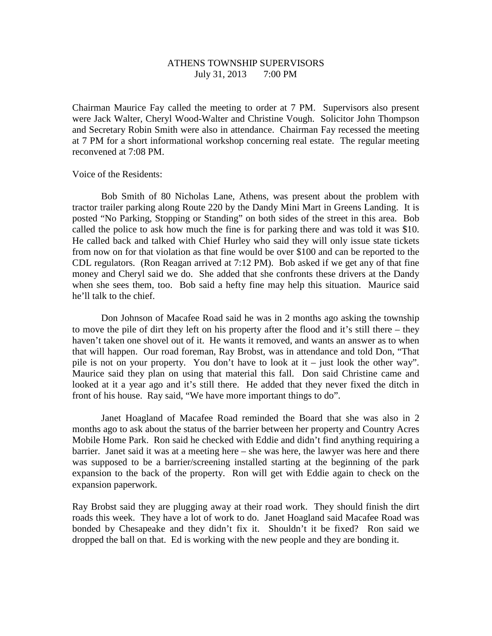# ATHENS TOWNSHIP SUPERVISORS July 31, 2013 7:00 PM

Chairman Maurice Fay called the meeting to order at 7 PM. Supervisors also present were Jack Walter, Cheryl Wood-Walter and Christine Vough. Solicitor John Thompson and Secretary Robin Smith were also in attendance. Chairman Fay recessed the meeting at 7 PM for a short informational workshop concerning real estate. The regular meeting reconvened at 7:08 PM.

Voice of the Residents:

 Bob Smith of 80 Nicholas Lane, Athens, was present about the problem with tractor trailer parking along Route 220 by the Dandy Mini Mart in Greens Landing. It is posted "No Parking, Stopping or Standing" on both sides of the street in this area. Bob called the police to ask how much the fine is for parking there and was told it was \$10. He called back and talked with Chief Hurley who said they will only issue state tickets from now on for that violation as that fine would be over \$100 and can be reported to the CDL regulators. (Ron Reagan arrived at 7:12 PM). Bob asked if we get any of that fine money and Cheryl said we do. She added that she confronts these drivers at the Dandy when she sees them, too. Bob said a hefty fine may help this situation. Maurice said he'll talk to the chief.

 Don Johnson of Macafee Road said he was in 2 months ago asking the township to move the pile of dirt they left on his property after the flood and it's still there – they haven't taken one shovel out of it. He wants it removed, and wants an answer as to when that will happen. Our road foreman, Ray Brobst, was in attendance and told Don, "That pile is not on your property. You don't have to look at it – just look the other way". Maurice said they plan on using that material this fall. Don said Christine came and looked at it a year ago and it's still there. He added that they never fixed the ditch in front of his house. Ray said, "We have more important things to do".

 Janet Hoagland of Macafee Road reminded the Board that she was also in 2 months ago to ask about the status of the barrier between her property and Country Acres Mobile Home Park. Ron said he checked with Eddie and didn't find anything requiring a barrier. Janet said it was at a meeting here – she was here, the lawyer was here and there was supposed to be a barrier/screening installed starting at the beginning of the park expansion to the back of the property. Ron will get with Eddie again to check on the expansion paperwork.

Ray Brobst said they are plugging away at their road work. They should finish the dirt roads this week. They have a lot of work to do. Janet Hoagland said Macafee Road was bonded by Chesapeake and they didn't fix it. Shouldn't it be fixed? Ron said we dropped the ball on that. Ed is working with the new people and they are bonding it.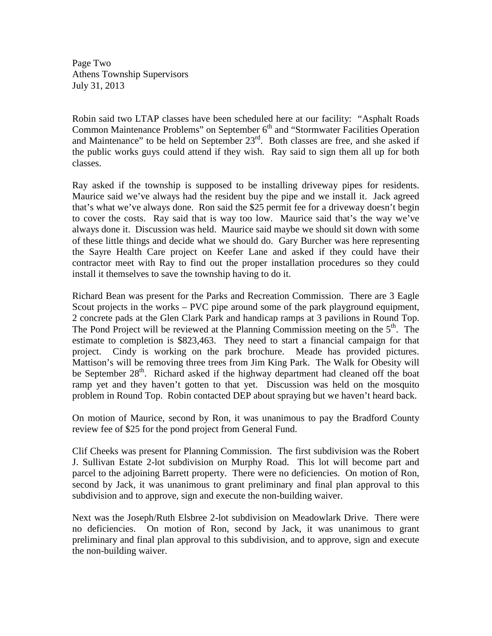Page Two Athens Township Supervisors July 31, 2013

Robin said two LTAP classes have been scheduled here at our facility: "Asphalt Roads Common Maintenance Problems" on September 6<sup>th</sup> and "Stormwater Facilities Operation" and Maintenance" to be held on September 23<sup>rd</sup>. Both classes are free, and she asked if the public works guys could attend if they wish. Ray said to sign them all up for both classes.

Ray asked if the township is supposed to be installing driveway pipes for residents. Maurice said we've always had the resident buy the pipe and we install it. Jack agreed that's what we've always done. Ron said the \$25 permit fee for a driveway doesn't begin to cover the costs. Ray said that is way too low. Maurice said that's the way we've always done it. Discussion was held. Maurice said maybe we should sit down with some of these little things and decide what we should do. Gary Burcher was here representing the Sayre Health Care project on Keefer Lane and asked if they could have their contractor meet with Ray to find out the proper installation procedures so they could install it themselves to save the township having to do it.

Richard Bean was present for the Parks and Recreation Commission. There are 3 Eagle Scout projects in the works – PVC pipe around some of the park playground equipment, 2 concrete pads at the Glen Clark Park and handicap ramps at 3 pavilions in Round Top. The Pond Project will be reviewed at the Planning Commission meeting on the  $5<sup>th</sup>$ . The estimate to completion is \$823,463. They need to start a financial campaign for that project. Cindy is working on the park brochure. Meade has provided pictures. Mattison's will be removing three trees from Jim King Park. The Walk for Obesity will be September 28<sup>th</sup>. Richard asked if the highway department had cleaned off the boat ramp yet and they haven't gotten to that yet. Discussion was held on the mosquito problem in Round Top. Robin contacted DEP about spraying but we haven't heard back.

On motion of Maurice, second by Ron, it was unanimous to pay the Bradford County review fee of \$25 for the pond project from General Fund.

Clif Cheeks was present for Planning Commission. The first subdivision was the Robert J. Sullivan Estate 2-lot subdivision on Murphy Road. This lot will become part and parcel to the adjoining Barrett property. There were no deficiencies. On motion of Ron, second by Jack, it was unanimous to grant preliminary and final plan approval to this subdivision and to approve, sign and execute the non-building waiver.

Next was the Joseph/Ruth Elsbree 2-lot subdivision on Meadowlark Drive. There were no deficiencies. On motion of Ron, second by Jack, it was unanimous to grant preliminary and final plan approval to this subdivision, and to approve, sign and execute the non-building waiver.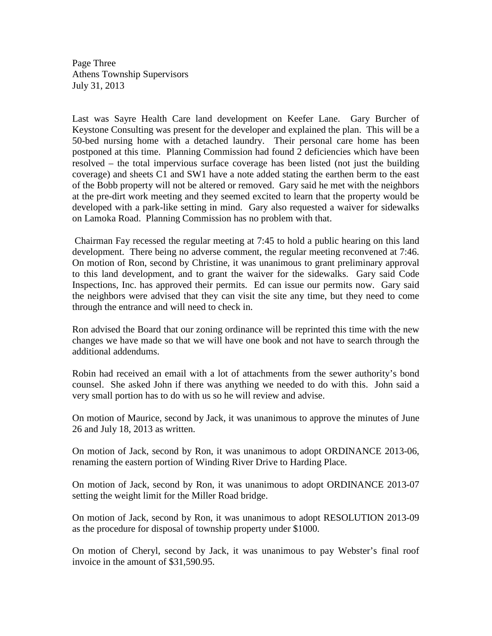Page Three Athens Township Supervisors July 31, 2013

Last was Sayre Health Care land development on Keefer Lane. Gary Burcher of Keystone Consulting was present for the developer and explained the plan. This will be a 50-bed nursing home with a detached laundry. Their personal care home has been postponed at this time. Planning Commission had found 2 deficiencies which have been resolved – the total impervious surface coverage has been listed (not just the building coverage) and sheets C1 and SW1 have a note added stating the earthen berm to the east of the Bobb property will not be altered or removed. Gary said he met with the neighbors at the pre-dirt work meeting and they seemed excited to learn that the property would be developed with a park-like setting in mind. Gary also requested a waiver for sidewalks on Lamoka Road. Planning Commission has no problem with that.

 Chairman Fay recessed the regular meeting at 7:45 to hold a public hearing on this land development. There being no adverse comment, the regular meeting reconvened at 7:46. On motion of Ron, second by Christine, it was unanimous to grant preliminary approval to this land development, and to grant the waiver for the sidewalks. Gary said Code Inspections, Inc. has approved their permits. Ed can issue our permits now. Gary said the neighbors were advised that they can visit the site any time, but they need to come through the entrance and will need to check in.

Ron advised the Board that our zoning ordinance will be reprinted this time with the new changes we have made so that we will have one book and not have to search through the additional addendums.

Robin had received an email with a lot of attachments from the sewer authority's bond counsel. She asked John if there was anything we needed to do with this. John said a very small portion has to do with us so he will review and advise.

On motion of Maurice, second by Jack, it was unanimous to approve the minutes of June 26 and July 18, 2013 as written.

On motion of Jack, second by Ron, it was unanimous to adopt ORDINANCE 2013-06, renaming the eastern portion of Winding River Drive to Harding Place.

On motion of Jack, second by Ron, it was unanimous to adopt ORDINANCE 2013-07 setting the weight limit for the Miller Road bridge.

On motion of Jack, second by Ron, it was unanimous to adopt RESOLUTION 2013-09 as the procedure for disposal of township property under \$1000.

On motion of Cheryl, second by Jack, it was unanimous to pay Webster's final roof invoice in the amount of \$31,590.95.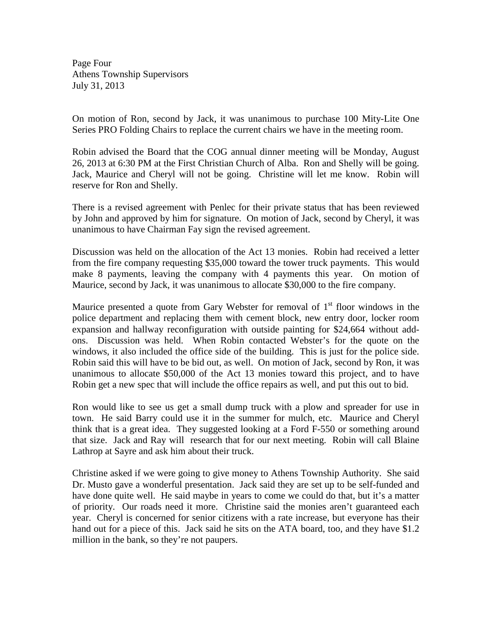Page Four Athens Township Supervisors July 31, 2013

On motion of Ron, second by Jack, it was unanimous to purchase 100 Mity-Lite One Series PRO Folding Chairs to replace the current chairs we have in the meeting room.

Robin advised the Board that the COG annual dinner meeting will be Monday, August 26, 2013 at 6:30 PM at the First Christian Church of Alba. Ron and Shelly will be going. Jack, Maurice and Cheryl will not be going. Christine will let me know. Robin will reserve for Ron and Shelly.

There is a revised agreement with Penlec for their private status that has been reviewed by John and approved by him for signature. On motion of Jack, second by Cheryl, it was unanimous to have Chairman Fay sign the revised agreement.

Discussion was held on the allocation of the Act 13 monies. Robin had received a letter from the fire company requesting \$35,000 toward the tower truck payments. This would make 8 payments, leaving the company with 4 payments this year. On motion of Maurice, second by Jack, it was unanimous to allocate \$30,000 to the fire company.

Maurice presented a quote from Gary Webster for removal of  $1<sup>st</sup>$  floor windows in the police department and replacing them with cement block, new entry door, locker room expansion and hallway reconfiguration with outside painting for \$24,664 without addons. Discussion was held. When Robin contacted Webster's for the quote on the windows, it also included the office side of the building. This is just for the police side. Robin said this will have to be bid out, as well. On motion of Jack, second by Ron, it was unanimous to allocate \$50,000 of the Act 13 monies toward this project, and to have Robin get a new spec that will include the office repairs as well, and put this out to bid.

Ron would like to see us get a small dump truck with a plow and spreader for use in town. He said Barry could use it in the summer for mulch, etc. Maurice and Cheryl think that is a great idea. They suggested looking at a Ford F-550 or something around that size. Jack and Ray will research that for our next meeting. Robin will call Blaine Lathrop at Sayre and ask him about their truck.

Christine asked if we were going to give money to Athens Township Authority. She said Dr. Musto gave a wonderful presentation. Jack said they are set up to be self-funded and have done quite well. He said maybe in years to come we could do that, but it's a matter of priority. Our roads need it more. Christine said the monies aren't guaranteed each year. Cheryl is concerned for senior citizens with a rate increase, but everyone has their hand out for a piece of this. Jack said he sits on the ATA board, too, and they have \$1.2 million in the bank, so they're not paupers.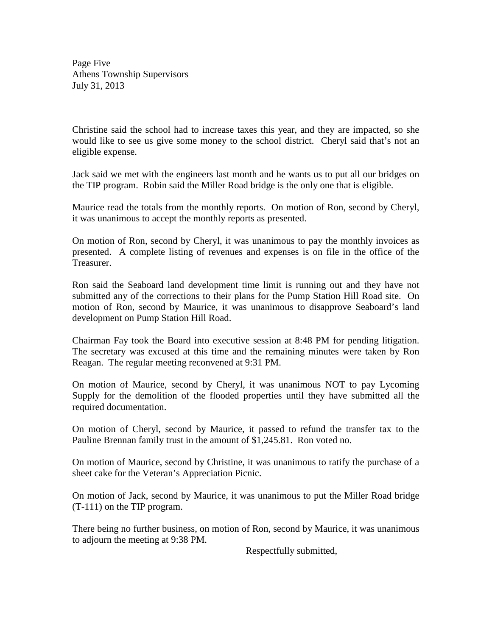Page Five Athens Township Supervisors July 31, 2013

Christine said the school had to increase taxes this year, and they are impacted, so she would like to see us give some money to the school district. Cheryl said that's not an eligible expense.

Jack said we met with the engineers last month and he wants us to put all our bridges on the TIP program. Robin said the Miller Road bridge is the only one that is eligible.

Maurice read the totals from the monthly reports. On motion of Ron, second by Cheryl, it was unanimous to accept the monthly reports as presented.

On motion of Ron, second by Cheryl, it was unanimous to pay the monthly invoices as presented. A complete listing of revenues and expenses is on file in the office of the Treasurer.

Ron said the Seaboard land development time limit is running out and they have not submitted any of the corrections to their plans for the Pump Station Hill Road site. On motion of Ron, second by Maurice, it was unanimous to disapprove Seaboard's land development on Pump Station Hill Road.

Chairman Fay took the Board into executive session at 8:48 PM for pending litigation. The secretary was excused at this time and the remaining minutes were taken by Ron Reagan. The regular meeting reconvened at 9:31 PM.

On motion of Maurice, second by Cheryl, it was unanimous NOT to pay Lycoming Supply for the demolition of the flooded properties until they have submitted all the required documentation.

On motion of Cheryl, second by Maurice, it passed to refund the transfer tax to the Pauline Brennan family trust in the amount of \$1,245.81. Ron voted no.

On motion of Maurice, second by Christine, it was unanimous to ratify the purchase of a sheet cake for the Veteran's Appreciation Picnic.

On motion of Jack, second by Maurice, it was unanimous to put the Miller Road bridge (T-111) on the TIP program.

There being no further business, on motion of Ron, second by Maurice, it was unanimous to adjourn the meeting at 9:38 PM.

Respectfully submitted,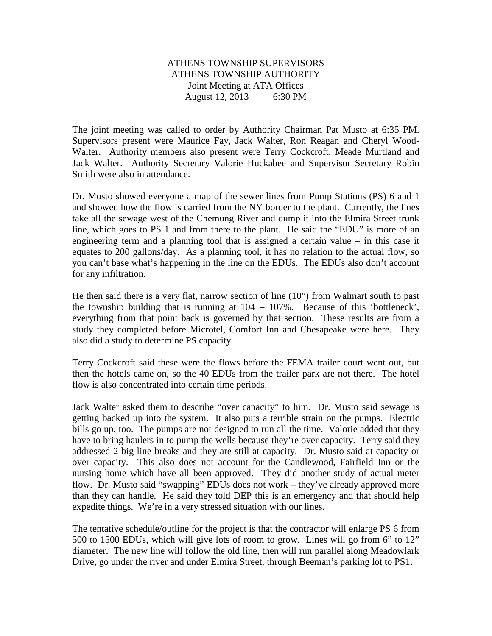# ATHENS TOWNSHIP SUPERVISORS ATHENS TOWNSHIP AUTHORITY Joint Meeting at ATA Offices August 12, 2013 6:30 PM

The joint meeting was called to order by Authority Chairman Pat Musto at 6:35 PM. Supervisors present were Maurice Fay, Jack Walter, Ron Reagan and Cheryl Wood-Walter. Authority members also present were Terry Cockcroft, Meade Murtland and Jack Walter. Authority Secretary Valorie Huckabee and Supervisor Secretary Robin Smith were also in attendance.

Dr. Musto showed everyone a map of the sewer lines from Pump Stations (PS) 6 and 1 and showed how the flow is carried from the NY border to the plant. Currently, the lines take all the sewage west of the Chemung River and dump it into the Elmira Street trunk line, which goes to PS 1 and from there to the plant. He said the "EDU" is more of an engineering term and a planning tool that is assigned a certain value – in this case it equates to 200 gallons/day. As a planning tool, it has no relation to the actual flow, so you can't base what's happening in the line on the EDUs. The EDUs also don't account for any infiltration.

He then said there is a very flat, narrow section of line (10") from Walmart south to past the township building that is running at 104 – 107%. Because of this 'bottleneck', everything from that point back is governed by that section. These results are from a study they completed before Microtel, Comfort Inn and Chesapeake were here. They also did a study to determine PS capacity.

Terry Cockcroft said these were the flows before the FEMA trailer court went out, but then the hotels came on, so the 40 EDUs from the trailer park are not there. The hotel flow is also concentrated into certain time periods.

Jack Walter asked them to describe "over capacity" to him. Dr. Musto said sewage is getting backed up into the system. It also puts a terrible strain on the pumps. Electric bills go up, too. The pumps are not designed to run all the time. Valorie added that they have to bring haulers in to pump the wells because they're over capacity. Terry said they addressed 2 big line breaks and they are still at capacity. Dr. Musto said at capacity or over capacity. This also does not account for the Candlewood, Fairfield Inn or the nursing home which have all been approved. They did another study of actual meter flow. Dr. Musto said "swapping" EDUs does not work – they've already approved more than they can handle. He said they told DEP this is an emergency and that should help expedite things. We're in a very stressed situation with our lines.

The tentative schedule/outline for the project is that the contractor will enlarge PS 6 from 500 to 1500 EDUs, which will give lots of room to grow. Lines will go from 6" to 12" diameter. The new line will follow the old line, then will run parallel along Meadowlark Drive, go under the river and under Elmira Street, through Beeman's parking lot to PS1.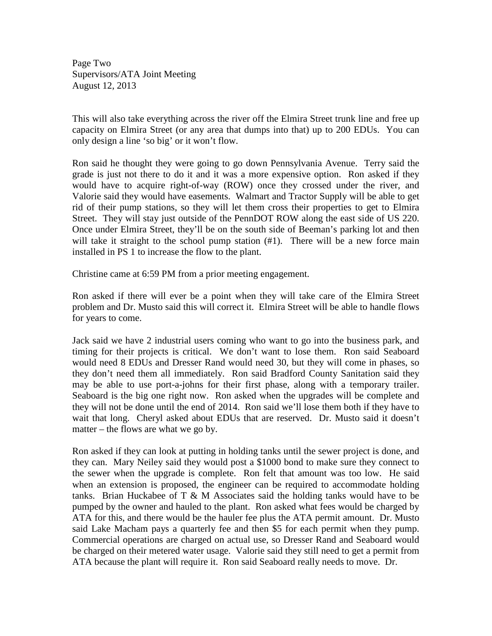Page Two Supervisors/ATA Joint Meeting August 12, 2013

This will also take everything across the river off the Elmira Street trunk line and free up capacity on Elmira Street (or any area that dumps into that) up to 200 EDUs. You can only design a line 'so big' or it won't flow.

Ron said he thought they were going to go down Pennsylvania Avenue. Terry said the grade is just not there to do it and it was a more expensive option. Ron asked if they would have to acquire right-of-way (ROW) once they crossed under the river, and Valorie said they would have easements. Walmart and Tractor Supply will be able to get rid of their pump stations, so they will let them cross their properties to get to Elmira Street. They will stay just outside of the PennDOT ROW along the east side of US 220. Once under Elmira Street, they'll be on the south side of Beeman's parking lot and then will take it straight to the school pump station (#1). There will be a new force main installed in PS 1 to increase the flow to the plant.

Christine came at 6:59 PM from a prior meeting engagement.

Ron asked if there will ever be a point when they will take care of the Elmira Street problem and Dr. Musto said this will correct it. Elmira Street will be able to handle flows for years to come.

Jack said we have 2 industrial users coming who want to go into the business park, and timing for their projects is critical. We don't want to lose them. Ron said Seaboard would need 8 EDUs and Dresser Rand would need 30, but they will come in phases, so they don't need them all immediately. Ron said Bradford County Sanitation said they may be able to use port-a-johns for their first phase, along with a temporary trailer. Seaboard is the big one right now. Ron asked when the upgrades will be complete and they will not be done until the end of 2014. Ron said we'll lose them both if they have to wait that long. Cheryl asked about EDUs that are reserved. Dr. Musto said it doesn't matter – the flows are what we go by.

Ron asked if they can look at putting in holding tanks until the sewer project is done, and they can. Mary Neiley said they would post a \$1000 bond to make sure they connect to the sewer when the upgrade is complete. Ron felt that amount was too low. He said when an extension is proposed, the engineer can be required to accommodate holding tanks. Brian Huckabee of  $T \& M$  Associates said the holding tanks would have to be pumped by the owner and hauled to the plant. Ron asked what fees would be charged by ATA for this, and there would be the hauler fee plus the ATA permit amount. Dr. Musto said Lake Macham pays a quarterly fee and then \$5 for each permit when they pump. Commercial operations are charged on actual use, so Dresser Rand and Seaboard would be charged on their metered water usage. Valorie said they still need to get a permit from ATA because the plant will require it. Ron said Seaboard really needs to move. Dr.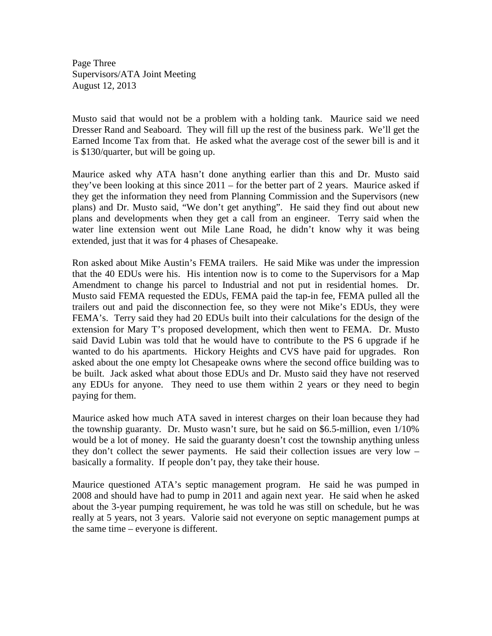Page Three Supervisors/ATA Joint Meeting August 12, 2013

Musto said that would not be a problem with a holding tank. Maurice said we need Dresser Rand and Seaboard. They will fill up the rest of the business park. We'll get the Earned Income Tax from that. He asked what the average cost of the sewer bill is and it is \$130/quarter, but will be going up.

Maurice asked why ATA hasn't done anything earlier than this and Dr. Musto said they've been looking at this since 2011 – for the better part of 2 years. Maurice asked if they get the information they need from Planning Commission and the Supervisors (new plans) and Dr. Musto said, "We don't get anything". He said they find out about new plans and developments when they get a call from an engineer. Terry said when the water line extension went out Mile Lane Road, he didn't know why it was being extended, just that it was for 4 phases of Chesapeake.

Ron asked about Mike Austin's FEMA trailers. He said Mike was under the impression that the 40 EDUs were his. His intention now is to come to the Supervisors for a Map Amendment to change his parcel to Industrial and not put in residential homes. Dr. Musto said FEMA requested the EDUs, FEMA paid the tap-in fee, FEMA pulled all the trailers out and paid the disconnection fee, so they were not Mike's EDUs, they were FEMA's. Terry said they had 20 EDUs built into their calculations for the design of the extension for Mary T's proposed development, which then went to FEMA. Dr. Musto said David Lubin was told that he would have to contribute to the PS 6 upgrade if he wanted to do his apartments. Hickory Heights and CVS have paid for upgrades. Ron asked about the one empty lot Chesapeake owns where the second office building was to be built. Jack asked what about those EDUs and Dr. Musto said they have not reserved any EDUs for anyone. They need to use them within 2 years or they need to begin paying for them.

Maurice asked how much ATA saved in interest charges on their loan because they had the township guaranty. Dr. Musto wasn't sure, but he said on \$6.5-million, even 1/10% would be a lot of money. He said the guaranty doesn't cost the township anything unless they don't collect the sewer payments. He said their collection issues are very low – basically a formality. If people don't pay, they take their house.

Maurice questioned ATA's septic management program. He said he was pumped in 2008 and should have had to pump in 2011 and again next year. He said when he asked about the 3-year pumping requirement, he was told he was still on schedule, but he was really at 5 years, not 3 years. Valorie said not everyone on septic management pumps at the same time – everyone is different.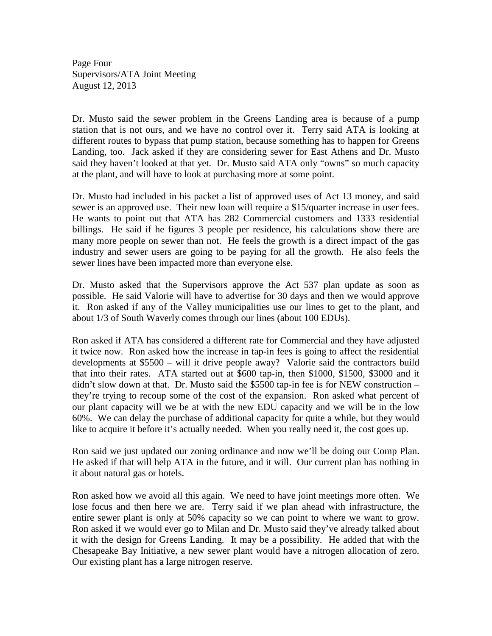Page Four Supervisors/ATA Joint Meeting August 12, 2013

Dr. Musto said the sewer problem in the Greens Landing area is because of a pump station that is not ours, and we have no control over it. Terry said ATA is looking at different routes to bypass that pump station, because something has to happen for Greens Landing, too. Jack asked if they are considering sewer for East Athens and Dr. Musto said they haven't looked at that yet. Dr. Musto said ATA only "owns" so much capacity at the plant, and will have to look at purchasing more at some point.

Dr. Musto had included in his packet a list of approved uses of Act 13 money, and said sewer is an approved use. Their new loan will require a \$15/quarter increase in user fees. He wants to point out that ATA has 282 Commercial customers and 1333 residential billings. He said if he figures 3 people per residence, his calculations show there are many more people on sewer than not. He feels the growth is a direct impact of the gas industry and sewer users are going to be paying for all the growth. He also feels the sewer lines have been impacted more than everyone else.

Dr. Musto asked that the Supervisors approve the Act 537 plan update as soon as possible. He said Valorie will have to advertise for 30 days and then we would approve it. Ron asked if any of the Valley municipalities use our lines to get to the plant, and about 1/3 of South Waverly comes through our lines (about 100 EDUs).

Ron asked if ATA has considered a different rate for Commercial and they have adjusted it twice now. Ron asked how the increase in tap-in fees is going to affect the residential developments at \$5500 – will it drive people away? Valorie said the contractors build that into their rates. ATA started out at \$600 tap-in, then \$1000, \$1500, \$3000 and it didn't slow down at that. Dr. Musto said the \$5500 tap-in fee is for NEW construction – they're trying to recoup some of the cost of the expansion. Ron asked what percent of our plant capacity will we be at with the new EDU capacity and we will be in the low 60%. We can delay the purchase of additional capacity for quite a while, but they would like to acquire it before it's actually needed. When you really need it, the cost goes up.

Ron said we just updated our zoning ordinance and now we'll be doing our Comp Plan. He asked if that will help ATA in the future, and it will. Our current plan has nothing in it about natural gas or hotels.

Ron asked how we avoid all this again. We need to have joint meetings more often. We lose focus and then here we are. Terry said if we plan ahead with infrastructure, the entire sewer plant is only at 50% capacity so we can point to where we want to grow. Ron asked if we would ever go to Milan and Dr. Musto said they've already talked about it with the design for Greens Landing. It may be a possibility. He added that with the Chesapeake Bay Initiative, a new sewer plant would have a nitrogen allocation of zero. Our existing plant has a large nitrogen reserve.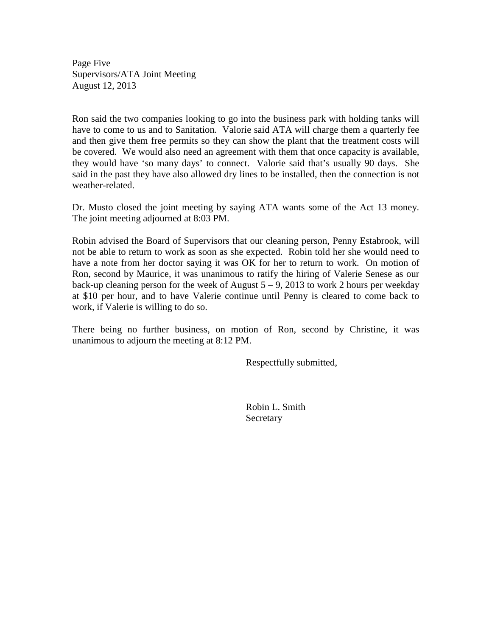Page Five Supervisors/ATA Joint Meeting August 12, 2013

Ron said the two companies looking to go into the business park with holding tanks will have to come to us and to Sanitation. Valorie said ATA will charge them a quarterly fee and then give them free permits so they can show the plant that the treatment costs will be covered. We would also need an agreement with them that once capacity is available, they would have 'so many days' to connect. Valorie said that's usually 90 days. She said in the past they have also allowed dry lines to be installed, then the connection is not weather-related.

Dr. Musto closed the joint meeting by saying ATA wants some of the Act 13 money. The joint meeting adjourned at 8:03 PM.

Robin advised the Board of Supervisors that our cleaning person, Penny Estabrook, will not be able to return to work as soon as she expected. Robin told her she would need to have a note from her doctor saying it was OK for her to return to work. On motion of Ron, second by Maurice, it was unanimous to ratify the hiring of Valerie Senese as our back-up cleaning person for the week of August  $5 - 9$ , 2013 to work 2 hours per weekday at \$10 per hour, and to have Valerie continue until Penny is cleared to come back to work, if Valerie is willing to do so.

There being no further business, on motion of Ron, second by Christine, it was unanimous to adjourn the meeting at 8:12 PM.

Respectfully submitted,

 Robin L. Smith Secretary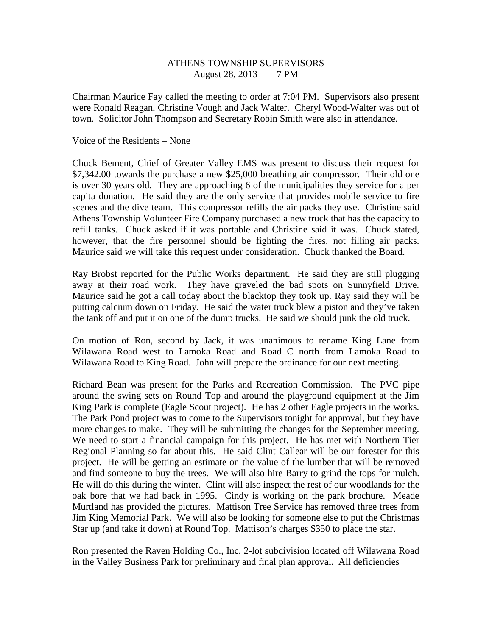# ATHENS TOWNSHIP SUPERVISORS August 28, 2013 7 PM

Chairman Maurice Fay called the meeting to order at 7:04 PM. Supervisors also present were Ronald Reagan, Christine Vough and Jack Walter. Cheryl Wood-Walter was out of town. Solicitor John Thompson and Secretary Robin Smith were also in attendance.

#### Voice of the Residents – None

Chuck Bement, Chief of Greater Valley EMS was present to discuss their request for \$7,342.00 towards the purchase a new \$25,000 breathing air compressor. Their old one is over 30 years old. They are approaching 6 of the municipalities they service for a per capita donation. He said they are the only service that provides mobile service to fire scenes and the dive team. This compressor refills the air packs they use. Christine said Athens Township Volunteer Fire Company purchased a new truck that has the capacity to refill tanks. Chuck asked if it was portable and Christine said it was. Chuck stated, however, that the fire personnel should be fighting the fires, not filling air packs. Maurice said we will take this request under consideration. Chuck thanked the Board.

Ray Brobst reported for the Public Works department. He said they are still plugging away at their road work. They have graveled the bad spots on Sunnyfield Drive. Maurice said he got a call today about the blacktop they took up. Ray said they will be putting calcium down on Friday. He said the water truck blew a piston and they've taken the tank off and put it on one of the dump trucks. He said we should junk the old truck.

On motion of Ron, second by Jack, it was unanimous to rename King Lane from Wilawana Road west to Lamoka Road and Road C north from Lamoka Road to Wilawana Road to King Road. John will prepare the ordinance for our next meeting.

Richard Bean was present for the Parks and Recreation Commission. The PVC pipe around the swing sets on Round Top and around the playground equipment at the Jim King Park is complete (Eagle Scout project). He has 2 other Eagle projects in the works. The Park Pond project was to come to the Supervisors tonight for approval, but they have more changes to make. They will be submitting the changes for the September meeting. We need to start a financial campaign for this project. He has met with Northern Tier Regional Planning so far about this. He said Clint Callear will be our forester for this project. He will be getting an estimate on the value of the lumber that will be removed and find someone to buy the trees. We will also hire Barry to grind the tops for mulch. He will do this during the winter. Clint will also inspect the rest of our woodlands for the oak bore that we had back in 1995. Cindy is working on the park brochure. Meade Murtland has provided the pictures. Mattison Tree Service has removed three trees from Jim King Memorial Park. We will also be looking for someone else to put the Christmas Star up (and take it down) at Round Top. Mattison's charges \$350 to place the star.

Ron presented the Raven Holding Co., Inc. 2-lot subdivision located off Wilawana Road in the Valley Business Park for preliminary and final plan approval. All deficiencies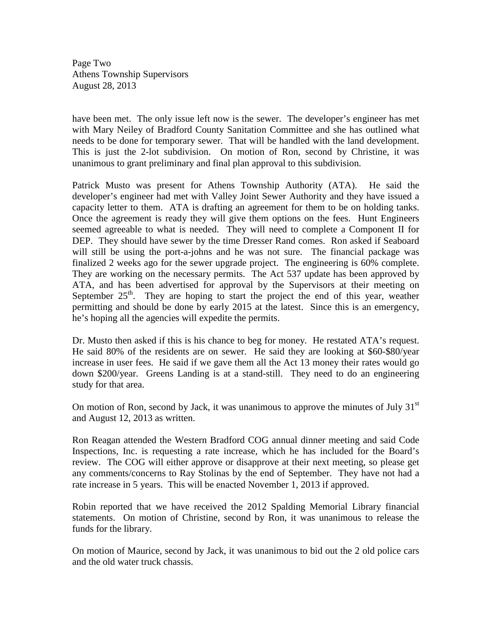Page Two Athens Township Supervisors August 28, 2013

have been met. The only issue left now is the sewer. The developer's engineer has met with Mary Neiley of Bradford County Sanitation Committee and she has outlined what needs to be done for temporary sewer. That will be handled with the land development. This is just the 2-lot subdivision. On motion of Ron, second by Christine, it was unanimous to grant preliminary and final plan approval to this subdivision.

Patrick Musto was present for Athens Township Authority (ATA). He said the developer's engineer had met with Valley Joint Sewer Authority and they have issued a capacity letter to them. ATA is drafting an agreement for them to be on holding tanks. Once the agreement is ready they will give them options on the fees. Hunt Engineers seemed agreeable to what is needed. They will need to complete a Component II for DEP. They should have sewer by the time Dresser Rand comes. Ron asked if Seaboard will still be using the port-a-johns and he was not sure. The financial package was finalized 2 weeks ago for the sewer upgrade project. The engineering is 60% complete. They are working on the necessary permits. The Act 537 update has been approved by ATA, and has been advertised for approval by the Supervisors at their meeting on September  $25<sup>th</sup>$ . They are hoping to start the project the end of this year, weather permitting and should be done by early 2015 at the latest. Since this is an emergency, he's hoping all the agencies will expedite the permits.

Dr. Musto then asked if this is his chance to beg for money. He restated ATA's request. He said 80% of the residents are on sewer. He said they are looking at \$60-\$80/year increase in user fees. He said if we gave them all the Act 13 money their rates would go down \$200/year. Greens Landing is at a stand-still. They need to do an engineering study for that area.

On motion of Ron, second by Jack, it was unanimous to approve the minutes of July  $31<sup>st</sup>$ and August 12, 2013 as written.

Ron Reagan attended the Western Bradford COG annual dinner meeting and said Code Inspections, Inc. is requesting a rate increase, which he has included for the Board's review. The COG will either approve or disapprove at their next meeting, so please get any comments/concerns to Ray Stolinas by the end of September. They have not had a rate increase in 5 years. This will be enacted November 1, 2013 if approved.

Robin reported that we have received the 2012 Spalding Memorial Library financial statements. On motion of Christine, second by Ron, it was unanimous to release the funds for the library.

On motion of Maurice, second by Jack, it was unanimous to bid out the 2 old police cars and the old water truck chassis.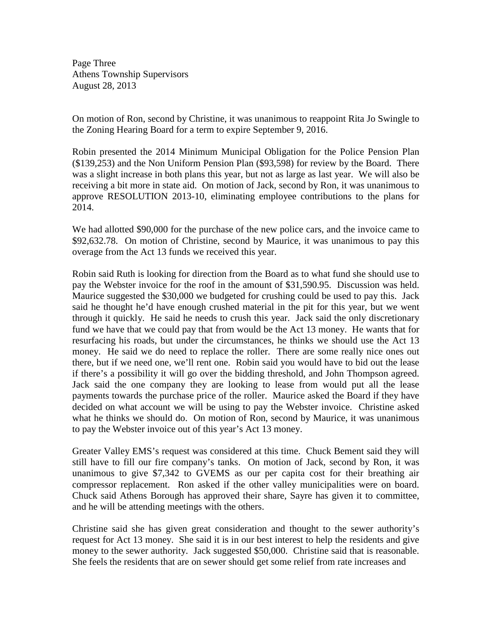Page Three Athens Township Supervisors August 28, 2013

On motion of Ron, second by Christine, it was unanimous to reappoint Rita Jo Swingle to the Zoning Hearing Board for a term to expire September 9, 2016.

Robin presented the 2014 Minimum Municipal Obligation for the Police Pension Plan (\$139,253) and the Non Uniform Pension Plan (\$93,598) for review by the Board. There was a slight increase in both plans this year, but not as large as last year. We will also be receiving a bit more in state aid. On motion of Jack, second by Ron, it was unanimous to approve RESOLUTION 2013-10, eliminating employee contributions to the plans for 2014.

We had allotted \$90,000 for the purchase of the new police cars, and the invoice came to \$92,632.78. On motion of Christine, second by Maurice, it was unanimous to pay this overage from the Act 13 funds we received this year.

Robin said Ruth is looking for direction from the Board as to what fund she should use to pay the Webster invoice for the roof in the amount of \$31,590.95. Discussion was held. Maurice suggested the \$30,000 we budgeted for crushing could be used to pay this. Jack said he thought he'd have enough crushed material in the pit for this year, but we went through it quickly. He said he needs to crush this year. Jack said the only discretionary fund we have that we could pay that from would be the Act 13 money. He wants that for resurfacing his roads, but under the circumstances, he thinks we should use the Act 13 money. He said we do need to replace the roller. There are some really nice ones out there, but if we need one, we'll rent one. Robin said you would have to bid out the lease if there's a possibility it will go over the bidding threshold, and John Thompson agreed. Jack said the one company they are looking to lease from would put all the lease payments towards the purchase price of the roller. Maurice asked the Board if they have decided on what account we will be using to pay the Webster invoice. Christine asked what he thinks we should do. On motion of Ron, second by Maurice, it was unanimous to pay the Webster invoice out of this year's Act 13 money.

Greater Valley EMS's request was considered at this time. Chuck Bement said they will still have to fill our fire company's tanks. On motion of Jack, second by Ron, it was unanimous to give \$7,342 to GVEMS as our per capita cost for their breathing air compressor replacement. Ron asked if the other valley municipalities were on board. Chuck said Athens Borough has approved their share, Sayre has given it to committee, and he will be attending meetings with the others.

Christine said she has given great consideration and thought to the sewer authority's request for Act 13 money. She said it is in our best interest to help the residents and give money to the sewer authority. Jack suggested \$50,000. Christine said that is reasonable. She feels the residents that are on sewer should get some relief from rate increases and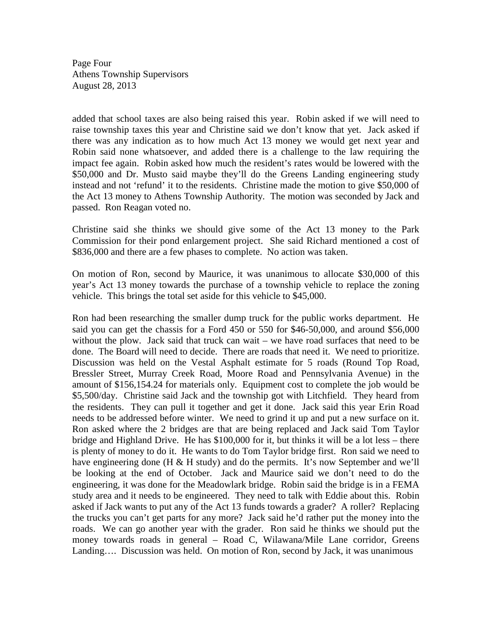Page Four Athens Township Supervisors August 28, 2013

added that school taxes are also being raised this year. Robin asked if we will need to raise township taxes this year and Christine said we don't know that yet. Jack asked if there was any indication as to how much Act 13 money we would get next year and Robin said none whatsoever, and added there is a challenge to the law requiring the impact fee again. Robin asked how much the resident's rates would be lowered with the \$50,000 and Dr. Musto said maybe they'll do the Greens Landing engineering study instead and not 'refund' it to the residents. Christine made the motion to give \$50,000 of the Act 13 money to Athens Township Authority. The motion was seconded by Jack and passed. Ron Reagan voted no.

Christine said she thinks we should give some of the Act 13 money to the Park Commission for their pond enlargement project. She said Richard mentioned a cost of \$836,000 and there are a few phases to complete. No action was taken.

On motion of Ron, second by Maurice, it was unanimous to allocate \$30,000 of this year's Act 13 money towards the purchase of a township vehicle to replace the zoning vehicle. This brings the total set aside for this vehicle to \$45,000.

Ron had been researching the smaller dump truck for the public works department. He said you can get the chassis for a Ford 450 or 550 for \$46-50,000, and around \$56,000 without the plow. Jack said that truck can wait – we have road surfaces that need to be done. The Board will need to decide. There are roads that need it. We need to prioritize. Discussion was held on the Vestal Asphalt estimate for 5 roads (Round Top Road, Bressler Street, Murray Creek Road, Moore Road and Pennsylvania Avenue) in the amount of \$156,154.24 for materials only. Equipment cost to complete the job would be \$5,500/day. Christine said Jack and the township got with Litchfield. They heard from the residents. They can pull it together and get it done. Jack said this year Erin Road needs to be addressed before winter. We need to grind it up and put a new surface on it. Ron asked where the 2 bridges are that are being replaced and Jack said Tom Taylor bridge and Highland Drive. He has \$100,000 for it, but thinks it will be a lot less – there is plenty of money to do it. He wants to do Tom Taylor bridge first. Ron said we need to have engineering done (H  $\&$  H study) and do the permits. It's now September and we'll be looking at the end of October. Jack and Maurice said we don't need to do the engineering, it was done for the Meadowlark bridge. Robin said the bridge is in a FEMA study area and it needs to be engineered. They need to talk with Eddie about this. Robin asked if Jack wants to put any of the Act 13 funds towards a grader? A roller? Replacing the trucks you can't get parts for any more? Jack said he'd rather put the money into the roads. We can go another year with the grader. Ron said he thinks we should put the money towards roads in general – Road C, Wilawana/Mile Lane corridor, Greens Landing…. Discussion was held. On motion of Ron, second by Jack, it was unanimous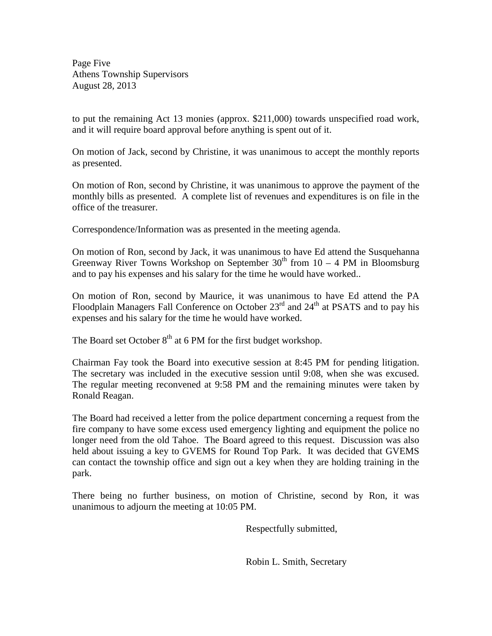Page Five Athens Township Supervisors August 28, 2013

to put the remaining Act 13 monies (approx. \$211,000) towards unspecified road work, and it will require board approval before anything is spent out of it.

On motion of Jack, second by Christine, it was unanimous to accept the monthly reports as presented.

On motion of Ron, second by Christine, it was unanimous to approve the payment of the monthly bills as presented. A complete list of revenues and expenditures is on file in the office of the treasurer.

Correspondence/Information was as presented in the meeting agenda.

On motion of Ron, second by Jack, it was unanimous to have Ed attend the Susquehanna Greenway River Towns Workshop on September  $30<sup>th</sup>$  from  $10 - 4$  PM in Bloomsburg and to pay his expenses and his salary for the time he would have worked..

On motion of Ron, second by Maurice, it was unanimous to have Ed attend the PA Floodplain Managers Fall Conference on October  $23<sup>rd</sup>$  and  $24<sup>th</sup>$  at PSATS and to pay his expenses and his salary for the time he would have worked.

The Board set October  $8<sup>th</sup>$  at 6 PM for the first budget workshop.

Chairman Fay took the Board into executive session at 8:45 PM for pending litigation. The secretary was included in the executive session until 9:08, when she was excused. The regular meeting reconvened at 9:58 PM and the remaining minutes were taken by Ronald Reagan.

The Board had received a letter from the police department concerning a request from the fire company to have some excess used emergency lighting and equipment the police no longer need from the old Tahoe. The Board agreed to this request. Discussion was also held about issuing a key to GVEMS for Round Top Park. It was decided that GVEMS can contact the township office and sign out a key when they are holding training in the park.

There being no further business, on motion of Christine, second by Ron, it was unanimous to adjourn the meeting at 10:05 PM.

Respectfully submitted,

Robin L. Smith, Secretary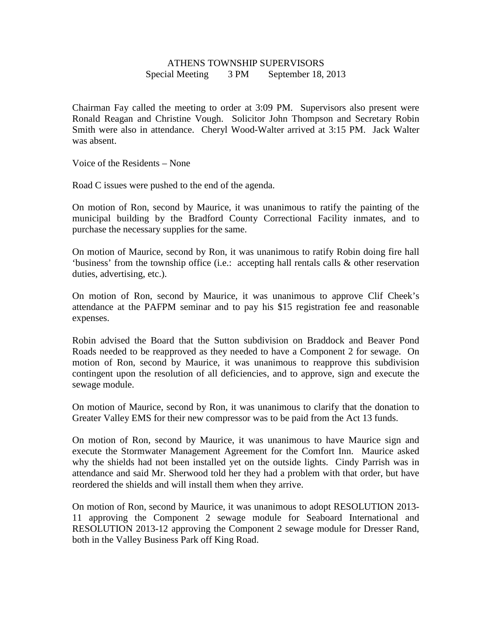# ATHENS TOWNSHIP SUPERVISORS Special Meeting 3 PM September 18, 2013

Chairman Fay called the meeting to order at 3:09 PM. Supervisors also present were Ronald Reagan and Christine Vough. Solicitor John Thompson and Secretary Robin Smith were also in attendance. Cheryl Wood-Walter arrived at 3:15 PM. Jack Walter was absent.

Voice of the Residents – None

Road C issues were pushed to the end of the agenda.

On motion of Ron, second by Maurice, it was unanimous to ratify the painting of the municipal building by the Bradford County Correctional Facility inmates, and to purchase the necessary supplies for the same.

On motion of Maurice, second by Ron, it was unanimous to ratify Robin doing fire hall 'business' from the township office (i.e.: accepting hall rentals calls & other reservation duties, advertising, etc.).

On motion of Ron, second by Maurice, it was unanimous to approve Clif Cheek's attendance at the PAFPM seminar and to pay his \$15 registration fee and reasonable expenses.

Robin advised the Board that the Sutton subdivision on Braddock and Beaver Pond Roads needed to be reapproved as they needed to have a Component 2 for sewage. On motion of Ron, second by Maurice, it was unanimous to reapprove this subdivision contingent upon the resolution of all deficiencies, and to approve, sign and execute the sewage module.

On motion of Maurice, second by Ron, it was unanimous to clarify that the donation to Greater Valley EMS for their new compressor was to be paid from the Act 13 funds.

On motion of Ron, second by Maurice, it was unanimous to have Maurice sign and execute the Stormwater Management Agreement for the Comfort Inn. Maurice asked why the shields had not been installed yet on the outside lights. Cindy Parrish was in attendance and said Mr. Sherwood told her they had a problem with that order, but have reordered the shields and will install them when they arrive.

On motion of Ron, second by Maurice, it was unanimous to adopt RESOLUTION 2013- 11 approving the Component 2 sewage module for Seaboard International and RESOLUTION 2013-12 approving the Component 2 sewage module for Dresser Rand, both in the Valley Business Park off King Road.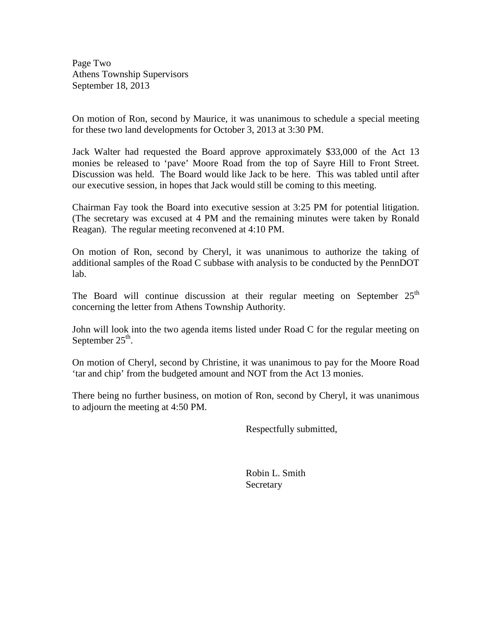Page Two Athens Township Supervisors September 18, 2013

On motion of Ron, second by Maurice, it was unanimous to schedule a special meeting for these two land developments for October 3, 2013 at 3:30 PM.

Jack Walter had requested the Board approve approximately \$33,000 of the Act 13 monies be released to 'pave' Moore Road from the top of Sayre Hill to Front Street. Discussion was held. The Board would like Jack to be here. This was tabled until after our executive session, in hopes that Jack would still be coming to this meeting.

Chairman Fay took the Board into executive session at 3:25 PM for potential litigation. (The secretary was excused at 4 PM and the remaining minutes were taken by Ronald Reagan). The regular meeting reconvened at 4:10 PM.

On motion of Ron, second by Cheryl, it was unanimous to authorize the taking of additional samples of the Road C subbase with analysis to be conducted by the PennDOT lab.

The Board will continue discussion at their regular meeting on September  $25<sup>th</sup>$ concerning the letter from Athens Township Authority.

John will look into the two agenda items listed under Road C for the regular meeting on September  $25^{\text{th}}$ .

On motion of Cheryl, second by Christine, it was unanimous to pay for the Moore Road 'tar and chip' from the budgeted amount and NOT from the Act 13 monies.

There being no further business, on motion of Ron, second by Cheryl, it was unanimous to adjourn the meeting at 4:50 PM.

Respectfully submitted,

 Robin L. Smith Secretary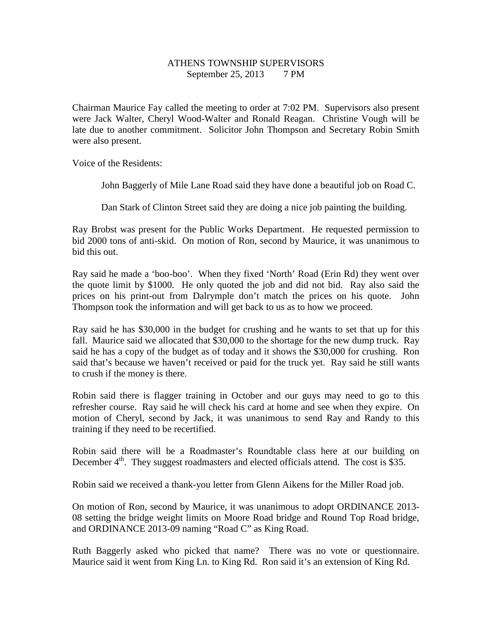# ATHENS TOWNSHIP SUPERVISORS September 25, 2013 7 PM

Chairman Maurice Fay called the meeting to order at 7:02 PM. Supervisors also present were Jack Walter, Cheryl Wood-Walter and Ronald Reagan. Christine Vough will be late due to another commitment. Solicitor John Thompson and Secretary Robin Smith were also present.

Voice of the Residents:

John Baggerly of Mile Lane Road said they have done a beautiful job on Road C.

Dan Stark of Clinton Street said they are doing a nice job painting the building.

Ray Brobst was present for the Public Works Department. He requested permission to bid 2000 tons of anti-skid. On motion of Ron, second by Maurice, it was unanimous to bid this out.

Ray said he made a 'boo-boo'. When they fixed 'North' Road (Erin Rd) they went over the quote limit by \$1000. He only quoted the job and did not bid. Ray also said the prices on his print-out from Dalrymple don't match the prices on his quote. John Thompson took the information and will get back to us as to how we proceed.

Ray said he has \$30,000 in the budget for crushing and he wants to set that up for this fall. Maurice said we allocated that \$30,000 to the shortage for the new dump truck. Ray said he has a copy of the budget as of today and it shows the \$30,000 for crushing. Ron said that's because we haven't received or paid for the truck yet. Ray said he still wants to crush if the money is there.

Robin said there is flagger training in October and our guys may need to go to this refresher course. Ray said he will check his card at home and see when they expire. On motion of Cheryl, second by Jack, it was unanimous to send Ray and Randy to this training if they need to be recertified.

Robin said there will be a Roadmaster's Roundtable class here at our building on December  $4<sup>th</sup>$ . They suggest roadmasters and elected officials attend. The cost is \$35.

Robin said we received a thank-you letter from Glenn Aikens for the Miller Road job.

On motion of Ron, second by Maurice, it was unanimous to adopt ORDINANCE 2013- 08 setting the bridge weight limits on Moore Road bridge and Round Top Road bridge, and ORDINANCE 2013-09 naming "Road C" as King Road.

Ruth Baggerly asked who picked that name? There was no vote or questionnaire. Maurice said it went from King Ln. to King Rd. Ron said it's an extension of King Rd.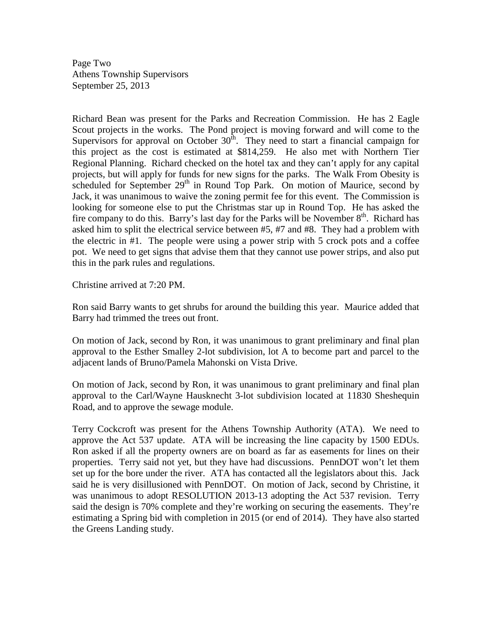Page Two Athens Township Supervisors September 25, 2013

Richard Bean was present for the Parks and Recreation Commission. He has 2 Eagle Scout projects in the works. The Pond project is moving forward and will come to the Supervisors for approval on October  $30<sup>th</sup>$ . They need to start a financial campaign for this project as the cost is estimated at \$814,259. He also met with Northern Tier Regional Planning. Richard checked on the hotel tax and they can't apply for any capital projects, but will apply for funds for new signs for the parks. The Walk From Obesity is scheduled for September  $29<sup>th</sup>$  in Round Top Park. On motion of Maurice, second by Jack, it was unanimous to waive the zoning permit fee for this event. The Commission is looking for someone else to put the Christmas star up in Round Top. He has asked the fire company to do this. Barry's last day for the Parks will be November  $8<sup>th</sup>$ . Richard has asked him to split the electrical service between #5, #7 and #8. They had a problem with the electric in #1. The people were using a power strip with 5 crock pots and a coffee pot. We need to get signs that advise them that they cannot use power strips, and also put this in the park rules and regulations.

Christine arrived at 7:20 PM.

Ron said Barry wants to get shrubs for around the building this year. Maurice added that Barry had trimmed the trees out front.

On motion of Jack, second by Ron, it was unanimous to grant preliminary and final plan approval to the Esther Smalley 2-lot subdivision, lot A to become part and parcel to the adjacent lands of Bruno/Pamela Mahonski on Vista Drive.

On motion of Jack, second by Ron, it was unanimous to grant preliminary and final plan approval to the Carl/Wayne Hausknecht 3-lot subdivision located at 11830 Sheshequin Road, and to approve the sewage module.

Terry Cockcroft was present for the Athens Township Authority (ATA). We need to approve the Act 537 update. ATA will be increasing the line capacity by 1500 EDUs. Ron asked if all the property owners are on board as far as easements for lines on their properties. Terry said not yet, but they have had discussions. PennDOT won't let them set up for the bore under the river. ATA has contacted all the legislators about this. Jack said he is very disillusioned with PennDOT. On motion of Jack, second by Christine, it was unanimous to adopt RESOLUTION 2013-13 adopting the Act 537 revision. Terry said the design is 70% complete and they're working on securing the easements. They're estimating a Spring bid with completion in 2015 (or end of 2014). They have also started the Greens Landing study.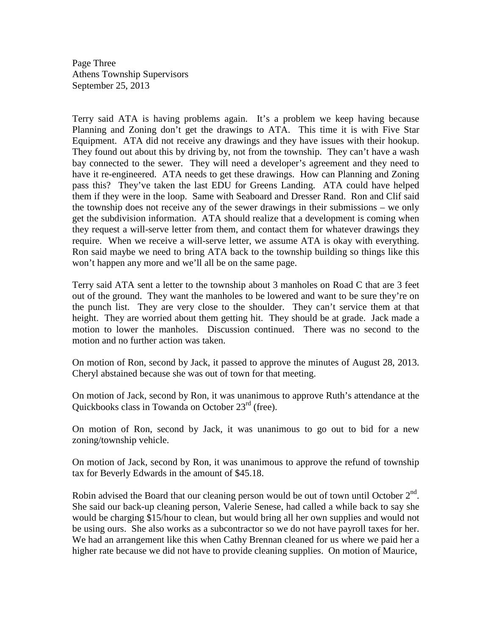Page Three Athens Township Supervisors September 25, 2013

Terry said ATA is having problems again. It's a problem we keep having because Planning and Zoning don't get the drawings to ATA. This time it is with Five Star Equipment. ATA did not receive any drawings and they have issues with their hookup. They found out about this by driving by, not from the township. They can't have a wash bay connected to the sewer. They will need a developer's agreement and they need to have it re-engineered. ATA needs to get these drawings. How can Planning and Zoning pass this? They've taken the last EDU for Greens Landing. ATA could have helped them if they were in the loop. Same with Seaboard and Dresser Rand. Ron and Clif said the township does not receive any of the sewer drawings in their submissions – we only get the subdivision information. ATA should realize that a development is coming when they request a will-serve letter from them, and contact them for whatever drawings they require. When we receive a will-serve letter, we assume ATA is okay with everything. Ron said maybe we need to bring ATA back to the township building so things like this won't happen any more and we'll all be on the same page.

Terry said ATA sent a letter to the township about 3 manholes on Road C that are 3 feet out of the ground. They want the manholes to be lowered and want to be sure they're on the punch list. They are very close to the shoulder. They can't service them at that height. They are worried about them getting hit. They should be at grade. Jack made a motion to lower the manholes. Discussion continued. There was no second to the motion and no further action was taken.

On motion of Ron, second by Jack, it passed to approve the minutes of August 28, 2013. Cheryl abstained because she was out of town for that meeting.

On motion of Jack, second by Ron, it was unanimous to approve Ruth's attendance at the Quickbooks class in Towanda on October  $23<sup>rd</sup>$  (free).

On motion of Ron, second by Jack, it was unanimous to go out to bid for a new zoning/township vehicle.

On motion of Jack, second by Ron, it was unanimous to approve the refund of township tax for Beverly Edwards in the amount of \$45.18.

Robin advised the Board that our cleaning person would be out of town until October  $2<sup>nd</sup>$ . She said our back-up cleaning person, Valerie Senese, had called a while back to say she would be charging \$15/hour to clean, but would bring all her own supplies and would not be using ours. She also works as a subcontractor so we do not have payroll taxes for her. We had an arrangement like this when Cathy Brennan cleaned for us where we paid her a higher rate because we did not have to provide cleaning supplies. On motion of Maurice,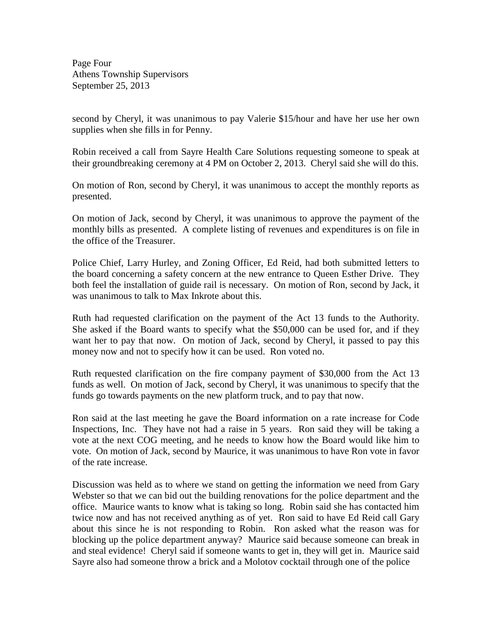Page Four Athens Township Supervisors September 25, 2013

second by Cheryl, it was unanimous to pay Valerie \$15/hour and have her use her own supplies when she fills in for Penny.

Robin received a call from Sayre Health Care Solutions requesting someone to speak at their groundbreaking ceremony at 4 PM on October 2, 2013. Cheryl said she will do this.

On motion of Ron, second by Cheryl, it was unanimous to accept the monthly reports as presented.

On motion of Jack, second by Cheryl, it was unanimous to approve the payment of the monthly bills as presented. A complete listing of revenues and expenditures is on file in the office of the Treasurer.

Police Chief, Larry Hurley, and Zoning Officer, Ed Reid, had both submitted letters to the board concerning a safety concern at the new entrance to Queen Esther Drive. They both feel the installation of guide rail is necessary. On motion of Ron, second by Jack, it was unanimous to talk to Max Inkrote about this.

Ruth had requested clarification on the payment of the Act 13 funds to the Authority. She asked if the Board wants to specify what the \$50,000 can be used for, and if they want her to pay that now. On motion of Jack, second by Cheryl, it passed to pay this money now and not to specify how it can be used. Ron voted no.

Ruth requested clarification on the fire company payment of \$30,000 from the Act 13 funds as well. On motion of Jack, second by Cheryl, it was unanimous to specify that the funds go towards payments on the new platform truck, and to pay that now.

Ron said at the last meeting he gave the Board information on a rate increase for Code Inspections, Inc. They have not had a raise in 5 years. Ron said they will be taking a vote at the next COG meeting, and he needs to know how the Board would like him to vote. On motion of Jack, second by Maurice, it was unanimous to have Ron vote in favor of the rate increase.

Discussion was held as to where we stand on getting the information we need from Gary Webster so that we can bid out the building renovations for the police department and the office. Maurice wants to know what is taking so long. Robin said she has contacted him twice now and has not received anything as of yet. Ron said to have Ed Reid call Gary about this since he is not responding to Robin. Ron asked what the reason was for blocking up the police department anyway? Maurice said because someone can break in and steal evidence! Cheryl said if someone wants to get in, they will get in. Maurice said Sayre also had someone throw a brick and a Molotov cocktail through one of the police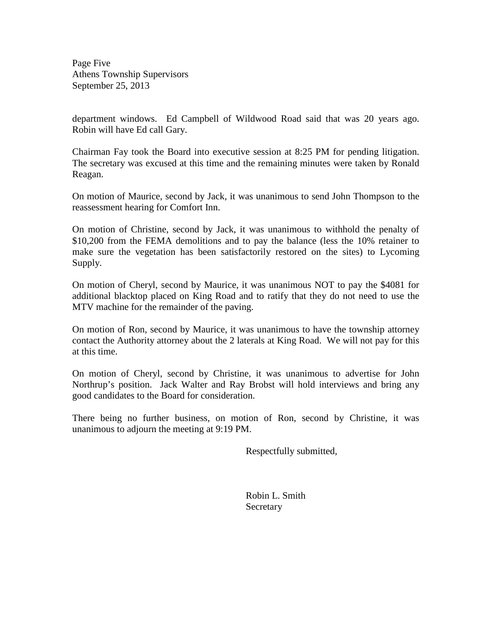Page Five Athens Township Supervisors September 25, 2013

department windows. Ed Campbell of Wildwood Road said that was 20 years ago. Robin will have Ed call Gary.

Chairman Fay took the Board into executive session at 8:25 PM for pending litigation. The secretary was excused at this time and the remaining minutes were taken by Ronald Reagan.

On motion of Maurice, second by Jack, it was unanimous to send John Thompson to the reassessment hearing for Comfort Inn.

On motion of Christine, second by Jack, it was unanimous to withhold the penalty of \$10,200 from the FEMA demolitions and to pay the balance (less the 10% retainer to make sure the vegetation has been satisfactorily restored on the sites) to Lycoming Supply.

On motion of Cheryl, second by Maurice, it was unanimous NOT to pay the \$4081 for additional blacktop placed on King Road and to ratify that they do not need to use the MTV machine for the remainder of the paving.

On motion of Ron, second by Maurice, it was unanimous to have the township attorney contact the Authority attorney about the 2 laterals at King Road. We will not pay for this at this time.

On motion of Cheryl, second by Christine, it was unanimous to advertise for John Northrup's position. Jack Walter and Ray Brobst will hold interviews and bring any good candidates to the Board for consideration.

There being no further business, on motion of Ron, second by Christine, it was unanimous to adjourn the meeting at 9:19 PM.

Respectfully submitted,

 Robin L. Smith **Secretary**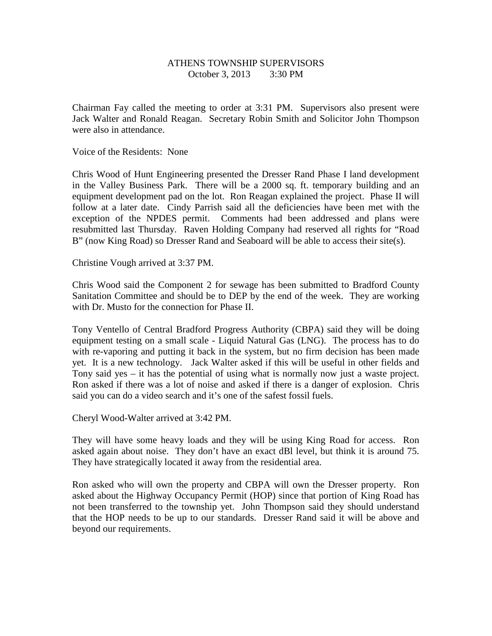#### ATHENS TOWNSHIP SUPERVISORS October 3, 2013 3:30 PM

Chairman Fay called the meeting to order at 3:31 PM. Supervisors also present were Jack Walter and Ronald Reagan. Secretary Robin Smith and Solicitor John Thompson were also in attendance.

Voice of the Residents: None

Chris Wood of Hunt Engineering presented the Dresser Rand Phase I land development in the Valley Business Park. There will be a 2000 sq. ft. temporary building and an equipment development pad on the lot. Ron Reagan explained the project. Phase II will follow at a later date. Cindy Parrish said all the deficiencies have been met with the exception of the NPDES permit. Comments had been addressed and plans were resubmitted last Thursday. Raven Holding Company had reserved all rights for "Road B" (now King Road) so Dresser Rand and Seaboard will be able to access their site(s).

Christine Vough arrived at 3:37 PM.

Chris Wood said the Component 2 for sewage has been submitted to Bradford County Sanitation Committee and should be to DEP by the end of the week. They are working with Dr. Musto for the connection for Phase II.

Tony Ventello of Central Bradford Progress Authority (CBPA) said they will be doing equipment testing on a small scale - Liquid Natural Gas (LNG). The process has to do with re-vaporing and putting it back in the system, but no firm decision has been made yet. It is a new technology. Jack Walter asked if this will be useful in other fields and Tony said yes – it has the potential of using what is normally now just a waste project. Ron asked if there was a lot of noise and asked if there is a danger of explosion. Chris said you can do a video search and it's one of the safest fossil fuels.

Cheryl Wood-Walter arrived at 3:42 PM.

They will have some heavy loads and they will be using King Road for access. Ron asked again about noise. They don't have an exact dBl level, but think it is around 75. They have strategically located it away from the residential area.

Ron asked who will own the property and CBPA will own the Dresser property. Ron asked about the Highway Occupancy Permit (HOP) since that portion of King Road has not been transferred to the township yet. John Thompson said they should understand that the HOP needs to be up to our standards. Dresser Rand said it will be above and beyond our requirements.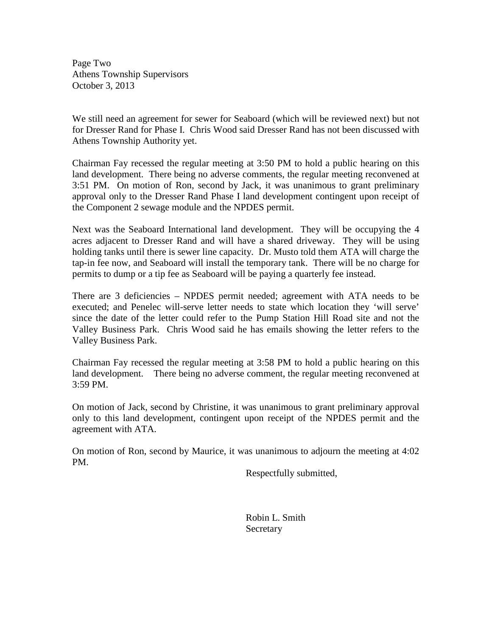Page Two Athens Township Supervisors October 3, 2013

We still need an agreement for sewer for Seaboard (which will be reviewed next) but not for Dresser Rand for Phase I. Chris Wood said Dresser Rand has not been discussed with Athens Township Authority yet.

Chairman Fay recessed the regular meeting at 3:50 PM to hold a public hearing on this land development. There being no adverse comments, the regular meeting reconvened at 3:51 PM. On motion of Ron, second by Jack, it was unanimous to grant preliminary approval only to the Dresser Rand Phase I land development contingent upon receipt of the Component 2 sewage module and the NPDES permit.

Next was the Seaboard International land development. They will be occupying the 4 acres adjacent to Dresser Rand and will have a shared driveway. They will be using holding tanks until there is sewer line capacity. Dr. Musto told them ATA will charge the tap-in fee now, and Seaboard will install the temporary tank. There will be no charge for permits to dump or a tip fee as Seaboard will be paying a quarterly fee instead.

There are 3 deficiencies – NPDES permit needed; agreement with ATA needs to be executed; and Penelec will-serve letter needs to state which location they 'will serve' since the date of the letter could refer to the Pump Station Hill Road site and not the Valley Business Park. Chris Wood said he has emails showing the letter refers to the Valley Business Park.

Chairman Fay recessed the regular meeting at 3:58 PM to hold a public hearing on this land development. There being no adverse comment, the regular meeting reconvened at 3:59 PM.

On motion of Jack, second by Christine, it was unanimous to grant preliminary approval only to this land development, contingent upon receipt of the NPDES permit and the agreement with ATA.

On motion of Ron, second by Maurice, it was unanimous to adjourn the meeting at 4:02 PM.

Respectfully submitted,

 Robin L. Smith Secretary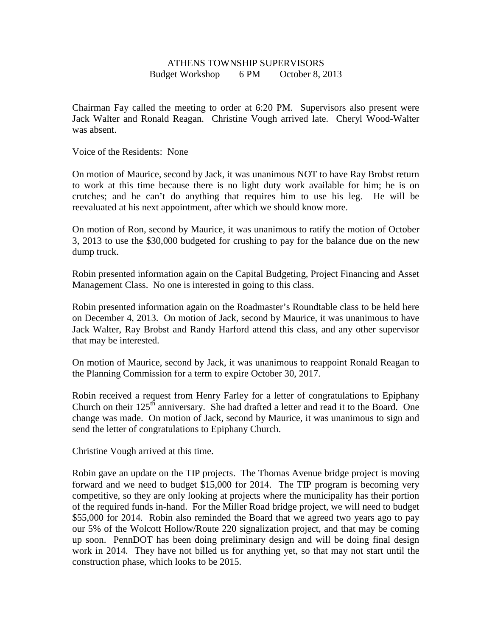# ATHENS TOWNSHIP SUPERVISORS Budget Workshop 6 PM October 8, 2013

Chairman Fay called the meeting to order at 6:20 PM. Supervisors also present were Jack Walter and Ronald Reagan. Christine Vough arrived late. Cheryl Wood-Walter was absent.

Voice of the Residents: None

On motion of Maurice, second by Jack, it was unanimous NOT to have Ray Brobst return to work at this time because there is no light duty work available for him; he is on crutches; and he can't do anything that requires him to use his leg. He will be reevaluated at his next appointment, after which we should know more.

On motion of Ron, second by Maurice, it was unanimous to ratify the motion of October 3, 2013 to use the \$30,000 budgeted for crushing to pay for the balance due on the new dump truck.

Robin presented information again on the Capital Budgeting, Project Financing and Asset Management Class. No one is interested in going to this class.

Robin presented information again on the Roadmaster's Roundtable class to be held here on December 4, 2013. On motion of Jack, second by Maurice, it was unanimous to have Jack Walter, Ray Brobst and Randy Harford attend this class, and any other supervisor that may be interested.

On motion of Maurice, second by Jack, it was unanimous to reappoint Ronald Reagan to the Planning Commission for a term to expire October 30, 2017.

Robin received a request from Henry Farley for a letter of congratulations to Epiphany Church on their  $125<sup>th</sup>$  anniversary. She had drafted a letter and read it to the Board. One change was made. On motion of Jack, second by Maurice, it was unanimous to sign and send the letter of congratulations to Epiphany Church.

Christine Vough arrived at this time.

Robin gave an update on the TIP projects. The Thomas Avenue bridge project is moving forward and we need to budget \$15,000 for 2014. The TIP program is becoming very competitive, so they are only looking at projects where the municipality has their portion of the required funds in-hand. For the Miller Road bridge project, we will need to budget \$55,000 for 2014. Robin also reminded the Board that we agreed two years ago to pay our 5% of the Wolcott Hollow/Route 220 signalization project, and that may be coming up soon. PennDOT has been doing preliminary design and will be doing final design work in 2014. They have not billed us for anything yet, so that may not start until the construction phase, which looks to be 2015.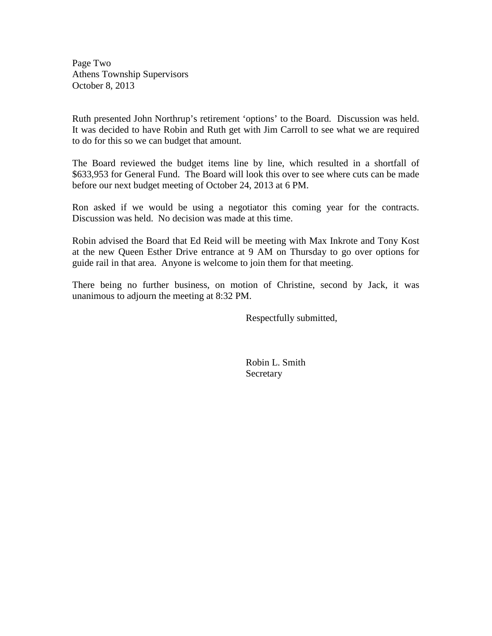Page Two Athens Township Supervisors October 8, 2013

Ruth presented John Northrup's retirement 'options' to the Board. Discussion was held. It was decided to have Robin and Ruth get with Jim Carroll to see what we are required to do for this so we can budget that amount.

The Board reviewed the budget items line by line, which resulted in a shortfall of \$633,953 for General Fund. The Board will look this over to see where cuts can be made before our next budget meeting of October 24, 2013 at 6 PM.

Ron asked if we would be using a negotiator this coming year for the contracts. Discussion was held. No decision was made at this time.

Robin advised the Board that Ed Reid will be meeting with Max Inkrote and Tony Kost at the new Queen Esther Drive entrance at 9 AM on Thursday to go over options for guide rail in that area. Anyone is welcome to join them for that meeting.

There being no further business, on motion of Christine, second by Jack, it was unanimous to adjourn the meeting at 8:32 PM.

Respectfully submitted,

 Robin L. Smith Secretary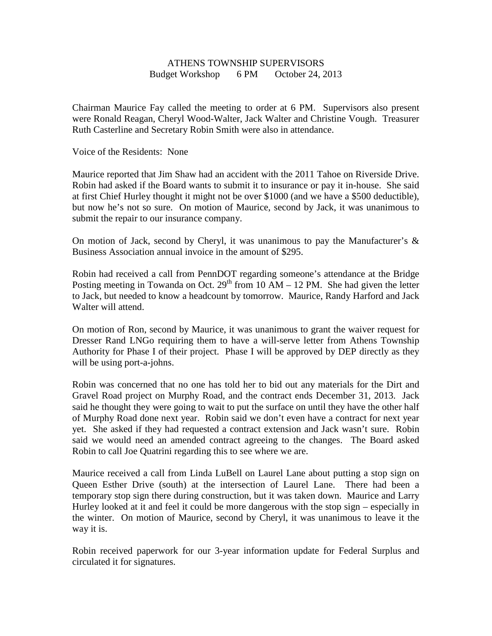# ATHENS TOWNSHIP SUPERVISORS Budget Workshop 6 PM October 24, 2013

Chairman Maurice Fay called the meeting to order at 6 PM. Supervisors also present were Ronald Reagan, Cheryl Wood-Walter, Jack Walter and Christine Vough. Treasurer Ruth Casterline and Secretary Robin Smith were also in attendance.

Voice of the Residents: None

Maurice reported that Jim Shaw had an accident with the 2011 Tahoe on Riverside Drive. Robin had asked if the Board wants to submit it to insurance or pay it in-house. She said at first Chief Hurley thought it might not be over \$1000 (and we have a \$500 deductible), but now he's not so sure. On motion of Maurice, second by Jack, it was unanimous to submit the repair to our insurance company.

On motion of Jack, second by Cheryl, it was unanimous to pay the Manufacturer's  $\&$ Business Association annual invoice in the amount of \$295.

Robin had received a call from PennDOT regarding someone's attendance at the Bridge Posting meeting in Towanda on Oct.  $29<sup>th</sup>$  from 10 AM – 12 PM. She had given the letter to Jack, but needed to know a headcount by tomorrow. Maurice, Randy Harford and Jack Walter will attend.

On motion of Ron, second by Maurice, it was unanimous to grant the waiver request for Dresser Rand LNGo requiring them to have a will-serve letter from Athens Township Authority for Phase I of their project. Phase I will be approved by DEP directly as they will be using port-a-johns.

Robin was concerned that no one has told her to bid out any materials for the Dirt and Gravel Road project on Murphy Road, and the contract ends December 31, 2013. Jack said he thought they were going to wait to put the surface on until they have the other half of Murphy Road done next year. Robin said we don't even have a contract for next year yet. She asked if they had requested a contract extension and Jack wasn't sure. Robin said we would need an amended contract agreeing to the changes. The Board asked Robin to call Joe Quatrini regarding this to see where we are.

Maurice received a call from Linda LuBell on Laurel Lane about putting a stop sign on Queen Esther Drive (south) at the intersection of Laurel Lane. There had been a temporary stop sign there during construction, but it was taken down. Maurice and Larry Hurley looked at it and feel it could be more dangerous with the stop sign – especially in the winter. On motion of Maurice, second by Cheryl, it was unanimous to leave it the way it is.

Robin received paperwork for our 3-year information update for Federal Surplus and circulated it for signatures.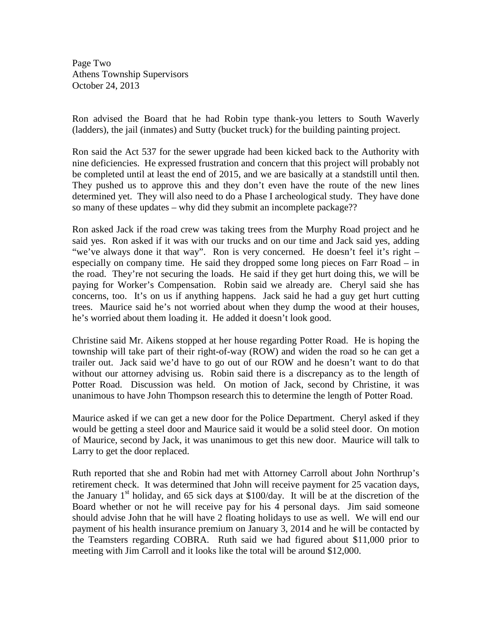Page Two Athens Township Supervisors October 24, 2013

Ron advised the Board that he had Robin type thank-you letters to South Waverly (ladders), the jail (inmates) and Sutty (bucket truck) for the building painting project.

Ron said the Act 537 for the sewer upgrade had been kicked back to the Authority with nine deficiencies. He expressed frustration and concern that this project will probably not be completed until at least the end of 2015, and we are basically at a standstill until then. They pushed us to approve this and they don't even have the route of the new lines determined yet. They will also need to do a Phase I archeological study. They have done so many of these updates – why did they submit an incomplete package??

Ron asked Jack if the road crew was taking trees from the Murphy Road project and he said yes. Ron asked if it was with our trucks and on our time and Jack said yes, adding "we've always done it that way". Ron is very concerned. He doesn't feel it's right – especially on company time. He said they dropped some long pieces on Farr Road – in the road. They're not securing the loads. He said if they get hurt doing this, we will be paying for Worker's Compensation. Robin said we already are. Cheryl said she has concerns, too. It's on us if anything happens. Jack said he had a guy get hurt cutting trees. Maurice said he's not worried about when they dump the wood at their houses, he's worried about them loading it. He added it doesn't look good.

Christine said Mr. Aikens stopped at her house regarding Potter Road. He is hoping the township will take part of their right-of-way (ROW) and widen the road so he can get a trailer out. Jack said we'd have to go out of our ROW and he doesn't want to do that without our attorney advising us. Robin said there is a discrepancy as to the length of Potter Road. Discussion was held. On motion of Jack, second by Christine, it was unanimous to have John Thompson research this to determine the length of Potter Road.

Maurice asked if we can get a new door for the Police Department. Cheryl asked if they would be getting a steel door and Maurice said it would be a solid steel door. On motion of Maurice, second by Jack, it was unanimous to get this new door. Maurice will talk to Larry to get the door replaced.

Ruth reported that she and Robin had met with Attorney Carroll about John Northrup's retirement check. It was determined that John will receive payment for 25 vacation days, the January  $1<sup>st</sup>$  holiday, and 65 sick days at \$100/day. It will be at the discretion of the Board whether or not he will receive pay for his 4 personal days. Jim said someone should advise John that he will have 2 floating holidays to use as well. We will end our payment of his health insurance premium on January 3, 2014 and he will be contacted by the Teamsters regarding COBRA. Ruth said we had figured about \$11,000 prior to meeting with Jim Carroll and it looks like the total will be around \$12,000.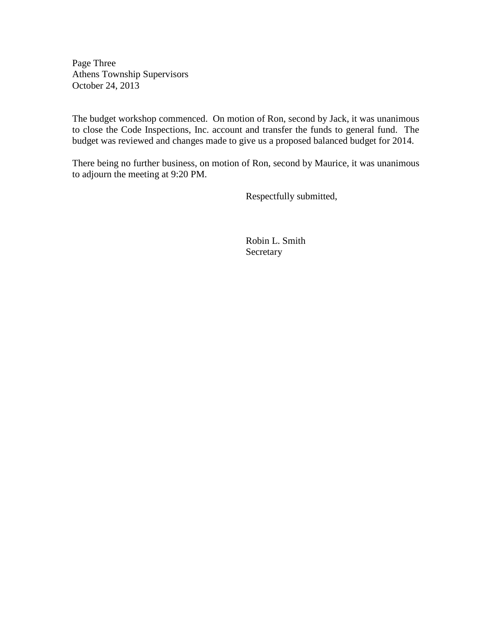Page Three Athens Township Supervisors October 24, 2013

The budget workshop commenced. On motion of Ron, second by Jack, it was unanimous to close the Code Inspections, Inc. account and transfer the funds to general fund. The budget was reviewed and changes made to give us a proposed balanced budget for 2014.

There being no further business, on motion of Ron, second by Maurice, it was unanimous to adjourn the meeting at 9:20 PM.

Respectfully submitted,

 Robin L. Smith **Secretary**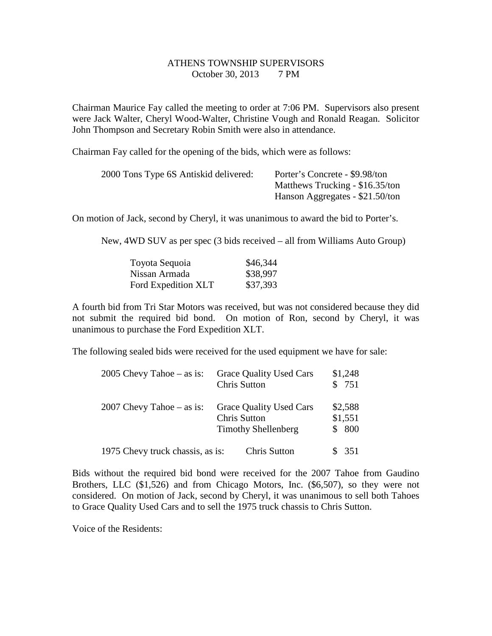# ATHENS TOWNSHIP SUPERVISORS October 30, 2013 7 PM

Chairman Maurice Fay called the meeting to order at 7:06 PM. Supervisors also present were Jack Walter, Cheryl Wood-Walter, Christine Vough and Ronald Reagan. Solicitor John Thompson and Secretary Robin Smith were also in attendance.

Chairman Fay called for the opening of the bids, which were as follows:

| 2000 Tons Type 6S Antiskid delivered: | Porter's Concrete - \$9.98/ton  |
|---------------------------------------|---------------------------------|
|                                       | Matthews Trucking - \$16.35/ton |
|                                       | Hanson Aggregates - \$21.50/ton |

On motion of Jack, second by Cheryl, it was unanimous to award the bid to Porter's.

New, 4WD SUV as per spec (3 bids received – all from Williams Auto Group)

| Toyota Sequoia      | \$46,344 |
|---------------------|----------|
| Nissan Armada       | \$38,997 |
| Ford Expedition XLT | \$37,393 |

A fourth bid from Tri Star Motors was received, but was not considered because they did not submit the required bid bond. On motion of Ron, second by Cheryl, it was unanimous to purchase the Ford Expedition XLT.

The following sealed bids were received for the used equipment we have for sale:

| 2005 Chevy Tahoe $-$ as is:      | <b>Grace Quality Used Cars</b><br>Chris Sutton                               | \$1,248<br>\$751            |
|----------------------------------|------------------------------------------------------------------------------|-----------------------------|
| 2007 Chevy Tahoe $-$ as is:      | <b>Grace Quality Used Cars</b><br>Chris Sutton<br><b>Timothy Shellenberg</b> | \$2,588<br>\$1,551<br>\$800 |
| 1975 Chevy truck chassis, as is: | Chris Sutton                                                                 | 351                         |

Bids without the required bid bond were received for the 2007 Tahoe from Gaudino Brothers, LLC (\$1,526) and from Chicago Motors, Inc. (\$6,507), so they were not considered. On motion of Jack, second by Cheryl, it was unanimous to sell both Tahoes to Grace Quality Used Cars and to sell the 1975 truck chassis to Chris Sutton.

Voice of the Residents: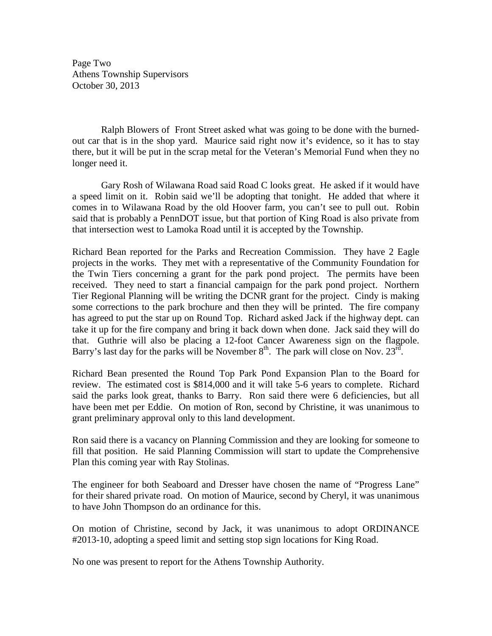Page Two Athens Township Supervisors October 30, 2013

 Ralph Blowers of Front Street asked what was going to be done with the burnedout car that is in the shop yard. Maurice said right now it's evidence, so it has to stay there, but it will be put in the scrap metal for the Veteran's Memorial Fund when they no longer need it.

Gary Rosh of Wilawana Road said Road C looks great. He asked if it would have a speed limit on it. Robin said we'll be adopting that tonight. He added that where it comes in to Wilawana Road by the old Hoover farm, you can't see to pull out. Robin said that is probably a PennDOT issue, but that portion of King Road is also private from that intersection west to Lamoka Road until it is accepted by the Township.

Richard Bean reported for the Parks and Recreation Commission. They have 2 Eagle projects in the works. They met with a representative of the Community Foundation for the Twin Tiers concerning a grant for the park pond project. The permits have been received. They need to start a financial campaign for the park pond project. Northern Tier Regional Planning will be writing the DCNR grant for the project. Cindy is making some corrections to the park brochure and then they will be printed. The fire company has agreed to put the star up on Round Top. Richard asked Jack if the highway dept. can take it up for the fire company and bring it back down when done. Jack said they will do that. Guthrie will also be placing a 12-foot Cancer Awareness sign on the flagpole. Barry's last day for the parks will be November  $8<sup>th</sup>$ . The park will close on Nov.  $23<sup>rd</sup>$ .

Richard Bean presented the Round Top Park Pond Expansion Plan to the Board for review. The estimated cost is \$814,000 and it will take 5-6 years to complete. Richard said the parks look great, thanks to Barry. Ron said there were 6 deficiencies, but all have been met per Eddie. On motion of Ron, second by Christine, it was unanimous to grant preliminary approval only to this land development.

Ron said there is a vacancy on Planning Commission and they are looking for someone to fill that position. He said Planning Commission will start to update the Comprehensive Plan this coming year with Ray Stolinas.

The engineer for both Seaboard and Dresser have chosen the name of "Progress Lane" for their shared private road. On motion of Maurice, second by Cheryl, it was unanimous to have John Thompson do an ordinance for this.

On motion of Christine, second by Jack, it was unanimous to adopt ORDINANCE #2013-10, adopting a speed limit and setting stop sign locations for King Road.

No one was present to report for the Athens Township Authority.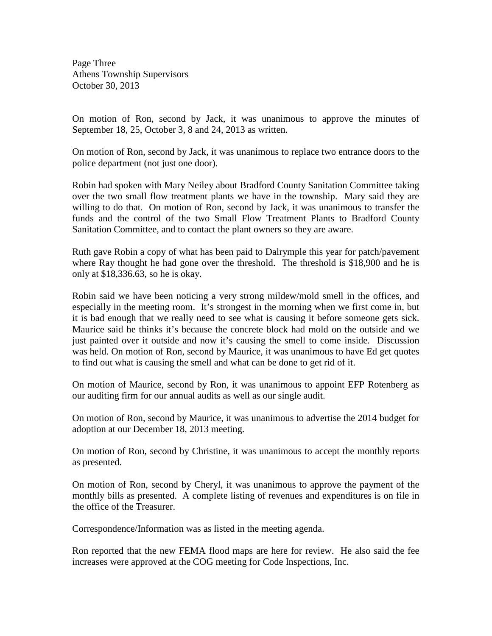Page Three Athens Township Supervisors October 30, 2013

On motion of Ron, second by Jack, it was unanimous to approve the minutes of September 18, 25, October 3, 8 and 24, 2013 as written.

On motion of Ron, second by Jack, it was unanimous to replace two entrance doors to the police department (not just one door).

Robin had spoken with Mary Neiley about Bradford County Sanitation Committee taking over the two small flow treatment plants we have in the township. Mary said they are willing to do that. On motion of Ron, second by Jack, it was unanimous to transfer the funds and the control of the two Small Flow Treatment Plants to Bradford County Sanitation Committee, and to contact the plant owners so they are aware.

Ruth gave Robin a copy of what has been paid to Dalrymple this year for patch/pavement where Ray thought he had gone over the threshold. The threshold is \$18,900 and he is only at \$18,336.63, so he is okay.

Robin said we have been noticing a very strong mildew/mold smell in the offices, and especially in the meeting room. It's strongest in the morning when we first come in, but it is bad enough that we really need to see what is causing it before someone gets sick. Maurice said he thinks it's because the concrete block had mold on the outside and we just painted over it outside and now it's causing the smell to come inside. Discussion was held. On motion of Ron, second by Maurice, it was unanimous to have Ed get quotes to find out what is causing the smell and what can be done to get rid of it.

On motion of Maurice, second by Ron, it was unanimous to appoint EFP Rotenberg as our auditing firm for our annual audits as well as our single audit.

On motion of Ron, second by Maurice, it was unanimous to advertise the 2014 budget for adoption at our December 18, 2013 meeting.

On motion of Ron, second by Christine, it was unanimous to accept the monthly reports as presented.

On motion of Ron, second by Cheryl, it was unanimous to approve the payment of the monthly bills as presented. A complete listing of revenues and expenditures is on file in the office of the Treasurer.

Correspondence/Information was as listed in the meeting agenda.

Ron reported that the new FEMA flood maps are here for review. He also said the fee increases were approved at the COG meeting for Code Inspections, Inc.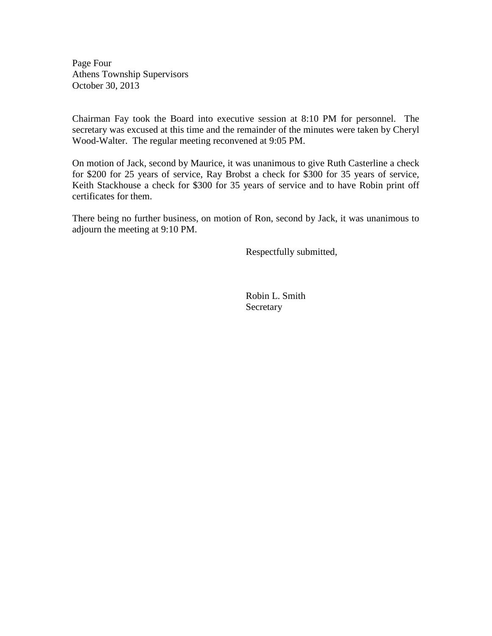Page Four Athens Township Supervisors October 30, 2013

Chairman Fay took the Board into executive session at 8:10 PM for personnel. The secretary was excused at this time and the remainder of the minutes were taken by Cheryl Wood-Walter. The regular meeting reconvened at 9:05 PM.

On motion of Jack, second by Maurice, it was unanimous to give Ruth Casterline a check for \$200 for 25 years of service, Ray Brobst a check for \$300 for 35 years of service, Keith Stackhouse a check for \$300 for 35 years of service and to have Robin print off certificates for them.

There being no further business, on motion of Ron, second by Jack, it was unanimous to adjourn the meeting at 9:10 PM.

Respectfully submitted,

 Robin L. Smith Secretary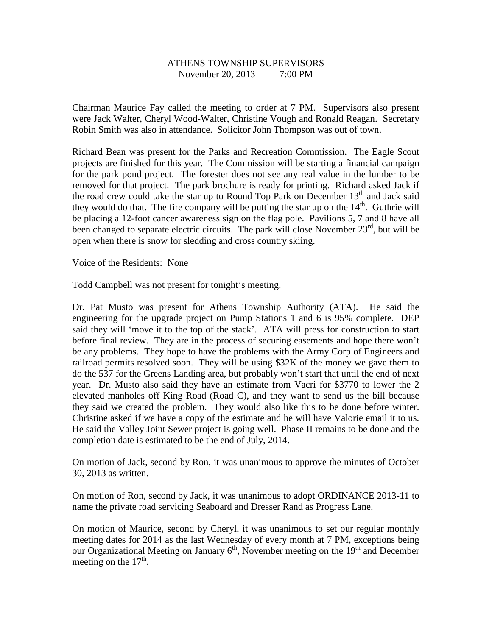### ATHENS TOWNSHIP SUPERVISORS November 20, 2013 7:00 PM

Chairman Maurice Fay called the meeting to order at 7 PM. Supervisors also present were Jack Walter, Cheryl Wood-Walter, Christine Vough and Ronald Reagan. Secretary Robin Smith was also in attendance. Solicitor John Thompson was out of town.

Richard Bean was present for the Parks and Recreation Commission. The Eagle Scout projects are finished for this year. The Commission will be starting a financial campaign for the park pond project. The forester does not see any real value in the lumber to be removed for that project. The park brochure is ready for printing. Richard asked Jack if the road crew could take the star up to Round Top Park on December 13<sup>th</sup> and Jack said they would do that. The fire company will be putting the star up on the  $14<sup>th</sup>$ . Guthrie will be placing a 12-foot cancer awareness sign on the flag pole. Pavilions 5, 7 and 8 have all been changed to separate electric circuits. The park will close November  $23^{rd}$ , but will be open when there is snow for sledding and cross country skiing.

Voice of the Residents: None

Todd Campbell was not present for tonight's meeting.

Dr. Pat Musto was present for Athens Township Authority (ATA). He said the engineering for the upgrade project on Pump Stations 1 and 6 is 95% complete. DEP said they will 'move it to the top of the stack'. ATA will press for construction to start before final review. They are in the process of securing easements and hope there won't be any problems. They hope to have the problems with the Army Corp of Engineers and railroad permits resolved soon. They will be using \$32K of the money we gave them to do the 537 for the Greens Landing area, but probably won't start that until the end of next year. Dr. Musto also said they have an estimate from Vacri for \$3770 to lower the 2 elevated manholes off King Road (Road C), and they want to send us the bill because they said we created the problem. They would also like this to be done before winter. Christine asked if we have a copy of the estimate and he will have Valorie email it to us. He said the Valley Joint Sewer project is going well. Phase II remains to be done and the completion date is estimated to be the end of July, 2014.

On motion of Jack, second by Ron, it was unanimous to approve the minutes of October 30, 2013 as written.

On motion of Ron, second by Jack, it was unanimous to adopt ORDINANCE 2013-11 to name the private road servicing Seaboard and Dresser Rand as Progress Lane.

On motion of Maurice, second by Cheryl, it was unanimous to set our regular monthly meeting dates for 2014 as the last Wednesday of every month at 7 PM, exceptions being our Organizational Meeting on January  $6<sup>th</sup>$ , November meeting on the 19<sup>th</sup> and December meeting on the  $17<sup>th</sup>$ .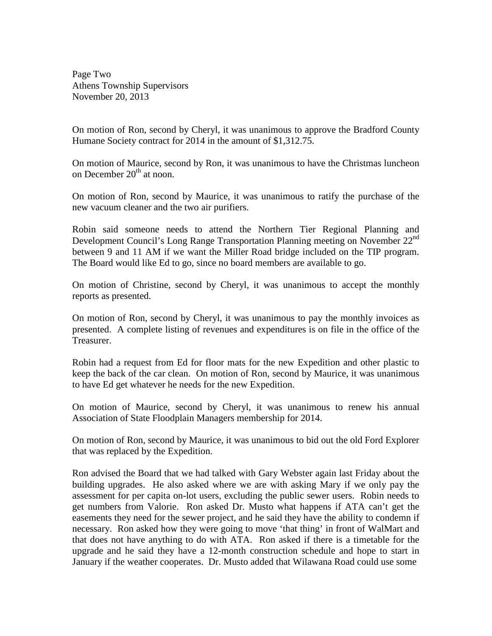Page Two Athens Township Supervisors November 20, 2013

On motion of Ron, second by Cheryl, it was unanimous to approve the Bradford County Humane Society contract for 2014 in the amount of \$1,312.75.

On motion of Maurice, second by Ron, it was unanimous to have the Christmas luncheon on December  $20<sup>th</sup>$  at noon.

On motion of Ron, second by Maurice, it was unanimous to ratify the purchase of the new vacuum cleaner and the two air purifiers.

Robin said someone needs to attend the Northern Tier Regional Planning and Development Council's Long Range Transportation Planning meeting on November 22<sup>nd</sup> between 9 and 11 AM if we want the Miller Road bridge included on the TIP program. The Board would like Ed to go, since no board members are available to go.

On motion of Christine, second by Cheryl, it was unanimous to accept the monthly reports as presented.

On motion of Ron, second by Cheryl, it was unanimous to pay the monthly invoices as presented. A complete listing of revenues and expenditures is on file in the office of the Treasurer.

Robin had a request from Ed for floor mats for the new Expedition and other plastic to keep the back of the car clean. On motion of Ron, second by Maurice, it was unanimous to have Ed get whatever he needs for the new Expedition.

On motion of Maurice, second by Cheryl, it was unanimous to renew his annual Association of State Floodplain Managers membership for 2014.

On motion of Ron, second by Maurice, it was unanimous to bid out the old Ford Explorer that was replaced by the Expedition.

Ron advised the Board that we had talked with Gary Webster again last Friday about the building upgrades. He also asked where we are with asking Mary if we only pay the assessment for per capita on-lot users, excluding the public sewer users. Robin needs to get numbers from Valorie. Ron asked Dr. Musto what happens if ATA can't get the easements they need for the sewer project, and he said they have the ability to condemn if necessary. Ron asked how they were going to move 'that thing' in front of WalMart and that does not have anything to do with ATA. Ron asked if there is a timetable for the upgrade and he said they have a 12-month construction schedule and hope to start in January if the weather cooperates. Dr. Musto added that Wilawana Road could use some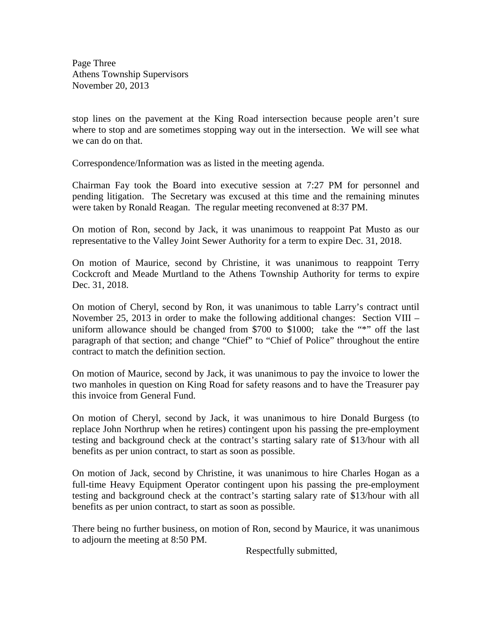Page Three Athens Township Supervisors November 20, 2013

stop lines on the pavement at the King Road intersection because people aren't sure where to stop and are sometimes stopping way out in the intersection. We will see what we can do on that.

Correspondence/Information was as listed in the meeting agenda.

Chairman Fay took the Board into executive session at 7:27 PM for personnel and pending litigation. The Secretary was excused at this time and the remaining minutes were taken by Ronald Reagan. The regular meeting reconvened at 8:37 PM.

On motion of Ron, second by Jack, it was unanimous to reappoint Pat Musto as our representative to the Valley Joint Sewer Authority for a term to expire Dec. 31, 2018.

On motion of Maurice, second by Christine, it was unanimous to reappoint Terry Cockcroft and Meade Murtland to the Athens Township Authority for terms to expire Dec. 31, 2018.

On motion of Cheryl, second by Ron, it was unanimous to table Larry's contract until November 25, 2013 in order to make the following additional changes: Section VIII – uniform allowance should be changed from \$700 to \$1000; take the "\*" off the last paragraph of that section; and change "Chief" to "Chief of Police" throughout the entire contract to match the definition section.

On motion of Maurice, second by Jack, it was unanimous to pay the invoice to lower the two manholes in question on King Road for safety reasons and to have the Treasurer pay this invoice from General Fund.

On motion of Cheryl, second by Jack, it was unanimous to hire Donald Burgess (to replace John Northrup when he retires) contingent upon his passing the pre-employment testing and background check at the contract's starting salary rate of \$13/hour with all benefits as per union contract, to start as soon as possible.

On motion of Jack, second by Christine, it was unanimous to hire Charles Hogan as a full-time Heavy Equipment Operator contingent upon his passing the pre-employment testing and background check at the contract's starting salary rate of \$13/hour with all benefits as per union contract, to start as soon as possible.

There being no further business, on motion of Ron, second by Maurice, it was unanimous to adjourn the meeting at 8:50 PM.

Respectfully submitted,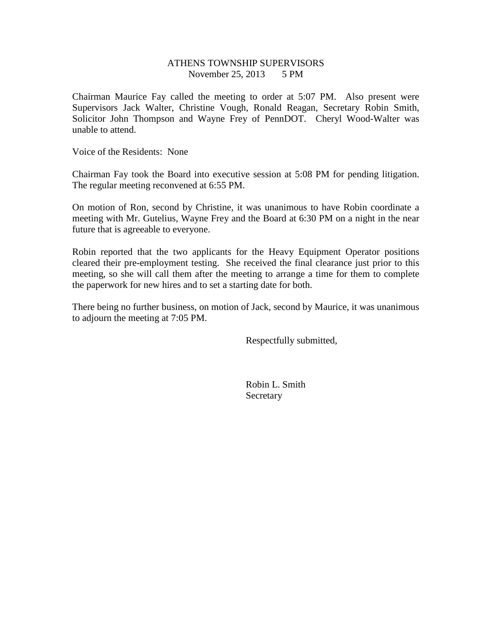## ATHENS TOWNSHIP SUPERVISORS November 25, 2013 5 PM

Chairman Maurice Fay called the meeting to order at 5:07 PM. Also present were Supervisors Jack Walter, Christine Vough, Ronald Reagan, Secretary Robin Smith, Solicitor John Thompson and Wayne Frey of PennDOT. Cheryl Wood-Walter was unable to attend.

Voice of the Residents: None

Chairman Fay took the Board into executive session at 5:08 PM for pending litigation. The regular meeting reconvened at 6:55 PM.

On motion of Ron, second by Christine, it was unanimous to have Robin coordinate a meeting with Mr. Gutelius, Wayne Frey and the Board at 6:30 PM on a night in the near future that is agreeable to everyone.

Robin reported that the two applicants for the Heavy Equipment Operator positions cleared their pre-employment testing. She received the final clearance just prior to this meeting, so she will call them after the meeting to arrange a time for them to complete the paperwork for new hires and to set a starting date for both.

There being no further business, on motion of Jack, second by Maurice, it was unanimous to adjourn the meeting at 7:05 PM.

Respectfully submitted,

 Robin L. Smith Secretary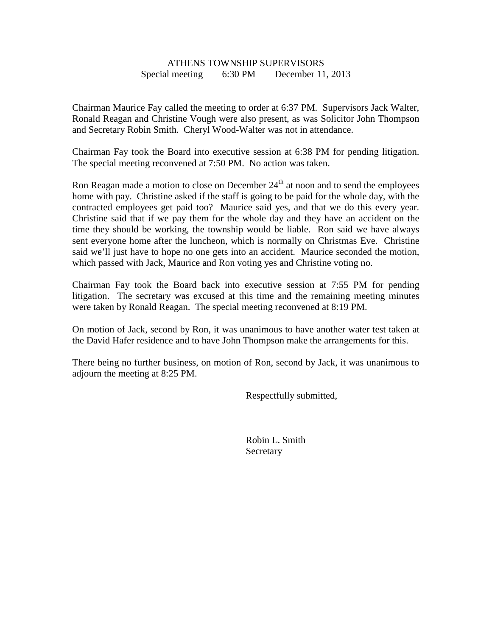## ATHENS TOWNSHIP SUPERVISORS Special meeting 6:30 PM December 11, 2013

Chairman Maurice Fay called the meeting to order at 6:37 PM. Supervisors Jack Walter, Ronald Reagan and Christine Vough were also present, as was Solicitor John Thompson and Secretary Robin Smith. Cheryl Wood-Walter was not in attendance.

Chairman Fay took the Board into executive session at 6:38 PM for pending litigation. The special meeting reconvened at 7:50 PM. No action was taken.

Ron Reagan made a motion to close on December  $24<sup>th</sup>$  at noon and to send the employees home with pay. Christine asked if the staff is going to be paid for the whole day, with the contracted employees get paid too? Maurice said yes, and that we do this every year. Christine said that if we pay them for the whole day and they have an accident on the time they should be working, the township would be liable. Ron said we have always sent everyone home after the luncheon, which is normally on Christmas Eve. Christine said we'll just have to hope no one gets into an accident. Maurice seconded the motion, which passed with Jack, Maurice and Ron voting yes and Christine voting no.

Chairman Fay took the Board back into executive session at 7:55 PM for pending litigation. The secretary was excused at this time and the remaining meeting minutes were taken by Ronald Reagan. The special meeting reconvened at 8:19 PM.

On motion of Jack, second by Ron, it was unanimous to have another water test taken at the David Hafer residence and to have John Thompson make the arrangements for this.

There being no further business, on motion of Ron, second by Jack, it was unanimous to adjourn the meeting at 8:25 PM.

Respectfully submitted,

 Robin L. Smith **Secretary**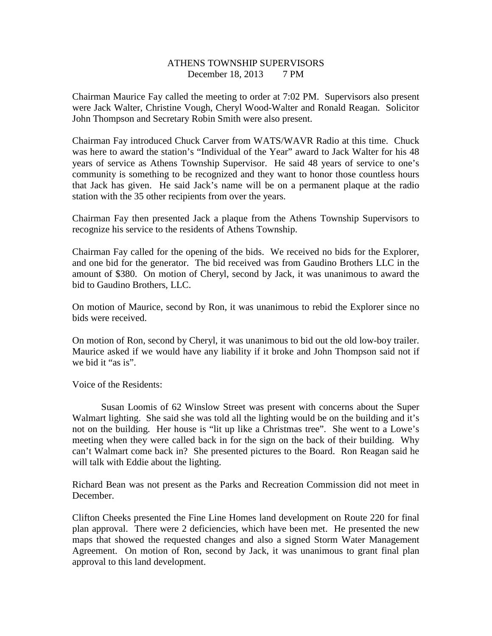## ATHENS TOWNSHIP SUPERVISORS December 18, 2013 7 PM

Chairman Maurice Fay called the meeting to order at 7:02 PM. Supervisors also present were Jack Walter, Christine Vough, Cheryl Wood-Walter and Ronald Reagan. Solicitor John Thompson and Secretary Robin Smith were also present.

Chairman Fay introduced Chuck Carver from WATS/WAVR Radio at this time. Chuck was here to award the station's "Individual of the Year" award to Jack Walter for his 48 years of service as Athens Township Supervisor. He said 48 years of service to one's community is something to be recognized and they want to honor those countless hours that Jack has given. He said Jack's name will be on a permanent plaque at the radio station with the 35 other recipients from over the years.

Chairman Fay then presented Jack a plaque from the Athens Township Supervisors to recognize his service to the residents of Athens Township.

Chairman Fay called for the opening of the bids. We received no bids for the Explorer, and one bid for the generator. The bid received was from Gaudino Brothers LLC in the amount of \$380. On motion of Cheryl, second by Jack, it was unanimous to award the bid to Gaudino Brothers, LLC.

On motion of Maurice, second by Ron, it was unanimous to rebid the Explorer since no bids were received.

On motion of Ron, second by Cheryl, it was unanimous to bid out the old low-boy trailer. Maurice asked if we would have any liability if it broke and John Thompson said not if we bid it "as is".

Voice of the Residents:

 Susan Loomis of 62 Winslow Street was present with concerns about the Super Walmart lighting. She said she was told all the lighting would be on the building and it's not on the building. Her house is "lit up like a Christmas tree". She went to a Lowe's meeting when they were called back in for the sign on the back of their building. Why can't Walmart come back in? She presented pictures to the Board. Ron Reagan said he will talk with Eddie about the lighting.

Richard Bean was not present as the Parks and Recreation Commission did not meet in December.

Clifton Cheeks presented the Fine Line Homes land development on Route 220 for final plan approval. There were 2 deficiencies, which have been met. He presented the new maps that showed the requested changes and also a signed Storm Water Management Agreement. On motion of Ron, second by Jack, it was unanimous to grant final plan approval to this land development.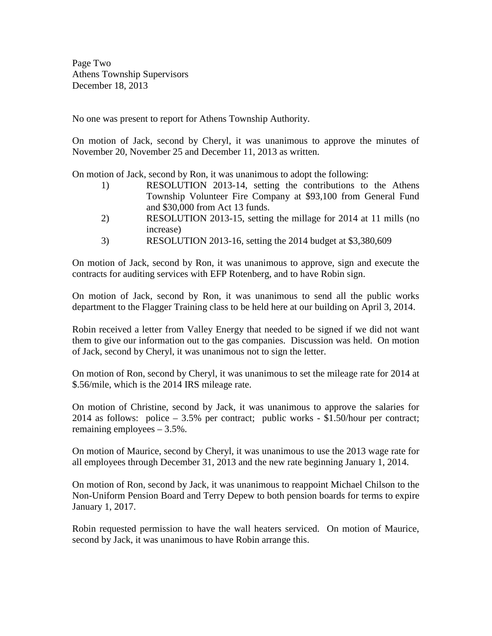Page Two Athens Township Supervisors December 18, 2013

No one was present to report for Athens Township Authority.

On motion of Jack, second by Cheryl, it was unanimous to approve the minutes of November 20, November 25 and December 11, 2013 as written.

On motion of Jack, second by Ron, it was unanimous to adopt the following:

- 1) RESOLUTION 2013-14, setting the contributions to the Athens Township Volunteer Fire Company at \$93,100 from General Fund and \$30,000 from Act 13 funds.
- 2) RESOLUTION 2013-15, setting the millage for 2014 at 11 mills (no increase)
- 3) RESOLUTION 2013-16, setting the 2014 budget at \$3,380,609

On motion of Jack, second by Ron, it was unanimous to approve, sign and execute the contracts for auditing services with EFP Rotenberg, and to have Robin sign.

On motion of Jack, second by Ron, it was unanimous to send all the public works department to the Flagger Training class to be held here at our building on April 3, 2014.

Robin received a letter from Valley Energy that needed to be signed if we did not want them to give our information out to the gas companies. Discussion was held. On motion of Jack, second by Cheryl, it was unanimous not to sign the letter.

On motion of Ron, second by Cheryl, it was unanimous to set the mileage rate for 2014 at \$.56/mile, which is the 2014 IRS mileage rate.

On motion of Christine, second by Jack, it was unanimous to approve the salaries for 2014 as follows: police – 3.5% per contract; public works - \$1.50/hour per contract; remaining employees – 3.5%.

On motion of Maurice, second by Cheryl, it was unanimous to use the 2013 wage rate for all employees through December 31, 2013 and the new rate beginning January 1, 2014.

On motion of Ron, second by Jack, it was unanimous to reappoint Michael Chilson to the Non-Uniform Pension Board and Terry Depew to both pension boards for terms to expire January 1, 2017.

Robin requested permission to have the wall heaters serviced. On motion of Maurice, second by Jack, it was unanimous to have Robin arrange this.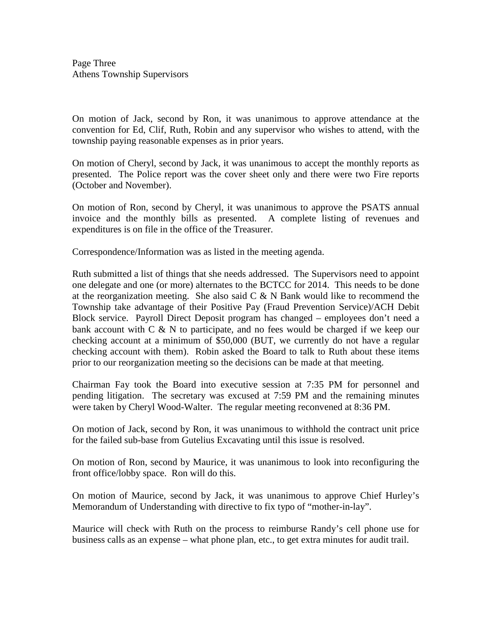Page Three Athens Township Supervisors

On motion of Jack, second by Ron, it was unanimous to approve attendance at the convention for Ed, Clif, Ruth, Robin and any supervisor who wishes to attend, with the township paying reasonable expenses as in prior years.

On motion of Cheryl, second by Jack, it was unanimous to accept the monthly reports as presented. The Police report was the cover sheet only and there were two Fire reports (October and November).

On motion of Ron, second by Cheryl, it was unanimous to approve the PSATS annual invoice and the monthly bills as presented. A complete listing of revenues and expenditures is on file in the office of the Treasurer.

Correspondence/Information was as listed in the meeting agenda.

Ruth submitted a list of things that she needs addressed. The Supervisors need to appoint one delegate and one (or more) alternates to the BCTCC for 2014. This needs to be done at the reorganization meeting. She also said  $C \& N$  Bank would like to recommend the Township take advantage of their Positive Pay (Fraud Prevention Service)/ACH Debit Block service. Payroll Direct Deposit program has changed – employees don't need a bank account with  $C \& N$  to participate, and no fees would be charged if we keep our checking account at a minimum of \$50,000 (BUT, we currently do not have a regular checking account with them). Robin asked the Board to talk to Ruth about these items prior to our reorganization meeting so the decisions can be made at that meeting.

Chairman Fay took the Board into executive session at 7:35 PM for personnel and pending litigation. The secretary was excused at 7:59 PM and the remaining minutes were taken by Cheryl Wood-Walter. The regular meeting reconvened at 8:36 PM.

On motion of Jack, second by Ron, it was unanimous to withhold the contract unit price for the failed sub-base from Gutelius Excavating until this issue is resolved.

On motion of Ron, second by Maurice, it was unanimous to look into reconfiguring the front office/lobby space. Ron will do this.

On motion of Maurice, second by Jack, it was unanimous to approve Chief Hurley's Memorandum of Understanding with directive to fix typo of "mother-in-lay".

Maurice will check with Ruth on the process to reimburse Randy's cell phone use for business calls as an expense – what phone plan, etc., to get extra minutes for audit trail.